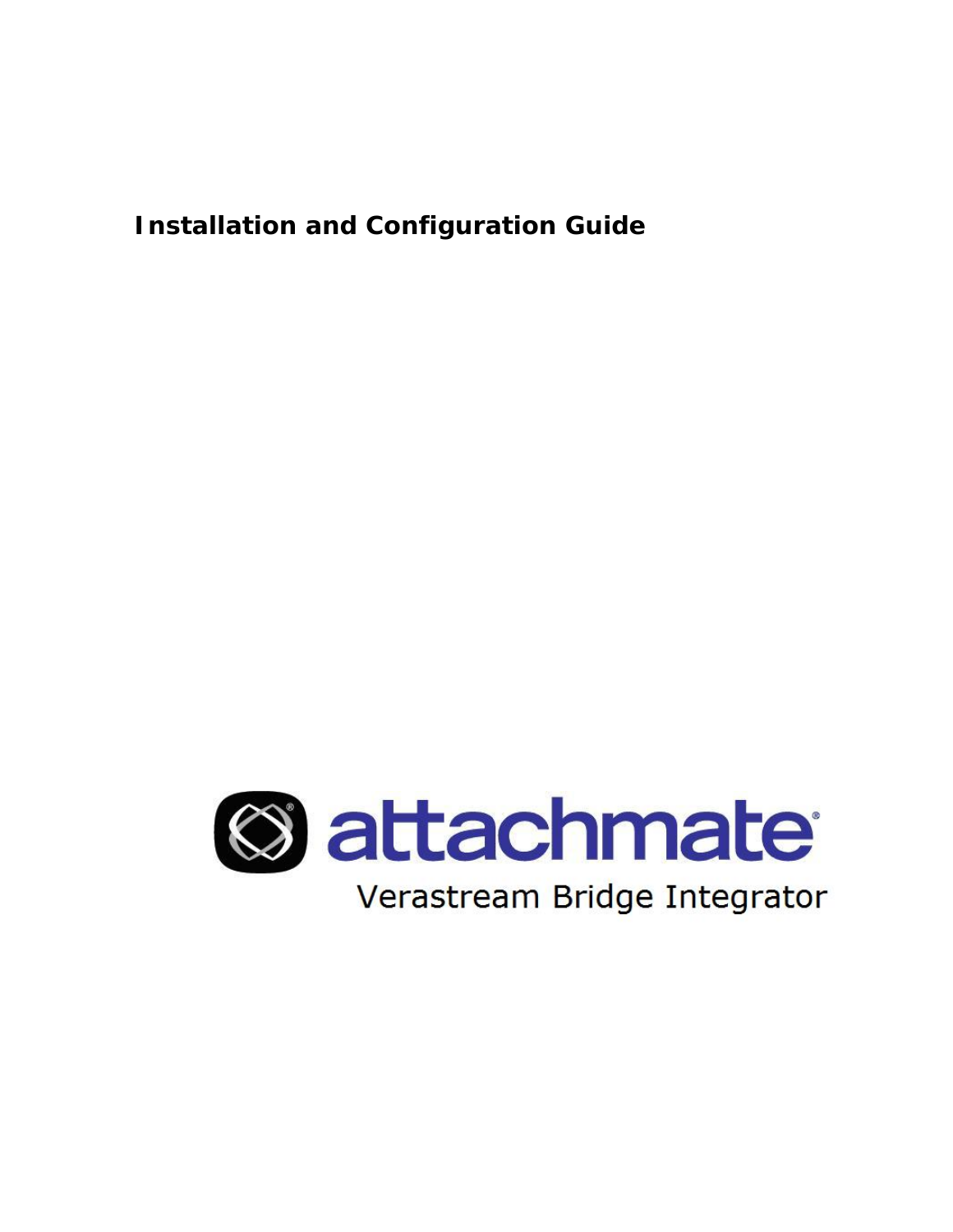**Installation and Configuration Guide** 

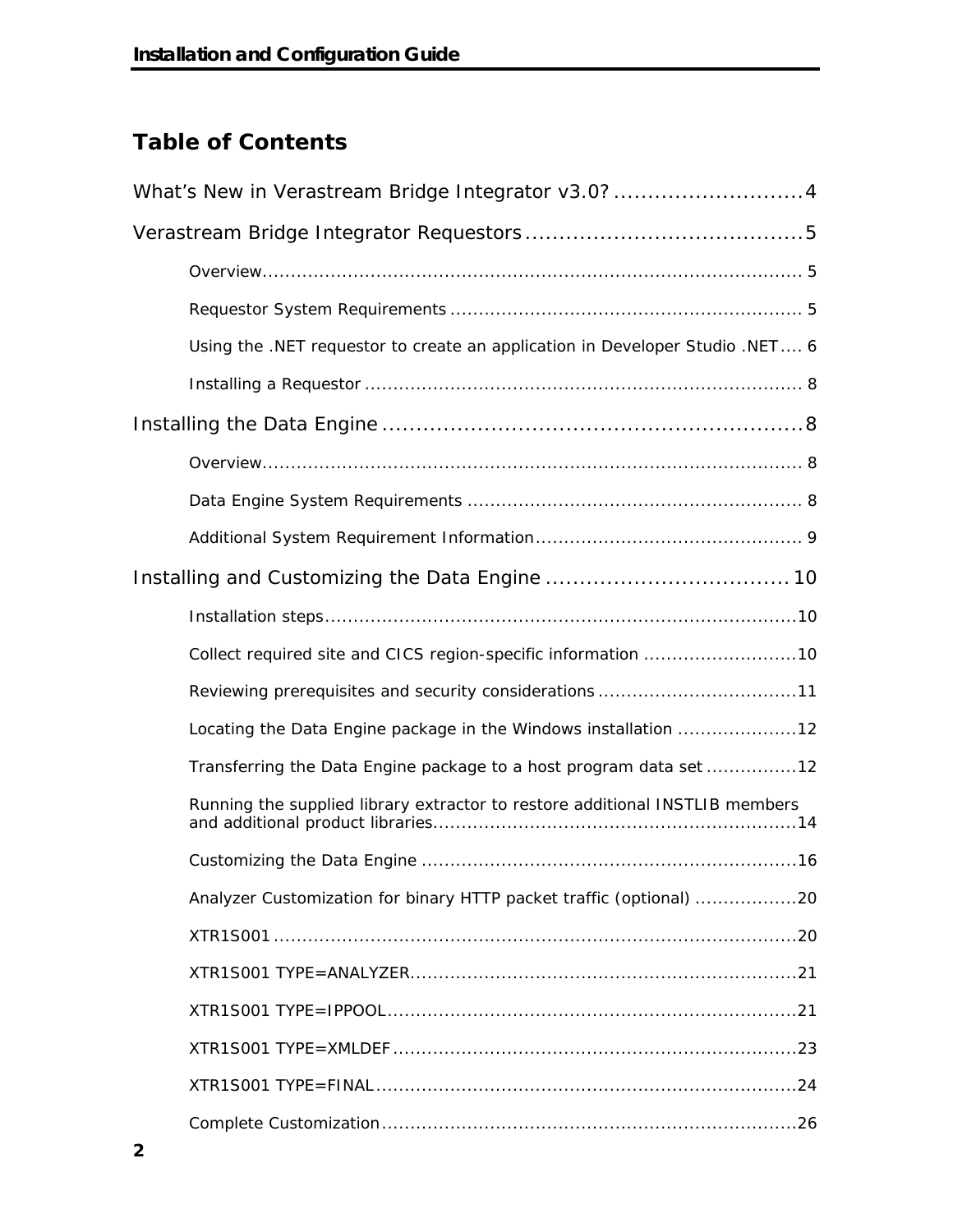# **Table of Contents**

| What's New in Verastream Bridge Integrator v3.0? 4                           |
|------------------------------------------------------------------------------|
|                                                                              |
|                                                                              |
|                                                                              |
| Using the .NET requestor to create an application in Developer Studio .NET 6 |
|                                                                              |
|                                                                              |
|                                                                              |
|                                                                              |
|                                                                              |
|                                                                              |
|                                                                              |
|                                                                              |
|                                                                              |
| Locating the Data Engine package in the Windows installation 12              |
| Transferring the Data Engine package to a host program data set 12           |
| Running the supplied library extractor to restore additional INSTLIB members |
|                                                                              |
| Analyzer Customization for binary HTTP packet traffic (optional) 20          |
|                                                                              |
|                                                                              |
|                                                                              |
|                                                                              |
|                                                                              |
|                                                                              |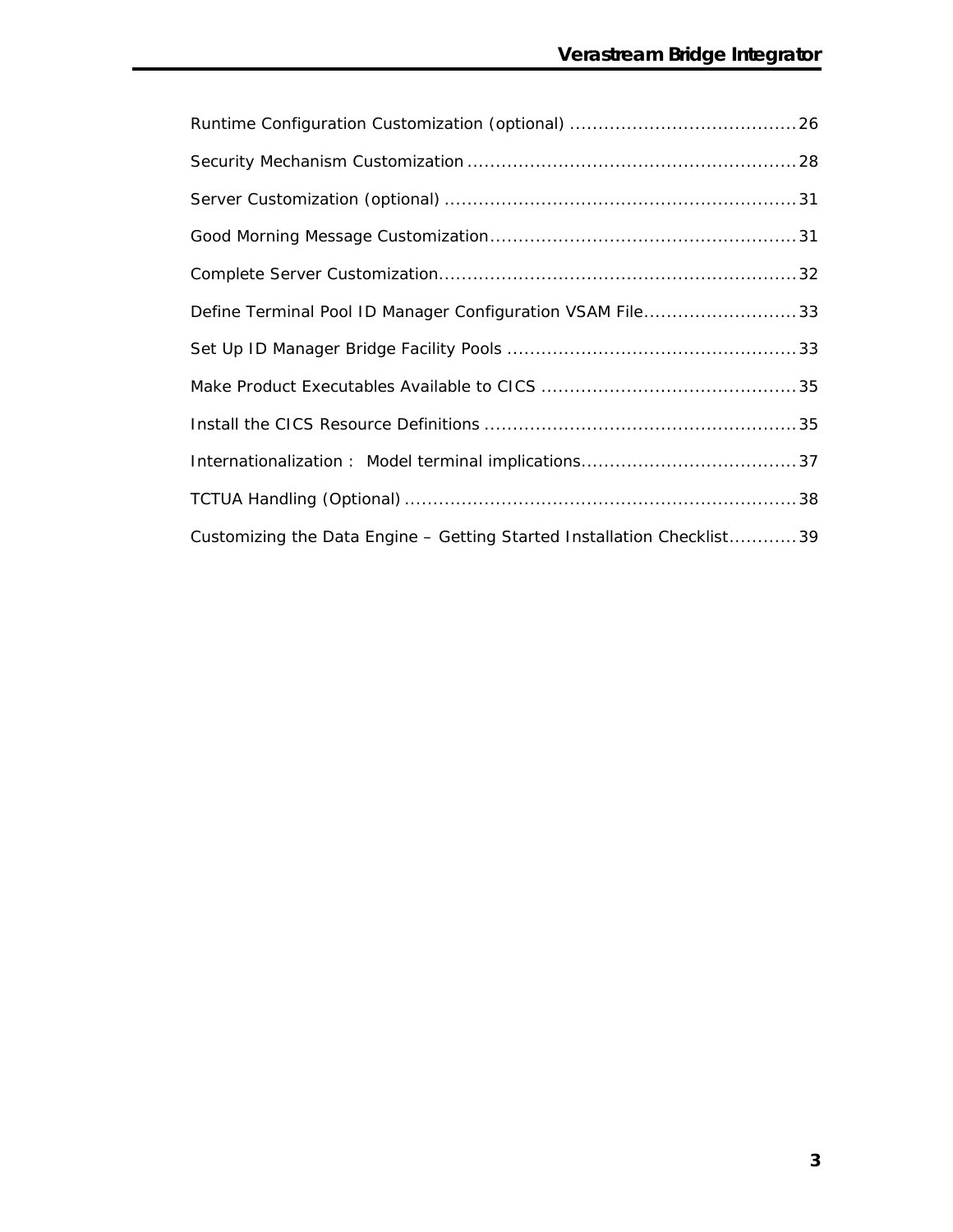| Define Terminal Pool ID Manager Configuration VSAM File33              |
|------------------------------------------------------------------------|
|                                                                        |
|                                                                        |
|                                                                        |
|                                                                        |
|                                                                        |
| Customizing the Data Engine - Getting Started Installation Checklist39 |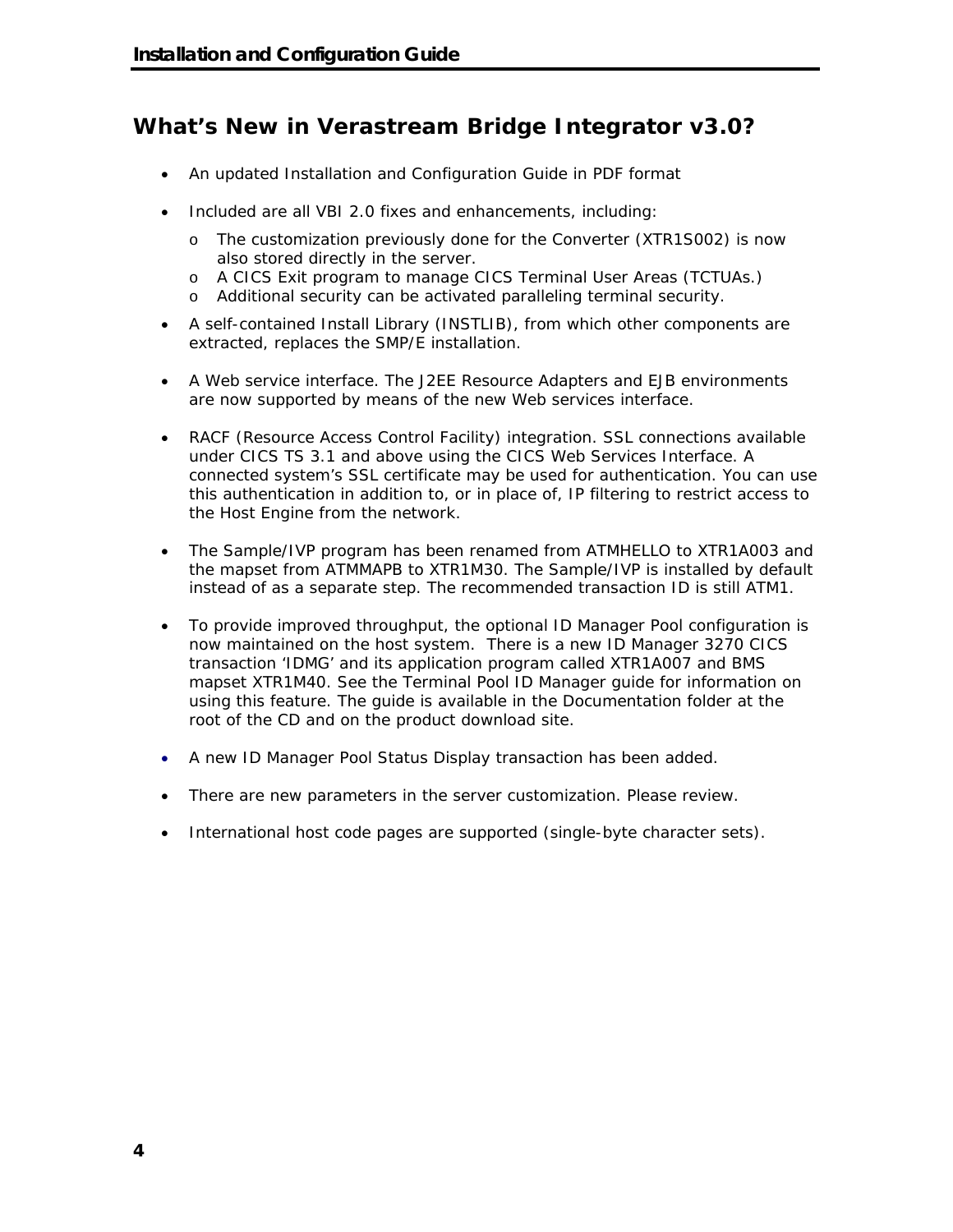### **What's New in Verastream Bridge Integrator v3.0?**

- An updated Installation and Configuration Guide in PDF format
- Included are all VBI 2.0 fixes and enhancements, including:
	- o The customization previously done for the Converter (XTR1S002) is now also stored directly in the server.
	- o A CICS Exit program to manage CICS Terminal User Areas (TCTUAs.)
	- o Additional security can be activated paralleling terminal security.
- A self-contained Install Library (INSTLIB), from which other components are extracted, replaces the SMP/E installation.
- A Web service interface. The J2EE Resource Adapters and EJB environments are now supported by means of the new Web services interface.
- RACF (Resource Access Control Facility) integration. SSL connections available under CICS TS 3.1 and above using the CICS Web Services Interface. A connected system's SSL certificate may be used for authentication. You can use this authentication in addition to, or in place of, IP filtering to restrict access to the Host Engine from the network.
- The Sample/IVP program has been renamed from ATMHELLO to XTR1A003 and the mapset from ATMMAPB to XTR1M30. The Sample/IVP is installed by default instead of as a separate step. The recommended transaction ID is still ATM1.
- To provide improved throughput, the optional ID Manager Pool configuration is now maintained on the host system. There is a new ID Manager 3270 CICS transaction 'IDMG' and its application program called XTR1A007 and BMS mapset XTR1M40. See the Terminal Pool ID Manager guide for information on using this feature. The guide is available in the Documentation folder at the root of the CD and on the product download site.
- A new ID Manager Pool Status Display transaction has been added.
- There are new parameters in the server customization. Please review.
- International host code pages are supported (single-byte character sets).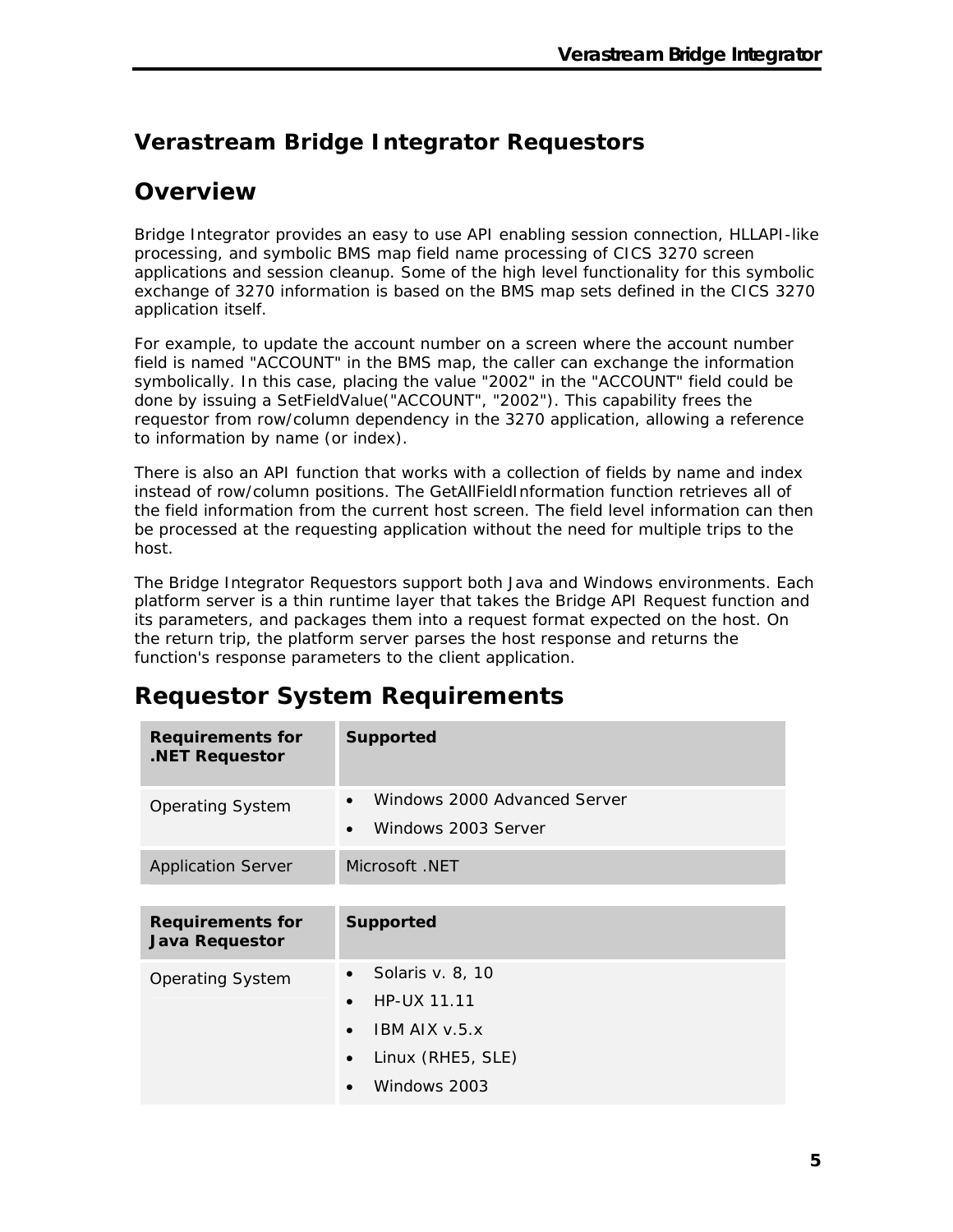## **Verastream Bridge Integrator Requestors**

### **Overview**

Bridge Integrator provides an easy to use API enabling session connection, HLLAPI-like processing, and symbolic BMS map field name processing of CICS 3270 screen applications and session cleanup. Some of the high level functionality for this symbolic exchange of 3270 information is based on the BMS map sets defined in the CICS 3270 application itself.

For example, to update the account number on a screen where the account number field is named "ACCOUNT" in the BMS map, the caller can exchange the information symbolically. In this case, placing the value "2002" in the "ACCOUNT" field could be done by issuing a SetFieldValue("ACCOUNT", "2002"). This capability frees the requestor from row/column dependency in the 3270 application, allowing a reference to information by name (or index).

There is also an API function that works with a collection of fields by name and index instead of row/column positions. The GetAllFieldInformation function retrieves all of the field information from the current host screen. The field level information can then be processed at the requesting application without the need for multiple trips to the host.

The Bridge Integrator Requestors support both Java and Windows environments. Each platform server is a thin runtime layer that takes the Bridge API Request function and its parameters, and packages them into a request format expected on the host. On the return trip, the platform server parses the host response and returns the function's response parameters to the client application.

# **Requestor System Requirements**

| <b>Requirements for</b><br>.NET Requestor        | <b>Supported</b>                                                                                                                 |
|--------------------------------------------------|----------------------------------------------------------------------------------------------------------------------------------|
| <b>Operating System</b>                          | Windows 2000 Advanced Server<br>$\bullet$<br>Windows 2003 Server<br>$\bullet$                                                    |
| <b>Application Server</b>                        | Microsoft .NET                                                                                                                   |
| <b>Requirements for</b><br><b>Java Requestor</b> | <b>Supported</b>                                                                                                                 |
| <b>Operating System</b>                          | Solaris v. 8, 10<br>HP-UX 11.11<br>$\bullet$<br>$IBM$ AIX $v.5.x$<br>$\bullet$<br>Linux (RHE5, SLE)<br>$\bullet$<br>Windows 2003 |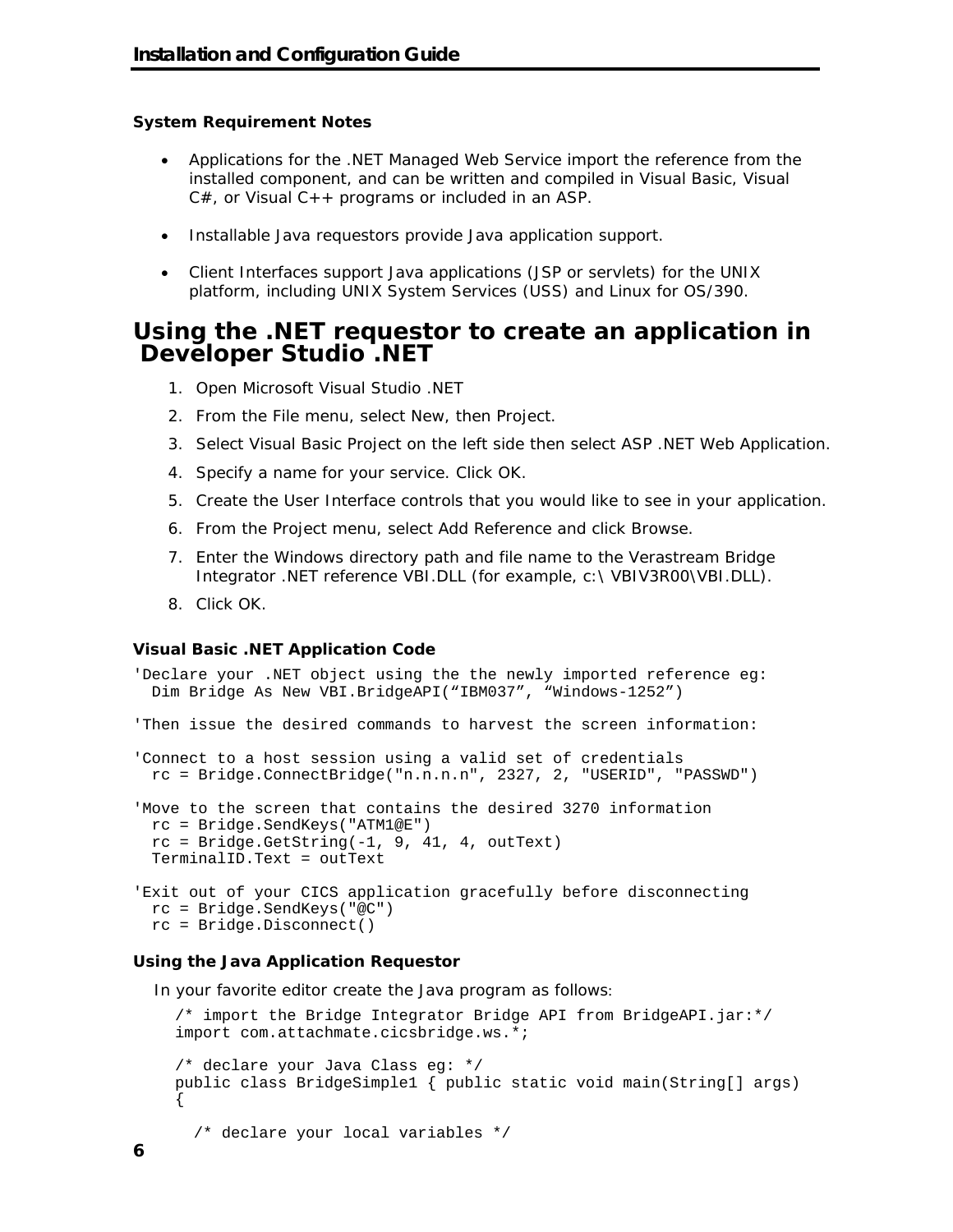#### **System Requirement Notes**

- Applications for the .NET Managed Web Service import the reference from the installed component, and can be written and compiled in Visual Basic, Visual  $C#$ , or Visual  $C++$  programs or included in an ASP.
- Installable Java requestors provide Java application support.
- Client Interfaces support Java applications (JSP or servlets) for the UNIX platform, including UNIX System Services (USS) and Linux for OS/390.

### **Using the .NET requestor to create an application in Developer Studio .NET**

- 1. Open Microsoft Visual Studio .NET
- 2. From the File menu, select New, then Project.
- 3. Select Visual Basic Project on the left side then select ASP .NET Web Application.
- 4. Specify a name for your service. Click OK.
- 5. Create the User Interface controls that you would like to see in your application.
- 6. From the Project menu, select Add Reference and click Browse.
- 7. Enter the Windows directory path and file name to the Verastream Bridge Integrator .NET reference VBI.DLL (for example, c:\ VBIV3R00\VBI.DLL).
- 8. Click OK.

#### **Visual Basic .NET Application Code**

```
'Declare your .NET object using the the newly imported reference eg: 
  Dim Bridge As New VBI.BridgeAPI("IBM037", "Windows-1252") 
'Then issue the desired commands to harvest the screen information: 
'Connect to a host session using a valid set of credentials 
  rc = Bridge.ConnectBridge("n.n.n.n", 2327, 2, "USERID", "PASSWD") 
'Move to the screen that contains the desired 3270 information 
  rc = Bridge.SendKeys("ATM1@E") 
 rc = Bridge.GetString(-1, 9, 41, 4, outText) TerminalID.Text = outText 
'Exit out of your CICS application gracefully before disconnecting 
  rc = Bridge.SendKeys("@C") 
  rc = Bridge.Disconnect()
```
#### **Using the Java Application Requestor**

In your favorite editor create the Java program as follows:

```
/* import the Bridge Integrator Bridge API from BridgeAPI.jar:*/ 
import com.attachmate.cicsbridge.ws.*; 
/* declare your Java Class eg: */ 
public class BridgeSimple1 { public static void main(String[] args) 
{ 
   /* declare your local variables */
```
**6**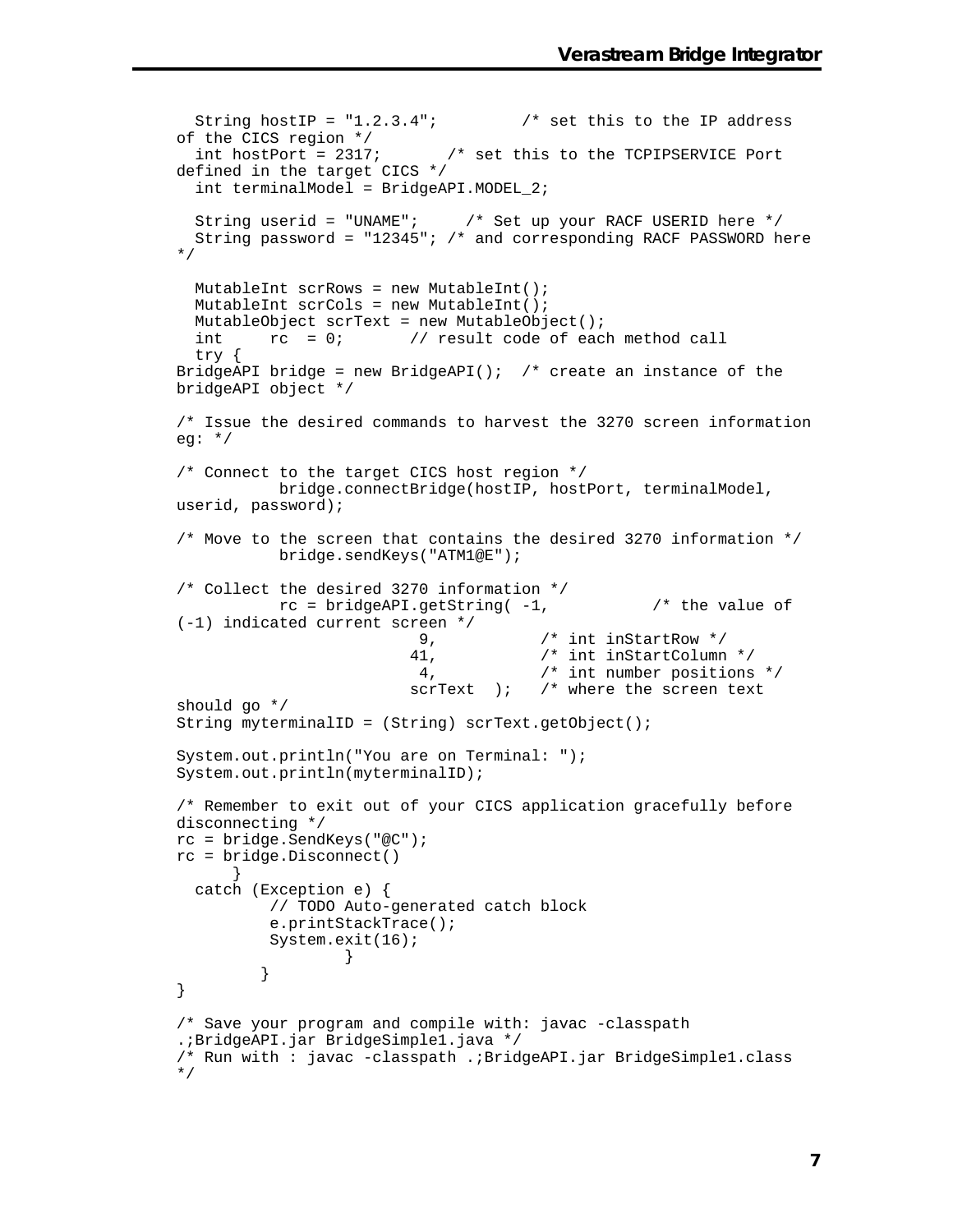```
String hostIP = "1.2.3.4"; /* set this to the IP address
of the CICS region */<br>int hostPort = 2317;
                             /* set this to the TCPIPSERVICE Port
defined in the target CICS */ 
   int terminalModel = BridgeAPI.MODEL_2; 
   String userid = "UNAME"; /* Set up your RACF USERID here */ 
  String password = "12345"; /* and corresponding RACF PASSWORD here 
*/ 
   MutableInt scrRows = new MutableInt(); 
   MutableInt scrCols = new MutableInt(); 
   MutableObject scrText = new MutableObject(); 
  int rc = 0; // result code of each method call
   try { 
BridgeAPI bridge = new BridgeAPI(); /* create an instance of the
bridgeAPI object */ 
/* Issue the desired commands to harvest the 3270 screen information 
eg: */ 
/* Connect to the target CICS host region */ 
           bridge.connectBridge(hostIP, hostPort, terminalModel, 
userid, password); 
/* Move to the screen that contains the desired 3270 information */ 
           bridge.sendKeys("ATM1@E"); 
/* Collect the desired 3270 information */ 
          rc = bridgeAPI.getString(-1, /* the value of
(-1) indicated current screen */ 
                           9, /* int inStartRow */ 
                          41, /* int inStartColumn */ 
                           4, /* int number positions */ 
                         scrText ); /* where the screen text
should go */ 
String myterminalID = (String) scrText.getObject(); 
System.out.println("You are on Terminal: "); 
System.out.println(myterminalID); 
/* Remember to exit out of your CICS application gracefully before 
disconnecting */ 
rc = bridge.SendKeys("@C"); 
rc = bridge.Disconnect() 
 } 
   catch (Exception e) { 
           // TODO Auto-generated catch block 
           e.printStackTrace(); 
          System.exit(16);<br>}
 } 
          } 
} 
/* Save your program and compile with: javac -classpath 
.;BridgeAPI.jar BridgeSimple1.java */ 
/* Run with : javac -classpath .;BridgeAPI.jar BridgeSimple1.class 
*/
```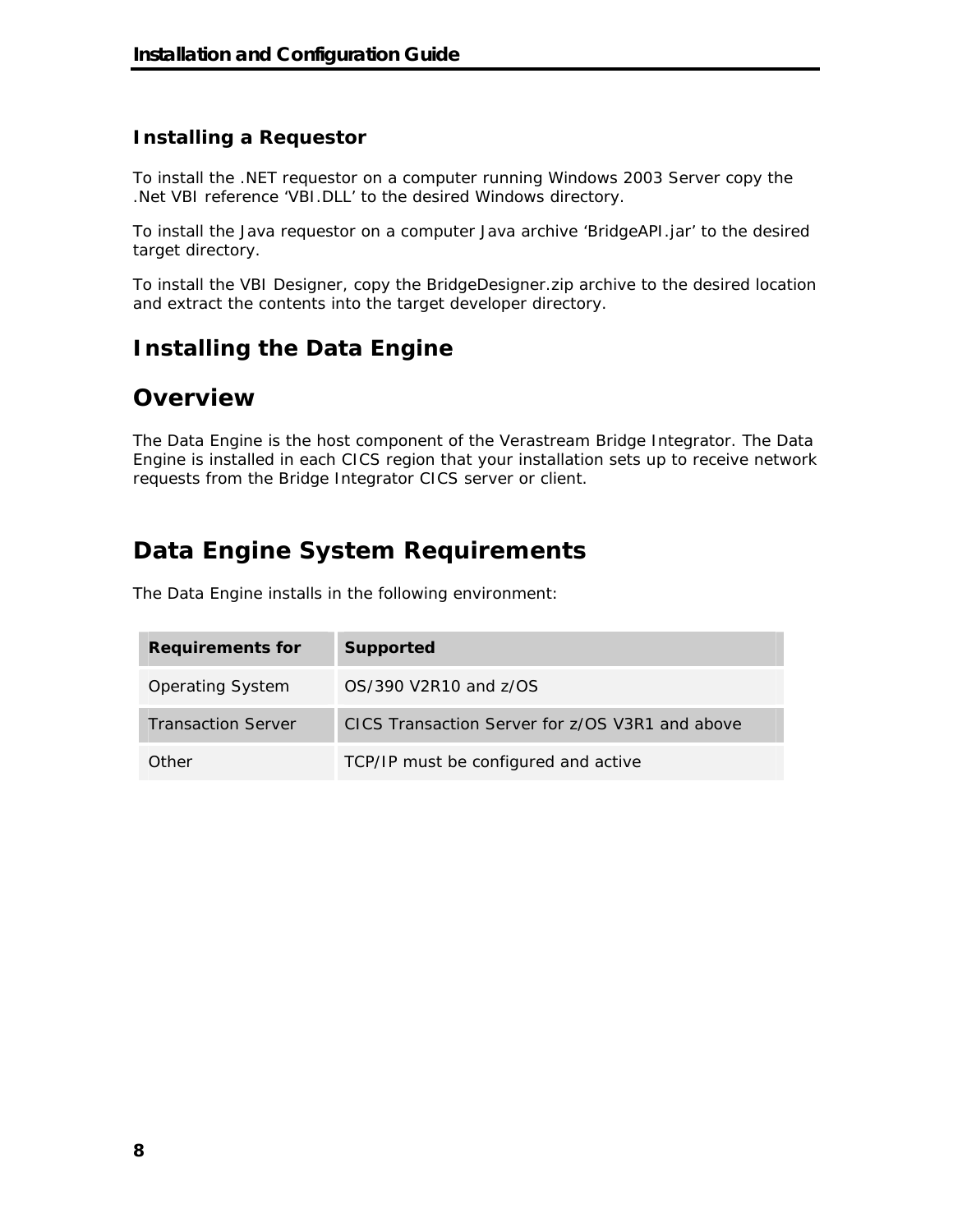#### **Installing a Requestor**

To install the .NET requestor on a computer running Windows 2003 Server copy the .Net VBI reference 'VBI.DLL' to the desired Windows directory.

To install the Java requestor on a computer Java archive 'BridgeAPI.jar' to the desired target directory.

To install the VBI Designer, copy the BridgeDesigner.zip archive to the desired location and extract the contents into the target developer directory.

## **Installing the Data Engine**

### **Overview**

The Data Engine is the host component of the Verastream Bridge Integrator. The Data Engine is installed in each CICS region that your installation sets up to receive network requests from the Bridge Integrator CICS server or client.

# **Data Engine System Requirements**

The Data Engine installs in the following environment:

| <b>Requirements for</b>   | Supported                                       |
|---------------------------|-------------------------------------------------|
| <b>Operating System</b>   | OS/390 V2R10 and z/OS                           |
| <b>Transaction Server</b> | CICS Transaction Server for z/OS V3R1 and above |
| Other                     | TCP/IP must be configured and active            |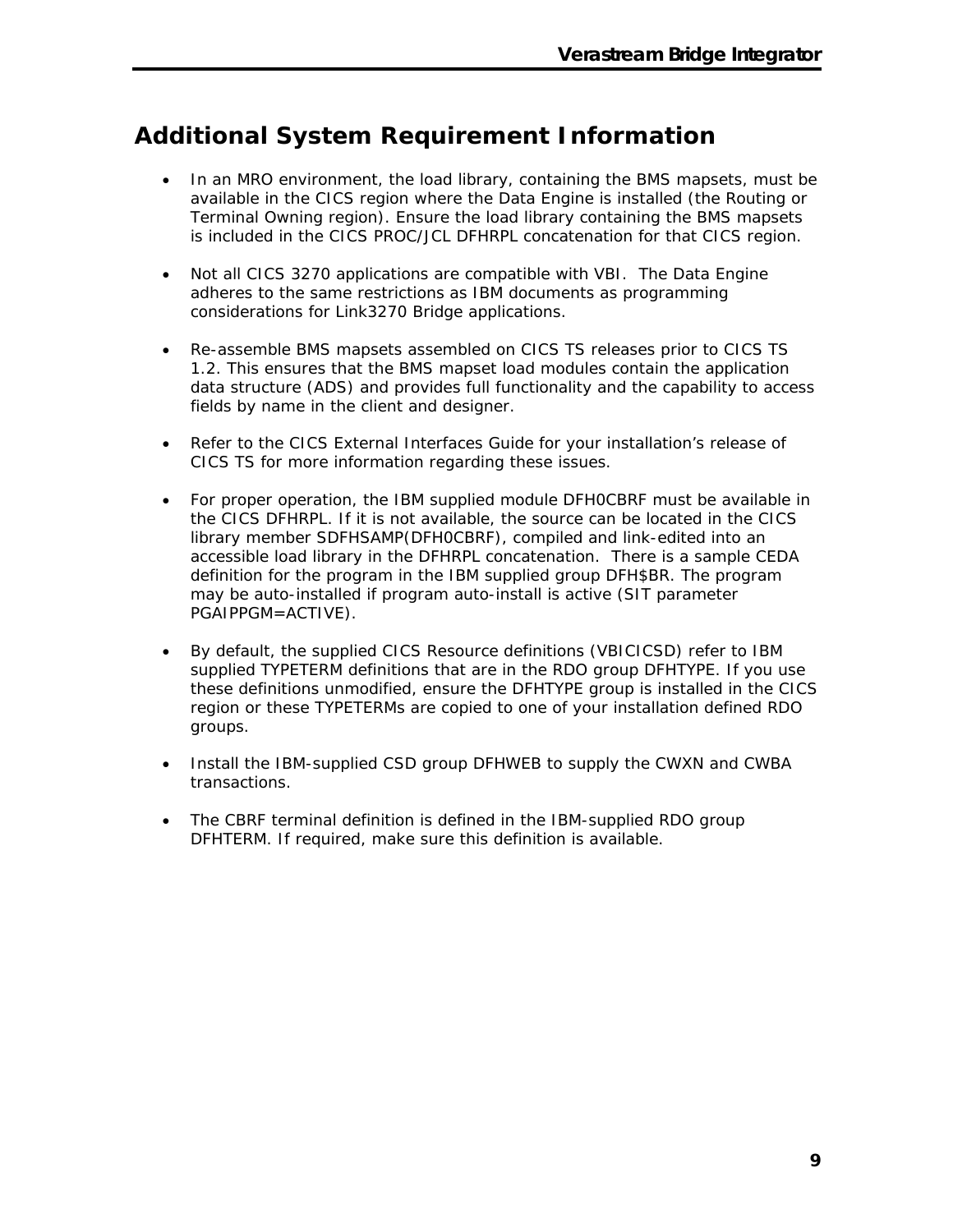# **Additional System Requirement Information**

- In an MRO environment, the load library, containing the BMS mapsets, must be available in the CICS region where the Data Engine is installed (the Routing or Terminal Owning region). Ensure the load library containing the BMS mapsets is included in the CICS PROC/JCL DFHRPL concatenation for that CICS region.
- Not all CICS 3270 applications are compatible with VBI. The Data Engine adheres to the same restrictions as IBM documents as programming considerations for Link3270 Bridge applications.
- Re-assemble BMS mapsets assembled on CICS TS releases prior to CICS TS 1.2. This ensures that the BMS mapset load modules contain the application data structure (ADS) and provides full functionality and the capability to access fields by name in the client and designer.
- Refer to the *CICS External Interfaces Guide* for your installation's release of CICS TS for more information regarding these issues.
- For proper operation, the IBM supplied module DFH0CBRF must be available in the CICS DFHRPL. If it is not available, the source can be located in the CICS library member SDFHSAMP(DFH0CBRF), compiled and link-edited into an accessible load library in the DFHRPL concatenation. There is a sample CEDA definition for the program in the IBM supplied group DFH\$BR. The program may be auto-installed if program auto-install is active (SIT parameter PGAIPPGM=ACTIVE).
- By default, the supplied CICS Resource definitions (VBICICSD) refer to IBM supplied TYPETERM definitions that are in the RDO group DFHTYPE. If you use these definitions unmodified, ensure the DFHTYPE group is installed in the CICS region or these TYPETERMs are copied to one of your installation defined RDO groups.
- Install the IBM-supplied CSD group DFHWEB to supply the CWXN and CWBA transactions.
- The CBRF terminal definition is defined in the IBM-supplied RDO group DFHTERM. If required, make sure this definition is available.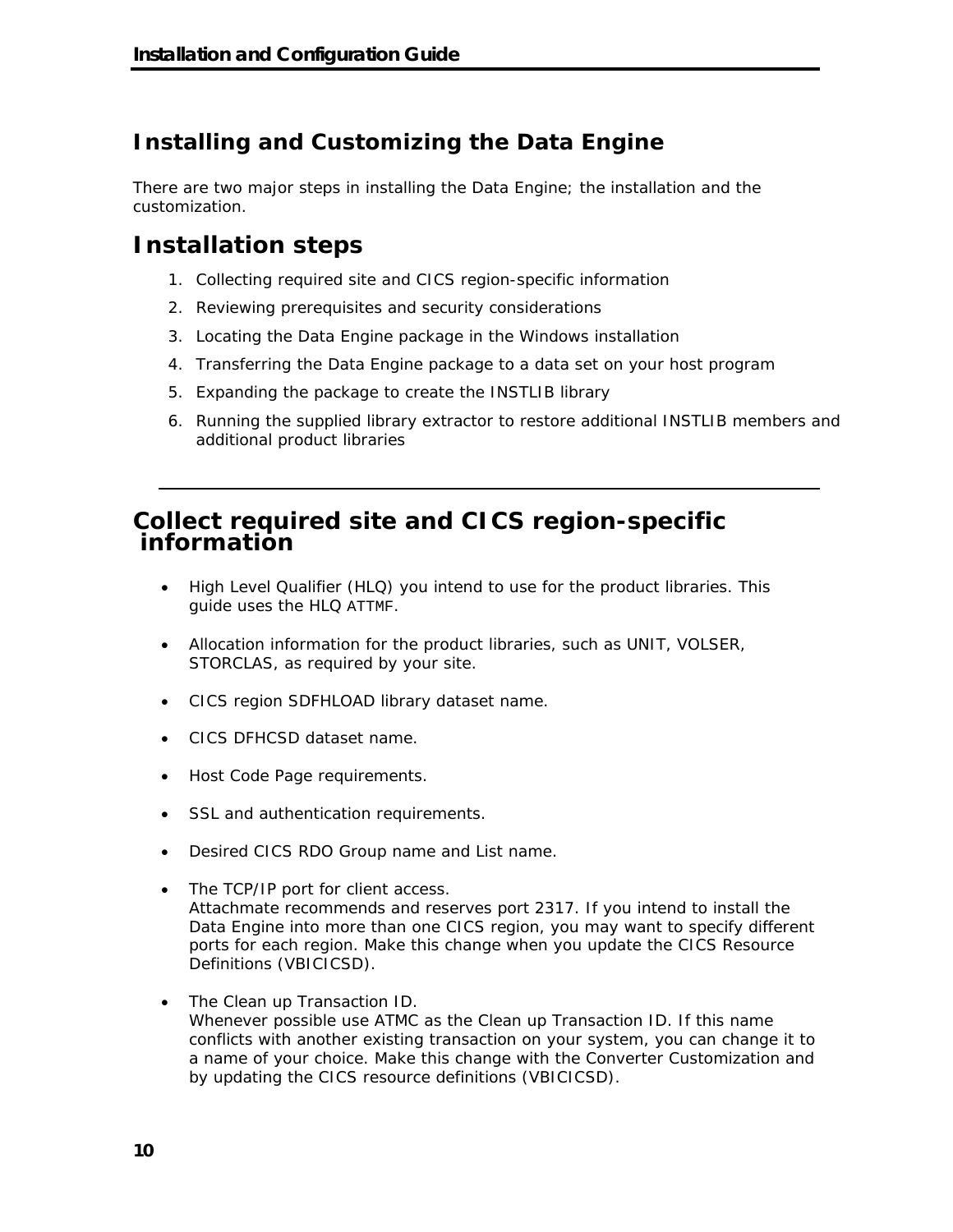## **Installing and Customizing the Data Engine**

There are two major steps in installing the Data Engine; the installation and the customization.

## **Installation steps**

- 1. Collecting required site and CICS region-specific information
- 2. Reviewing prerequisites and security considerations
- 3. Locating the Data Engine package in the Windows installation
- 4. Transferring the Data Engine package to a data set on your host program
- 5. Expanding the package to create the INSTLIB library
- 6. Running the supplied library extractor to restore additional INSTLIB members and additional product libraries

### **Collect required site and CICS region-specific information**

- High Level Qualifier (HLQ) you intend to use for the product libraries. This guide uses the HLQ ATTMF.
- Allocation information for the product libraries, such as UNIT, VOLSER, STORCLAS, as required by your site.
- CICS region SDFHLOAD library dataset name.
- CICS DFHCSD dataset name.
- Host Code Page requirements.
- SSL and authentication requirements.
- Desired CICS RDO Group name and List name.
- The TCP/IP port for client access. Attachmate recommends and reserves port 2317. If you intend to install the Data Engine into more than one CICS region, you may want to specify different ports for each region. Make this change when you update the CICS Resource Definitions (VBICICSD).
- The Clean up Transaction ID. Whenever possible use ATMC as the Clean up Transaction ID. If this name conflicts with another existing transaction on your system, you can change it to a name of your choice. Make this change with the Converter Customization and by updating the CICS resource definitions (VBICICSD).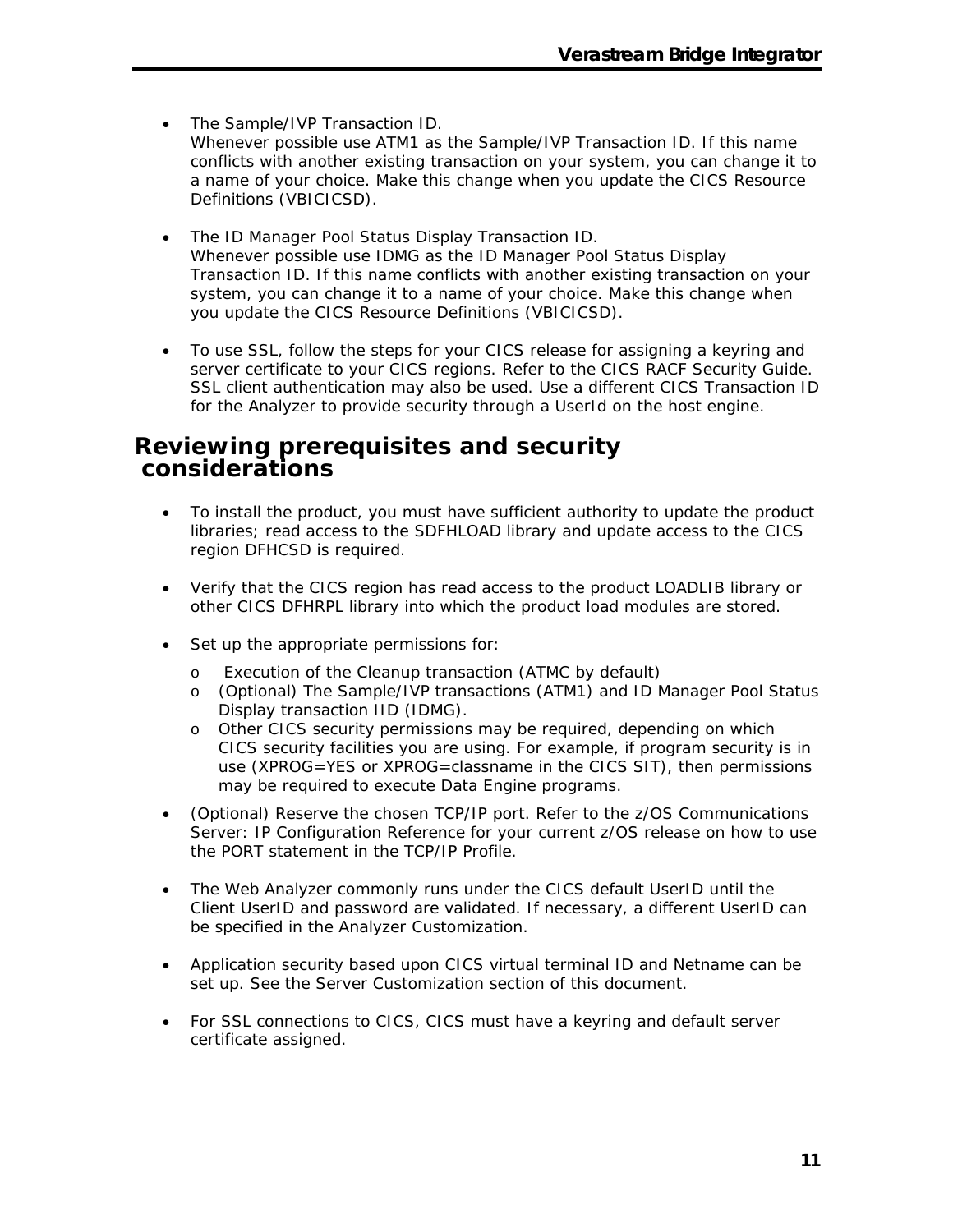- The Sample/IVP Transaction ID. Whenever possible use ATM1 as the Sample/IVP Transaction ID. If this name conflicts with another existing transaction on your system, you can change it to a name of your choice. Make this change when you update the CICS Resource Definitions (VBICICSD).
- The ID Manager Pool Status Display Transaction ID. Whenever possible use IDMG as the ID Manager Pool Status Display Transaction ID. If this name conflicts with another existing transaction on your system, you can change it to a name of your choice. Make this change when you update the CICS Resource Definitions (VBICICSD).
- To use SSL, follow the steps for your CICS release for assigning a keyring and server certificate to your CICS regions. Refer to the *CICS RACF Security Guide*. SSL client authentication may also be used. Use a different CICS Transaction ID for the Analyzer to provide security through a UserId on the host engine.

### **Reviewing prerequisites and security considerations**

- To install the product, you must have sufficient authority to update the product libraries; read access to the SDFHLOAD library and update access to the CICS region DFHCSD is required.
- Verify that the CICS region has read access to the product LOADLIB library or other CICS DFHRPL library into which the product load modules are stored.
- Set up the appropriate permissions for:
	- o Execution of the Cleanup transaction (ATMC by default)
	- o (Optional) The Sample/IVP transactions (ATM1) and ID Manager Pool Status Display transaction IID (IDMG).
	- o Other CICS security permissions may be required, depending on which CICS security facilities you are using. For example, if program security is in use (XPROG=YES or XPROG=classname in the CICS SIT), then permissions may be required to execute Data Engine programs.
- (Optional) Reserve the chosen TCP/IP port. Refer to the *z/OS Communications Server: IP Configuration Reference* for your current z/OS release on how to use the PORT statement in the TCP/IP Profile.
- The Web Analyzer commonly runs under the CICS default UserID until the Client UserID and password are validated. If necessary, a different UserID can be specified in the Analyzer Customization.
- Application security based upon CICS virtual terminal ID and Netname can be set up. See the Server Customization section of this document.
- For SSL connections to CICS, CICS must have a keyring and default server certificate assigned.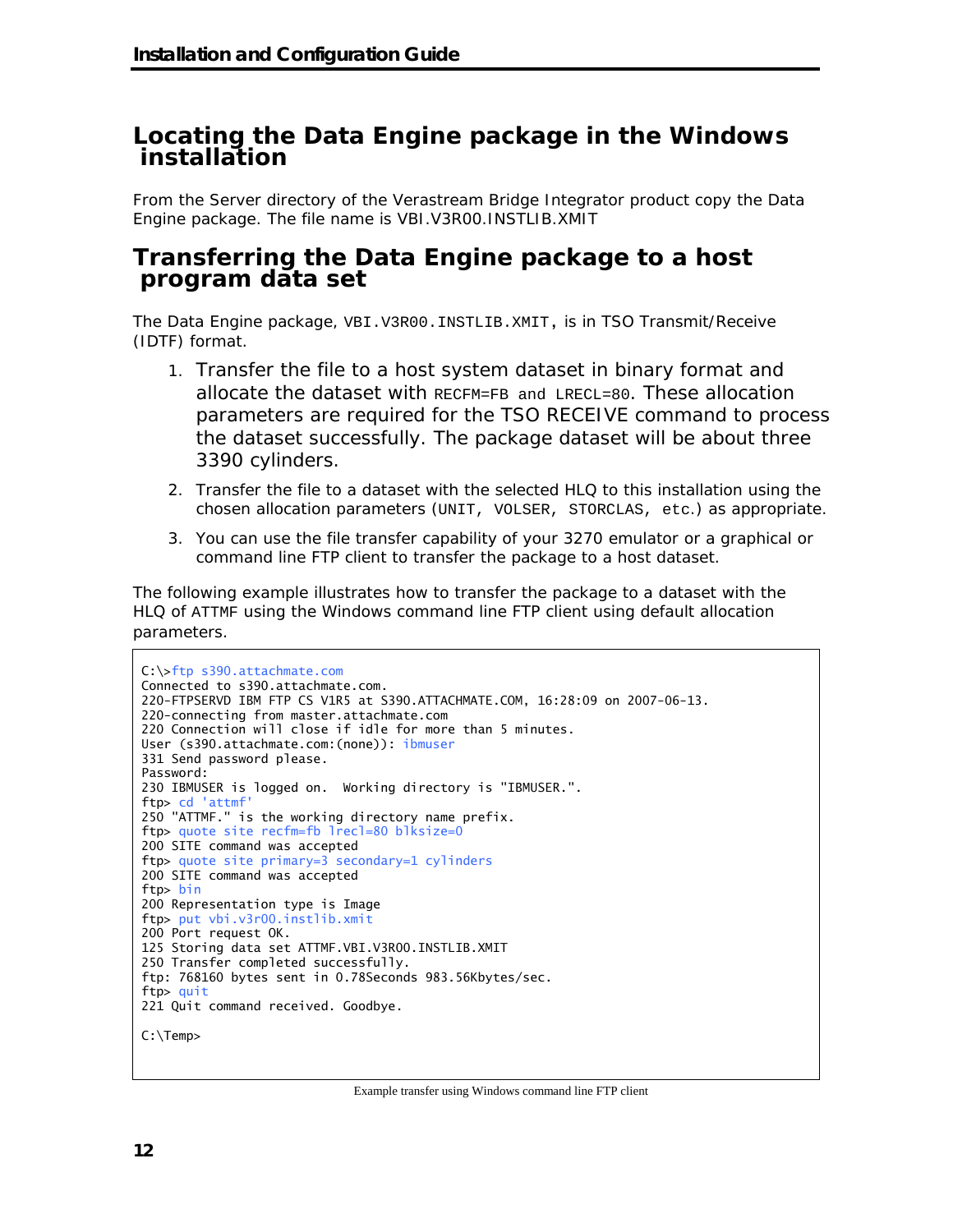### **Locating the Data Engine package in the Windows installation**

From the Server directory of the Verastream Bridge Integrator product copy the Data Engine package. The file name is VBI.V3R00.INSTLIB.XMIT

### **Transferring the Data Engine package to a host program data set**

The Data Engine package, VBI.V3R00.INSTLIB.XMIT, is in TSO Transmit/Receive (IDTF) format.

- 1. Transfer the file to a host system dataset in binary format and allocate the dataset with RECFM=FB and LRECL=80. These allocation parameters are required for the TSO RECEIVE command to process the dataset successfully. The package dataset will be about three 3390 cylinders.
- 2. Transfer the file to a dataset with the selected HLQ to this installation using the chosen allocation parameters (UNIT, VOLSER, STORCLAS, etc.) as appropriate.
- 3. You can use the file transfer capability of your 3270 emulator or a graphical or command line FTP client to transfer the package to a host dataset.

The following example illustrates how to transfer the package to a dataset with the HLQ of ATTMF using the Windows command line FTP client using default allocation parameters.

```
C:\>ftp s390.attachmate.com 
Connected to s390.attachmate.com. 
220-FTPSERVD IBM FTP CS V1R5 at S390.ATTACHMATE.COM, 16:28:09 on 2007-06-13. 
220-connecting from master.attachmate.com 
220 Connection will close if idle for more than 5 minutes. 
User (s390.attachmate.com:(none)): ibmuser
331 Send password please. 
Password:
230 IBMUSER is logged on. Working directory is "IBMUSER.". 
ftp> cd 'attmf' 
250 "ATTMF." is the working directory name prefix. 
ftp> quote site recfm=fb lrecl=80 blksize=0 
200 SITE command was accepted 
ftp> quote site primary=3 secondary=1 cylinders 
200 SITE command was accepted 
ftp> bin 
200 Representation type is Image 
ftp> put vbi.v3r00.instlib.xmit 
200 Port request OK. 
125 Storing data set ATTMF.VBI.V3R00.INSTLIB.XMIT 
250 Transfer completed successfully. 
ftp: 768160 bytes sent in 0.78Seconds 983.56Kbytes/sec. 
ftp> quit 
221 Quit command received. Goodbye. 
C:\Temp>
```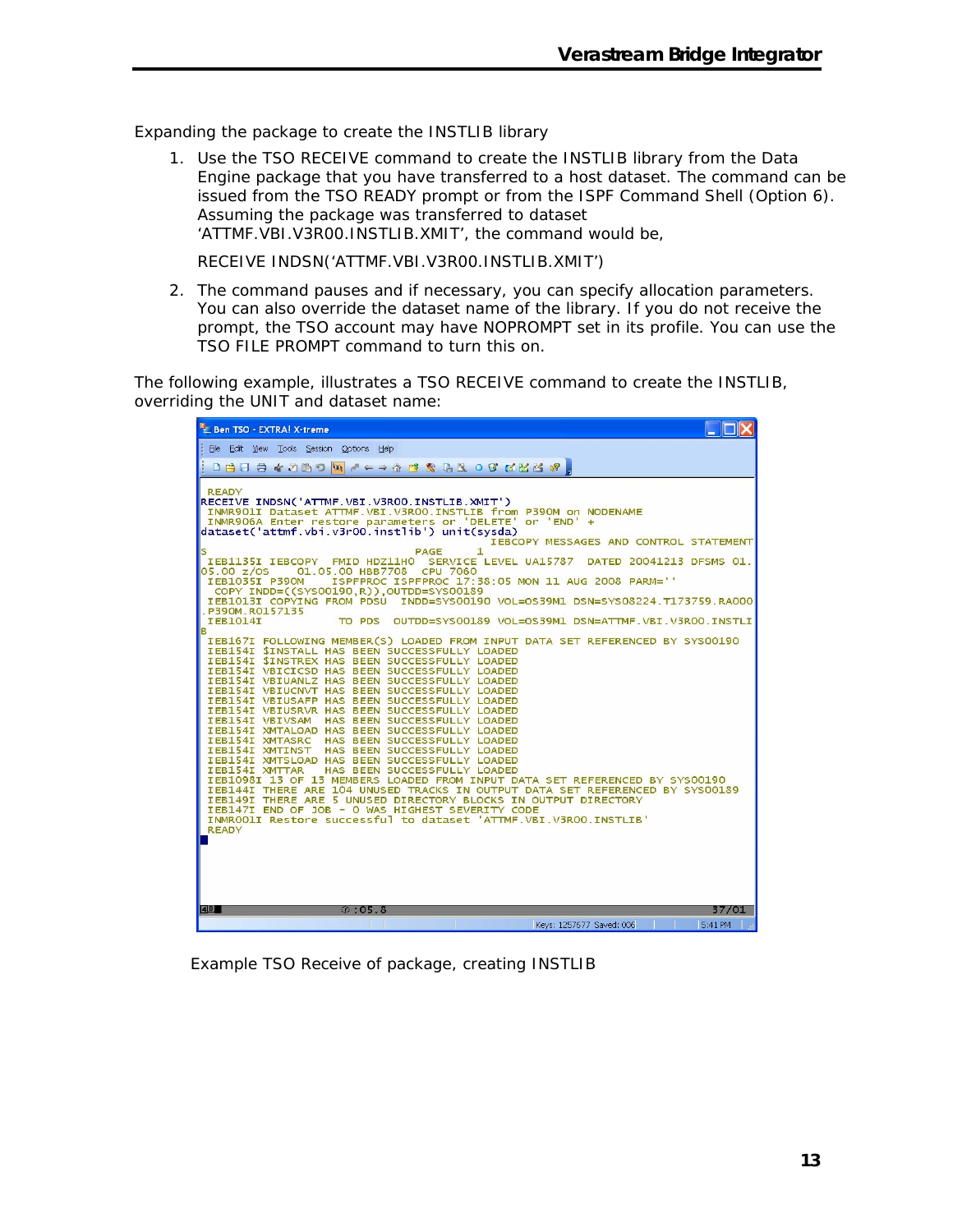Expanding the package to create the INSTLIB library

1. Use the TSO RECEIVE command to create the INSTLIB library from the Data Engine package that you have transferred to a host dataset. The command can be issued from the TSO READY prompt or from the ISPF Command Shell (Option 6). Assuming the package was transferred to dataset 'ATTMF.VBI.V3R00.INSTLIB.XMIT', the command would be,

RECEIVE INDSN('ATTMF.VBI.V3R00.INSTLIB.XMIT')

2. The command pauses and if necessary, you can specify allocation parameters. You can also override the dataset name of the library. If you do not receive the prompt, the TSO account may have NOPROMPT set in its profile. You can use the TSO FILE PROMPT command to turn this on.

The following example, illustrates a TSO RECEIVE command to create the INSTLIB, overriding the UNIT and dataset name:

| B_Ben TSO - EXTRA! X-treme                                                                                                                                                                                                                                                                                                                                                                                                                                                                                                                                                                                                                                                                                                                                                                                                                                                                                                                                                                                                                                                                                                                                                                                                                                                                                                                                                                                                                                                                                                                                                                                                                                                                                                                                                                                                                                                          |
|-------------------------------------------------------------------------------------------------------------------------------------------------------------------------------------------------------------------------------------------------------------------------------------------------------------------------------------------------------------------------------------------------------------------------------------------------------------------------------------------------------------------------------------------------------------------------------------------------------------------------------------------------------------------------------------------------------------------------------------------------------------------------------------------------------------------------------------------------------------------------------------------------------------------------------------------------------------------------------------------------------------------------------------------------------------------------------------------------------------------------------------------------------------------------------------------------------------------------------------------------------------------------------------------------------------------------------------------------------------------------------------------------------------------------------------------------------------------------------------------------------------------------------------------------------------------------------------------------------------------------------------------------------------------------------------------------------------------------------------------------------------------------------------------------------------------------------------------------------------------------------------|
| File Edit View Tools Session Options Help                                                                                                                                                                                                                                                                                                                                                                                                                                                                                                                                                                                                                                                                                                                                                                                                                                                                                                                                                                                                                                                                                                                                                                                                                                                                                                                                                                                                                                                                                                                                                                                                                                                                                                                                                                                                                                           |
| DBBB4000W/ < = ^ B & GROB LZX + 8                                                                                                                                                                                                                                                                                                                                                                                                                                                                                                                                                                                                                                                                                                                                                                                                                                                                                                                                                                                                                                                                                                                                                                                                                                                                                                                                                                                                                                                                                                                                                                                                                                                                                                                                                                                                                                                   |
| <b>READY</b><br>RECEIVE INDSN('ATTMF.VBI.V3ROO.INSTLIB.XMIT')<br>INMR901I Dataset ATTMF.VBI.V3R00.INSTLIB from P390M on NODENAME<br>INMR906A Enter restore parameters or 'DELETE' or 'END' +<br>dataset('attmf.vbi.v3r00.instlib') unit(sysda)<br>IEBCOPY MESSAGES AND CONTROL STATEMENT<br>PAGE<br>1.<br>IEB1135I IEBCOPY FMID HDZ11HO SERVICE LEVEL UA15787 DATED 20041213 DFSMS 01.<br>01.05.00 HBB7708 CPU 7060<br>05.00 z/os<br>IEB1035I P390M<br>ISPFPROC ISPFPROC 17:38:05 MON 11 AUG 2008 PARM=''<br>COPY INDD=((SYSO0190,R)), OUTDD=SYSO0189<br>IEB1013I COPYING FROM PDSU INDD=SYS00190 VOL=0S39M1 DSN=SYS08224.T173759.RA000<br>P390M.R0157135<br><b>IEB1014I</b><br>TO PDS<br>OUTDD=SYS00189 VOL=OS39M1 DSN=ATTMF.VBI.V3ROO.INSTLI<br>в<br>IEB167I FOLLOWING MEMBER(S) LOADED FROM INPUT DATA SET REFERENCED BY SYS00190<br>IEB154I SINSTALL HAS BEEN SUCCESSFULLY LOADED<br>IEB154I SINSTREX HAS BEEN SUCCESSFULLY LOADED<br>IEB154I VBICICSD HAS BEEN SUCCESSFULLY LOADED<br>IEB154I VBIUANLZ HAS BEEN SUCCESSFULLY LOADED<br>IEB154I VBIUCNVT HAS BEEN SUCCESSFULLY LOADED<br>IEB154I VBIUSAFP HAS BEEN SUCCESSFULLY LOADED<br>IEB154I VBIUSRVR HAS BEEN SUCCESSFULLY LOADED<br>IEB154I VBIVSAM HAS BEEN SUCCESSFULLY LOADED<br>IEB154I XMTALOAD HAS BEEN SUCCESSFULLY LOADED<br>IEB154I XMTASRC<br>HAS BEEN SUCCESSFULLY LOADED<br>IEB154I XMTINST<br>HAS BEEN SUCCESSFULLY LOADED<br>IEB154I XMTSLOAD HAS BEEN SUCCESSFULLY LOADED<br>HAS BEEN SUCCESSFULLY LOADED<br>IEB154I XMTTAR<br>IEB1098I 13 OF 13 MEMBERS LOADED FROM INPUT DATA SET REFERENCED BY SYS00190<br>IEB144I THERE ARE 104 UNUSED TRACKS IN OUTPUT DATA SET REFERENCED BY SYS00189<br>IEB149I THERE ARE 5 UNUSED DIRECTORY BLOCKS IN OUTPUT DIRECTORY<br>IEB147I END OF JOB - 0 WAS HIGHEST SEVERITY CODE<br>INMROOLI Restore successful to dataset 'ATTMF. VBI. V3ROO. INSTLIB'<br><b>READY</b> |
| 4B<br>05.8<br>37/01                                                                                                                                                                                                                                                                                                                                                                                                                                                                                                                                                                                                                                                                                                                                                                                                                                                                                                                                                                                                                                                                                                                                                                                                                                                                                                                                                                                                                                                                                                                                                                                                                                                                                                                                                                                                                                                                 |
| 5:41 PM<br>Keys: 1257677 Saved: 006                                                                                                                                                                                                                                                                                                                                                                                                                                                                                                                                                                                                                                                                                                                                                                                                                                                                                                                                                                                                                                                                                                                                                                                                                                                                                                                                                                                                                                                                                                                                                                                                                                                                                                                                                                                                                                                 |

Example TSO Receive of package, creating INSTLIB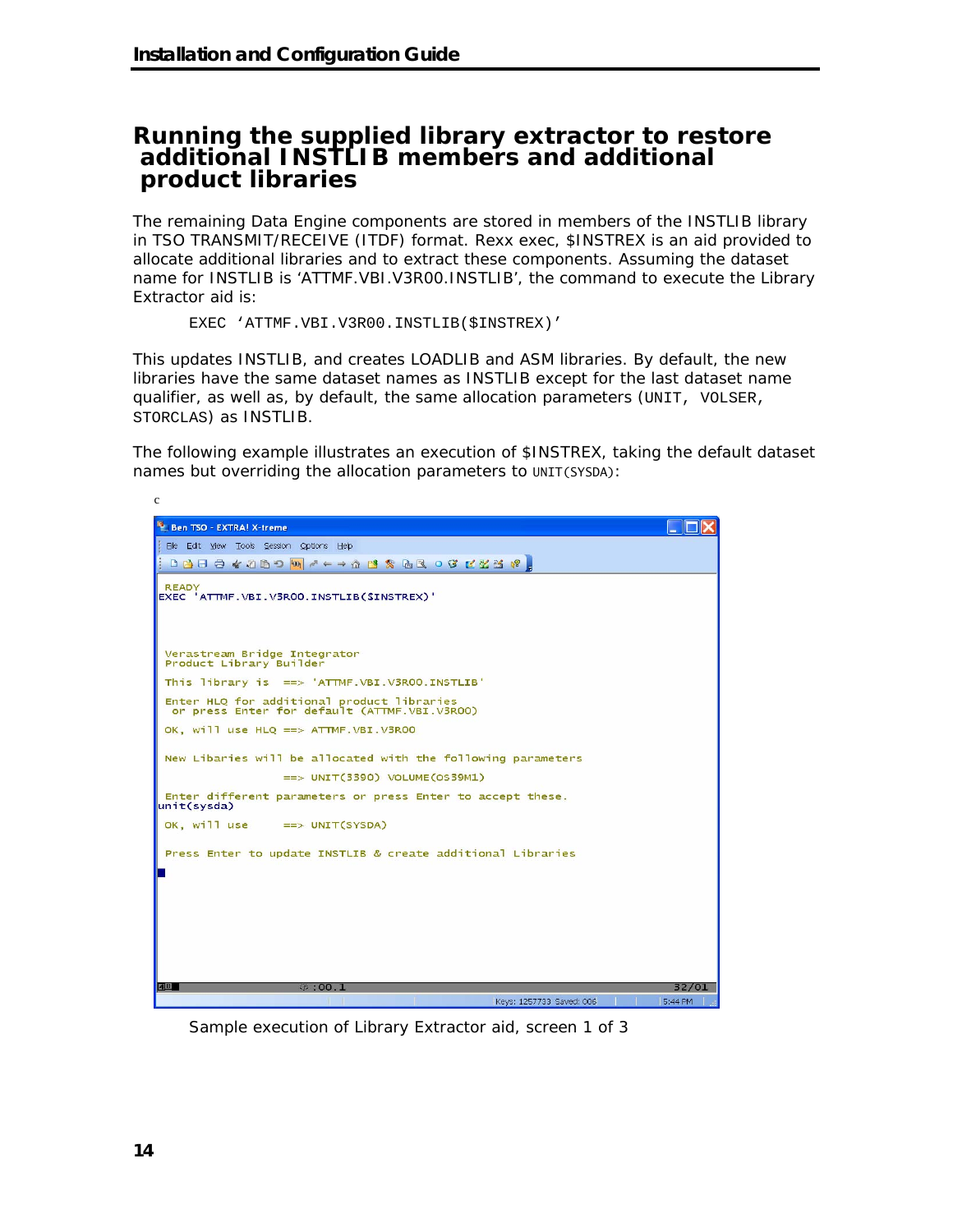### **Running the supplied library extractor to restore additional INSTLIB members and additional product libraries**

The remaining Data Engine components are stored in members of the INSTLIB library in TSO TRANSMIT/RECEIVE (ITDF) format. Rexx exec, \$INSTREX is an aid provided to allocate additional libraries and to extract these components. Assuming the dataset name for INSTLIB is 'ATTMF.VBI.V3R00.INSTLIB', the command to execute the Library Extractor aid is:

```
EXEC 'ATTMF.VBI.V3R00.INSTLIB($INSTREX)'
```
This updates INSTLIB, and creates LOADLIB and ASM libraries. By default, the new libraries have the same dataset names as INSTLIB except for the last dataset name qualifier, as well as, by default, the same allocation parameters (UNIT, VOLSER, STORCLAS) as INSTLIB.

The following example illustrates an execution of \$INSTREX, taking the default dataset names but overriding the allocation parameters to UNIT(SYSDA):



Sample execution of Library Extractor aid, screen 1 of 3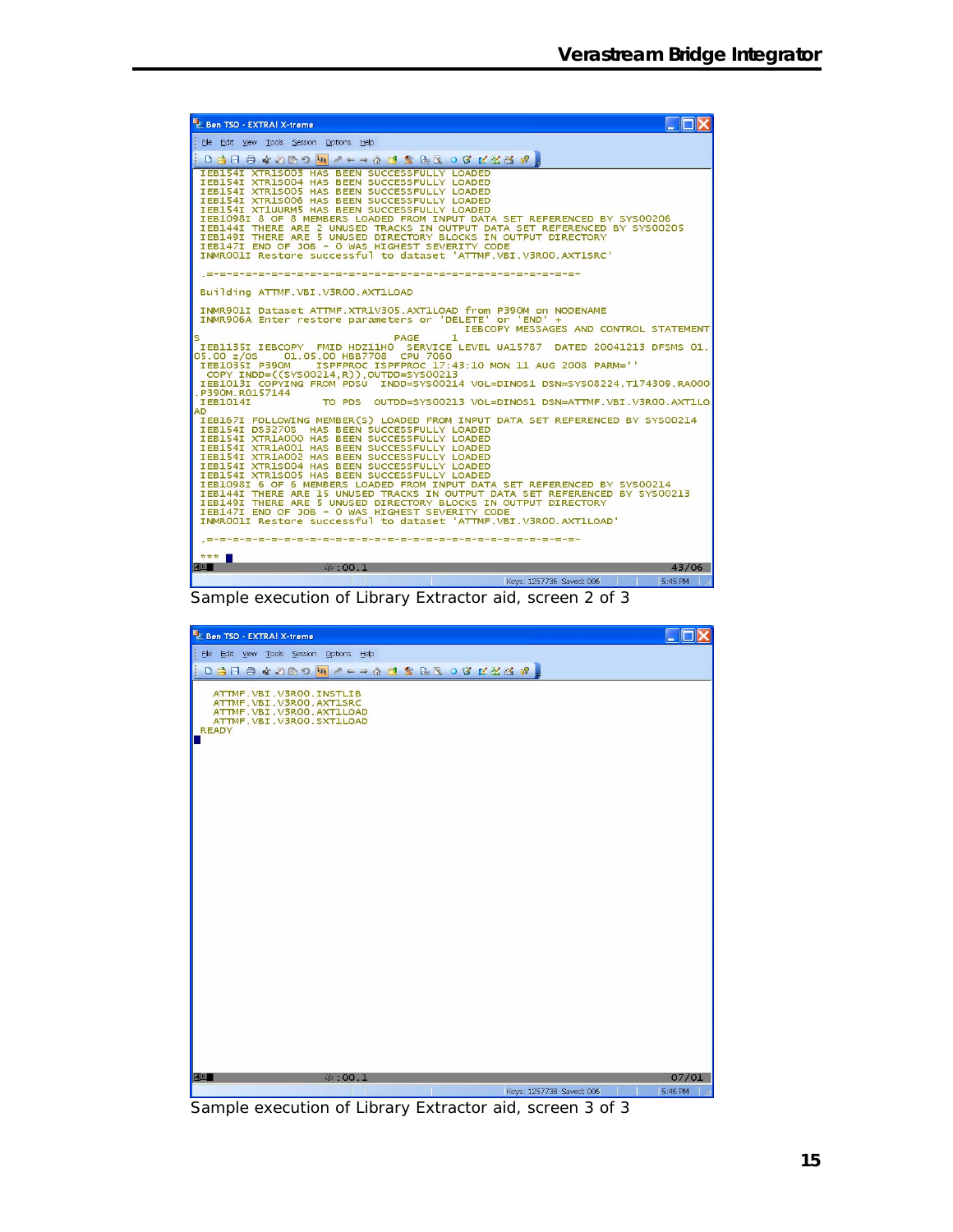| Ben TSO - EXTRA! X-treme                                                                                                                                                                                                                                                                                                                                                                                                                                                                                                                                                                                        |
|-----------------------------------------------------------------------------------------------------------------------------------------------------------------------------------------------------------------------------------------------------------------------------------------------------------------------------------------------------------------------------------------------------------------------------------------------------------------------------------------------------------------------------------------------------------------------------------------------------------------|
| Elle Edit View Tools Session Options Help                                                                                                                                                                                                                                                                                                                                                                                                                                                                                                                                                                       |
|                                                                                                                                                                                                                                                                                                                                                                                                                                                                                                                                                                                                                 |
| <b>IEB154I XTR1S003 HAS BEEN SUCCESSFULLY LOADED</b><br>IEB154I XTR1S004 HAS BEEN SUCCESSFULLY LOADED<br>IEB154I XTR1S005 HAS BEEN SUCCESSFULLY LOADED<br>IEB154I XTR1S006 HAS BEEN SUCCESSFULLY LOADED<br>IEB154I XT1UURM5 HAS BEEN SUCCESSFULLY LOADED<br>IEB1098I 8 OF 8 MEMBERS LOADED FROM INPUT DATA SET REFERENCED BY SYS00206<br>IEB144I THERE ARE 2 UNUSED TRACKS IN OUTPUT DATA SET REFERENCED BY SYSO0205<br>IEB149I THERE ARE 5 UNUSED DIRECTORY BLOCKS IN OUTPUT DIRECTORY<br>IEB147I END OF JOB - O WAS HIGHEST SEVERITY CODE<br>INMROO1I Restore successful to dataset 'ATTMF.VBI.V3ROO.AXT1SRC' |
|                                                                                                                                                                                                                                                                                                                                                                                                                                                                                                                                                                                                                 |
| Building ATTMF.VBI.V3R00.AXT1LOAD                                                                                                                                                                                                                                                                                                                                                                                                                                                                                                                                                                               |
| INMR901I Dataset ATTMF.XTR1V305.AXT1LOAD from P390M on NODENAME<br>INMR906A Enter restore parameters or 'DELETE' or 'END' +<br>IEBCOPY MESSAGES AND CONTROL STATEMENT<br>$\mathbf{1}$<br>PAGE<br>s                                                                                                                                                                                                                                                                                                                                                                                                              |
| IEB1135I IEBCOPY FMID HDZ11HO SERVICE LEVEL UA15787 DATED 20041213 DFSMS 01.<br>01.05.00 HBB7708 CPU 7060<br>05.00 z/os<br>ISPFPROC ISPFPROC 17:43:10 MON 11 AUG 2008 PARM=''<br>IEB1035I P390M                                                                                                                                                                                                                                                                                                                                                                                                                 |
| COPY INDD=((SYS00214,R)), OUTDD=SYS00213<br>IEB1013I COPYING FROM PDSU INDD=SYS00214 VOL=DINOS1 DSN=SYS08224.T174309.RA000<br>P390M.R0157144<br><b>IEB1014I</b>                                                                                                                                                                                                                                                                                                                                                                                                                                                 |
| <b>AD</b>                                                                                                                                                                                                                                                                                                                                                                                                                                                                                                                                                                                                       |
| IEB167I FOLLOWING MEMBER(S) LOADED FROM INPUT DATA SET REFERENCED BY SYS00214<br>IEB154I DS3270S HAS BEEN SUCCESSFULLY LOADED<br>IEB154I XTR1A000 HAS BEEN SUCCESSFULLY LOADED<br>IEB154I XTR1A001 HAS BEEN SUCCESSFULLY LOADED<br>IEB154I XTR1A002 HAS BEEN SUCCESSFULLY LOADED<br>IEB154I XTR1S004 HAS BEEN SUCCESSFULLY LOADED<br>IEB154I XTR1S005 HAS BEEN SUCCESSFULLY LOADED<br>IEB1098I 6 OF 6 MEMBERS LOADED FROM INPUT DATA SET REFERENCED BY SYS00214                                                                                                                                                 |
| IEB144I THERE ARE 15 UNUSED TRACKS IN OUTPUT DATA SET REFERENCED BY SYSO0213<br>IEB149I THERE ARE 5 UNUSED DIRECTORY BLOCKS IN OUTPUT DIRECTORY<br>IEB147I END OF JOB - 0 WAS HIGHEST SEVERITY CODE<br>INMROOLI Restore successful to dataset 'ATTMF.VBI.V3ROO.AXT1LOAD'                                                                                                                                                                                                                                                                                                                                        |
|                                                                                                                                                                                                                                                                                                                                                                                                                                                                                                                                                                                                                 |
| TO TO TO<br>46<br>0.1<br>43/06                                                                                                                                                                                                                                                                                                                                                                                                                                                                                                                                                                                  |
| 5:45 PM<br>Keys: 1257736 Saved: 006                                                                                                                                                                                                                                                                                                                                                                                                                                                                                                                                                                             |
|                                                                                                                                                                                                                                                                                                                                                                                                                                                                                                                                                                                                                 |

Sample execution of Library Extractor aid, screen 2 of 3



Sample execution of Library Extractor aid, screen 3 of 3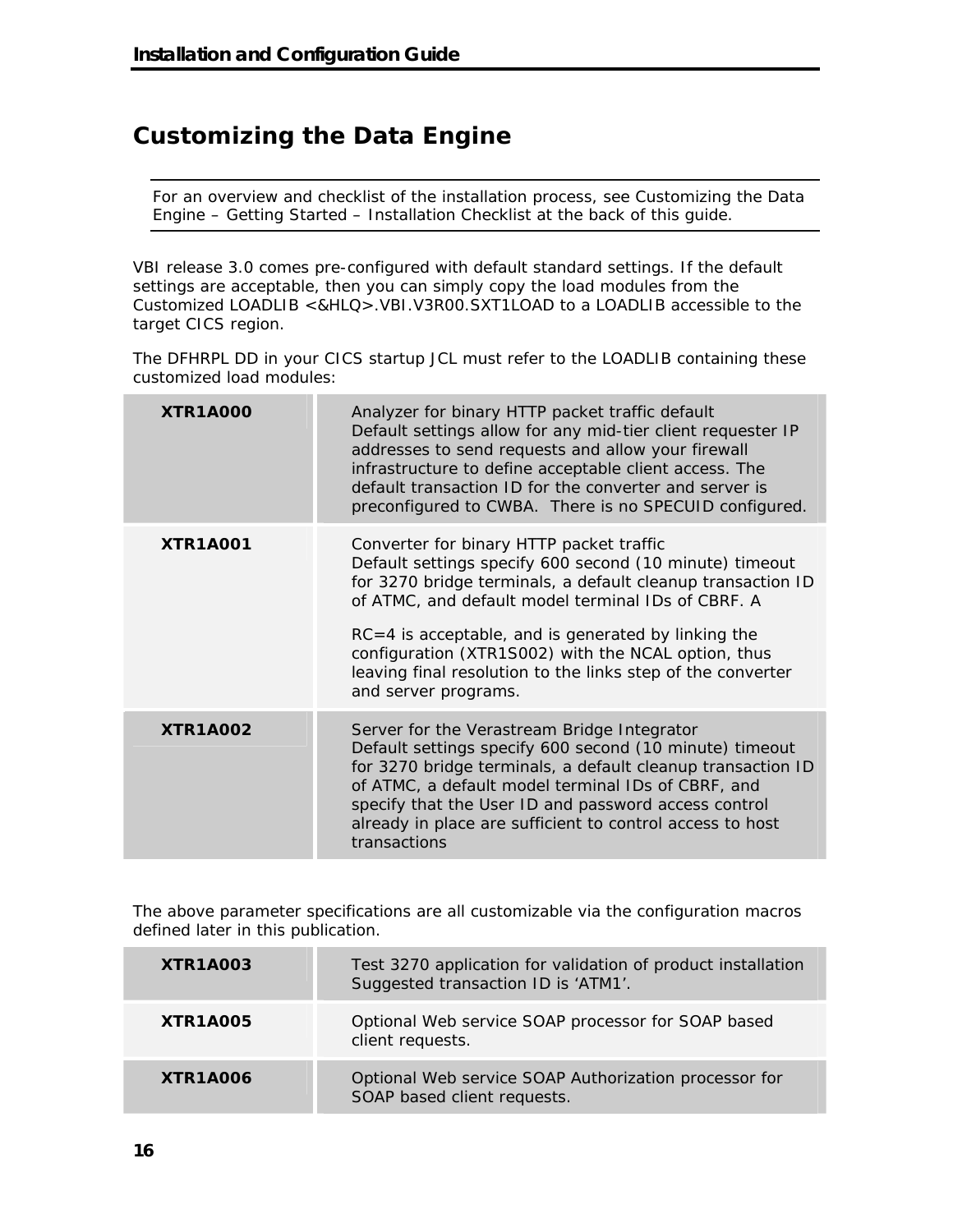# **Customizing the Data Engine**

For an overview and checklist of the installation process, see Customizing the Data Engine – Getting Started – Installation Checklist at the back of this guide.

VBI release 3.0 comes pre-configured with default standard settings. If the default settings are acceptable, then you can simply copy the load modules from the Customized LOADLIB <&HLQ>.VBI.V3R00.SXT1LOAD to a LOADLIB accessible to the target CICS region.

The DFHRPL DD in your CICS startup JCL must refer to the LOADLIB containing these customized load modules:

| <b>XTR1A000</b> | Analyzer for binary HTTP packet traffic default<br>Default settings allow for any mid-tier client requester IP<br>addresses to send requests and allow your firewall<br>infrastructure to define acceptable client access. The<br>default transaction ID for the converter and server is<br>preconfigured to CWBA. There is no SPECUID configured.                                                                                |
|-----------------|-----------------------------------------------------------------------------------------------------------------------------------------------------------------------------------------------------------------------------------------------------------------------------------------------------------------------------------------------------------------------------------------------------------------------------------|
| <b>XTR1A001</b> | Converter for binary HTTP packet traffic<br>Default settings specify 600 second (10 minute) timeout<br>for 3270 bridge terminals, a default cleanup transaction ID<br>of ATMC, and default model terminal IDs of CBRF. A<br>$RC = 4$ is acceptable, and is generated by linking the<br>configuration (XTR1S002) with the NCAL option, thus<br>leaving final resolution to the links step of the converter<br>and server programs. |
| <b>XTR1A002</b> | Server for the Verastream Bridge Integrator<br>Default settings specify 600 second (10 minute) timeout<br>for 3270 bridge terminals, a default cleanup transaction ID<br>of ATMC, a default model terminal IDs of CBRF, and<br>specify that the User ID and password access control<br>already in place are sufficient to control access to host<br>transactions                                                                  |

The above parameter specifications are all customizable via the configuration macros defined later in this publication.

| XTR1A003 | Test 3270 application for validation of product installation<br>Suggested transaction ID is 'ATM1'. |  |
|----------|-----------------------------------------------------------------------------------------------------|--|
| XTR1A005 | Optional Web service SOAP processor for SOAP based<br>client requests.                              |  |
| XTR1A006 | Optional Web service SOAP Authorization processor for<br>SOAP based client requests.                |  |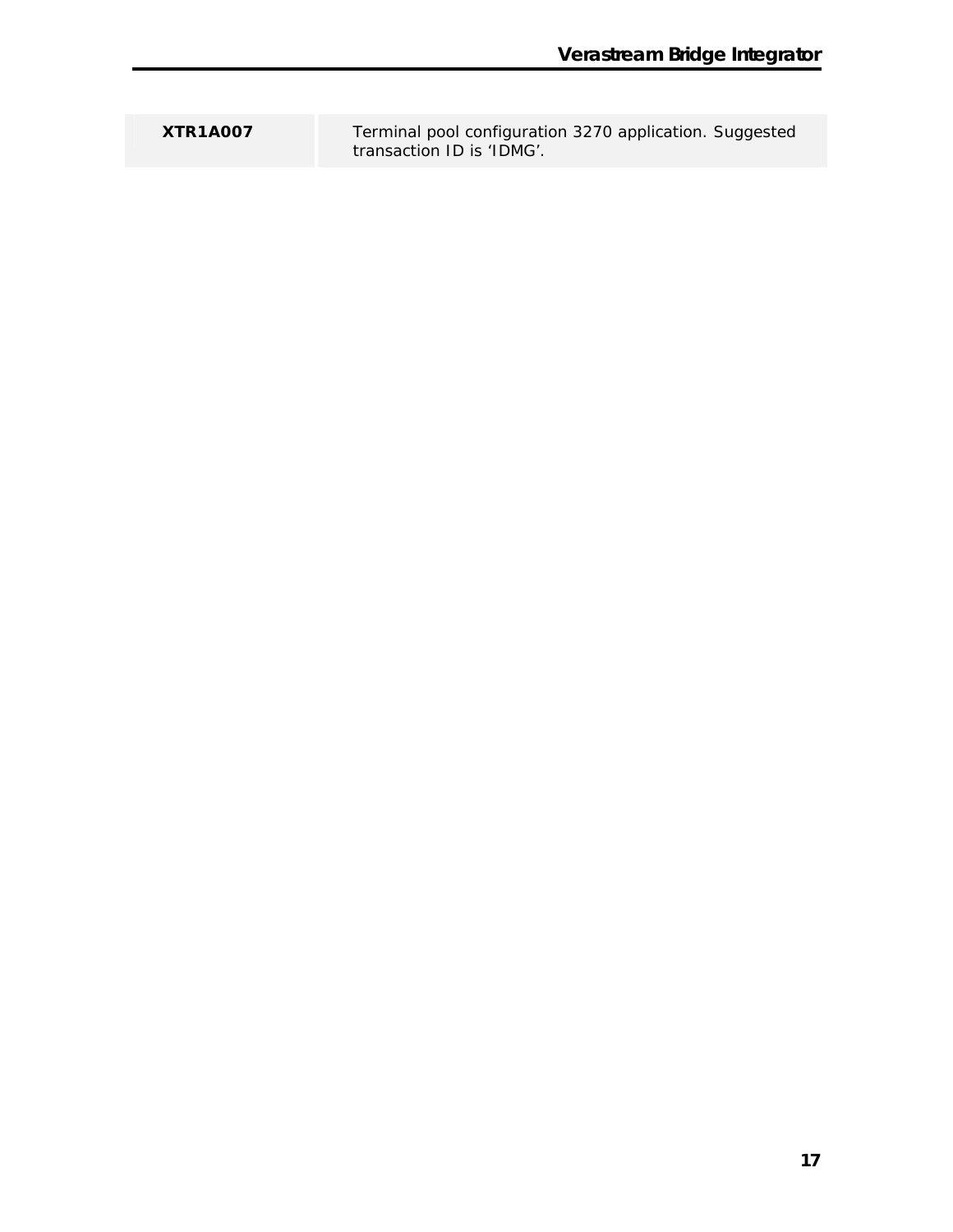**XTR1A007** Terminal pool configuration 3270 application. Suggested transaction ID is 'IDMG'.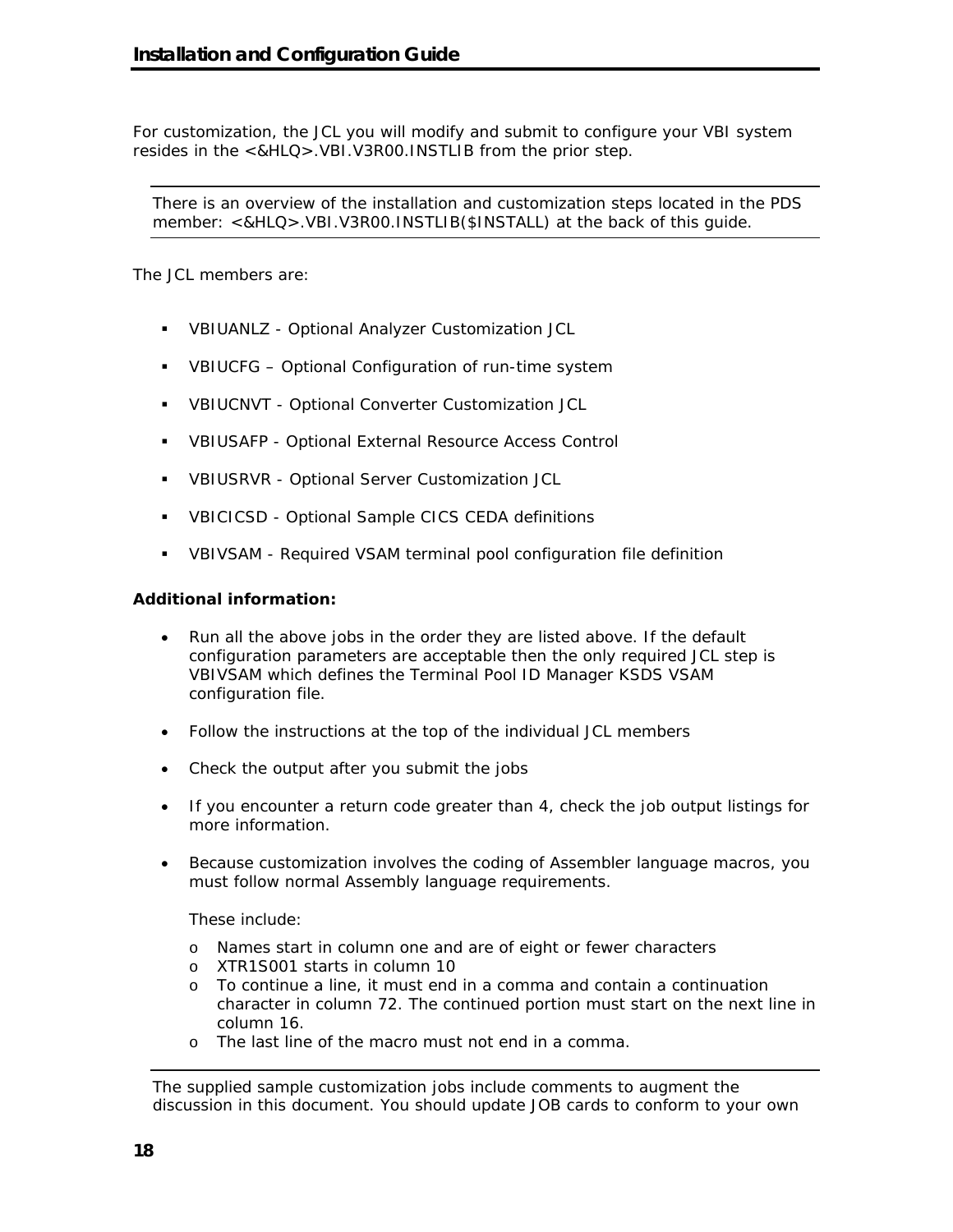For customization, the JCL you will modify and submit to configure your VBI system resides in the <&HLQ>.VBI.V3R00.INSTLIB from the prior step.

There is an overview of the installation and customization steps located in the PDS member: <&HLQ>.VBI.V3R00.INSTLIB(\$INSTALL) at the back of this guide.

The JCL members are:

- VBIUANLZ Optional Analyzer Customization JCL
- VBIUCFG Optional Configuration of run-time system
- VBIUCNVT Optional Converter Customization JCL
- VBIUSAFP Optional External Resource Access Control
- VBIUSRVR Optional Server Customization JCL
- VBICICSD Optional Sample CICS CEDA definitions
- VBIVSAM Required VSAM terminal pool configuration file definition

#### **Additional information:**

- Run all the above jobs in the order they are listed above. If the default configuration parameters are acceptable then the only required JCL step is VBIVSAM which defines the Terminal Pool ID Manager KSDS VSAM configuration file.
- Follow the instructions at the top of the individual JCL members
- Check the output after you submit the jobs
- If you encounter a return code greater than 4, check the job output listings for more information.
- Because customization involves the coding of Assembler language macros, you must follow normal Assembly language requirements.

These include:

- o Names start in column one and are of eight or fewer characters
- o XTR1S001 starts in column 10
- o To continue a line, it must end in a comma and contain a continuation character in column 72. The continued portion must start on the next line in column 16.
- o The last line of the macro must not end in a comma.

The supplied sample customization jobs include comments to augment the discussion in this document. You should update JOB cards to conform to your own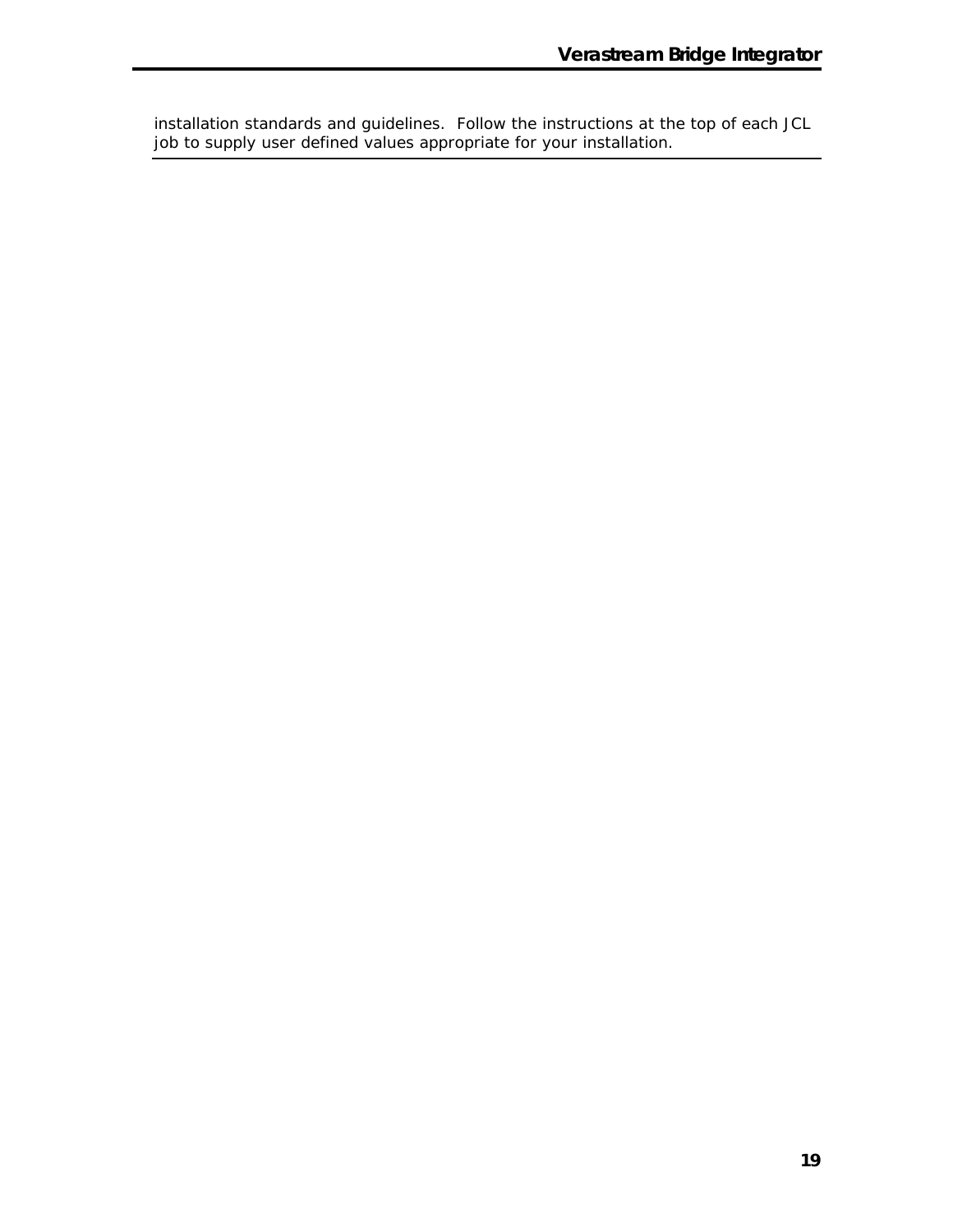installation standards and guidelines. Follow the instructions at the top of each JCL job to supply user defined values appropriate for your installation.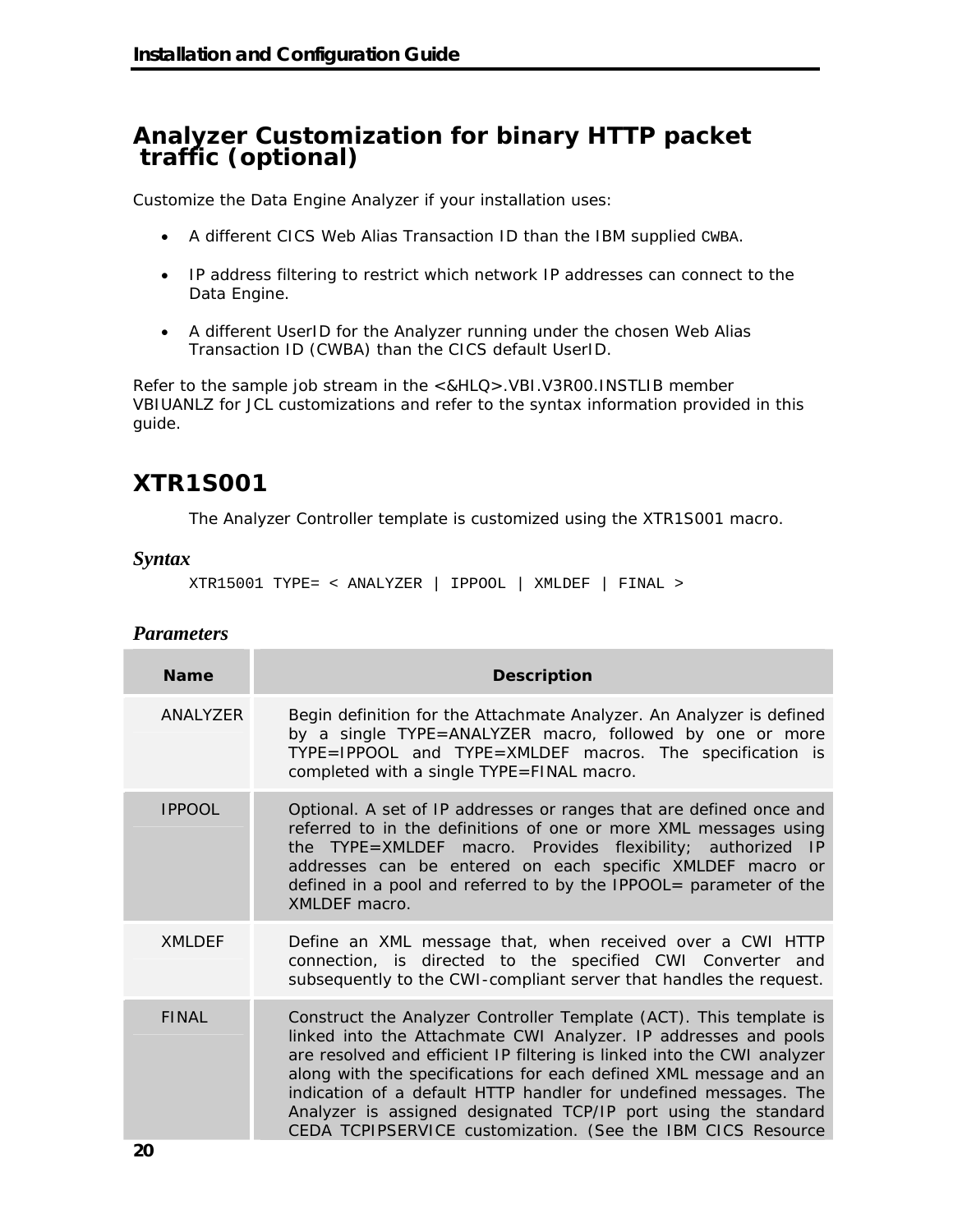### **Analyzer Customization for binary HTTP packet traffic (optional)**

Customize the Data Engine Analyzer if your installation uses:

- A different CICS Web Alias Transaction ID than the IBM supplied CWBA.
- IP address filtering to restrict which network IP addresses can connect to the Data Engine.
- A different UserID for the Analyzer running under the chosen Web Alias Transaction ID (CWBA) than the CICS default UserID.

Refer to the sample job stream in the <&HLQ>.VBI.V3R00.INSTLIB member VBIUANLZ for JCL customizations and refer to the syntax information provided in this guide.

# **XTR1S001**

The Analyzer Controller template is customized using the XTR1S001 macro.

#### *Syntax*

```
XTR15001 TYPE= < ANALYZER | IPPOOL | XMLDEF | FINAL >
```
#### *Parameters*

| <b>Name</b>   | <b>Description</b>                                                                                                                                                                                                                                                                                                                                                                                                                                                                         |
|---------------|--------------------------------------------------------------------------------------------------------------------------------------------------------------------------------------------------------------------------------------------------------------------------------------------------------------------------------------------------------------------------------------------------------------------------------------------------------------------------------------------|
| ANALYZER      | Begin definition for the Attachmate Analyzer. An Analyzer is defined<br>by a single TYPE=ANALYZER macro, followed by one or more<br>TYPE=IPPOOL and TYPE=XMLDEF macros. The specification is<br>completed with a single TYPE=FINAL macro.                                                                                                                                                                                                                                                  |
| <b>IPPOOL</b> | Optional. A set of IP addresses or ranges that are defined once and<br>referred to in the definitions of one or more XML messages using<br>the TYPE=XMLDEF macro. Provides flexibility; authorized IP<br>addresses can be entered on each specific XMLDEF macro or<br>defined in a pool and referred to by the IPPOOL= parameter of the<br>XMLDEF macro.                                                                                                                                   |
| <b>XMLDEF</b> | Define an XML message that, when received over a CWI HTTP<br>connection, is directed to the specified CWI Converter and<br>subsequently to the CWI-compliant server that handles the request.                                                                                                                                                                                                                                                                                              |
| <b>FINAL</b>  | Construct the Analyzer Controller Template (ACT). This template is<br>linked into the Attachmate CWI Analyzer. IP addresses and pools<br>are resolved and efficient IP filtering is linked into the CWI analyzer<br>along with the specifications for each defined XML message and an<br>indication of a default HTTP handler for undefined messages. The<br>Analyzer is assigned designated TCP/IP port using the standard<br>CEDA TCPIPSERVICE customization. (See the IBM CICS Resource |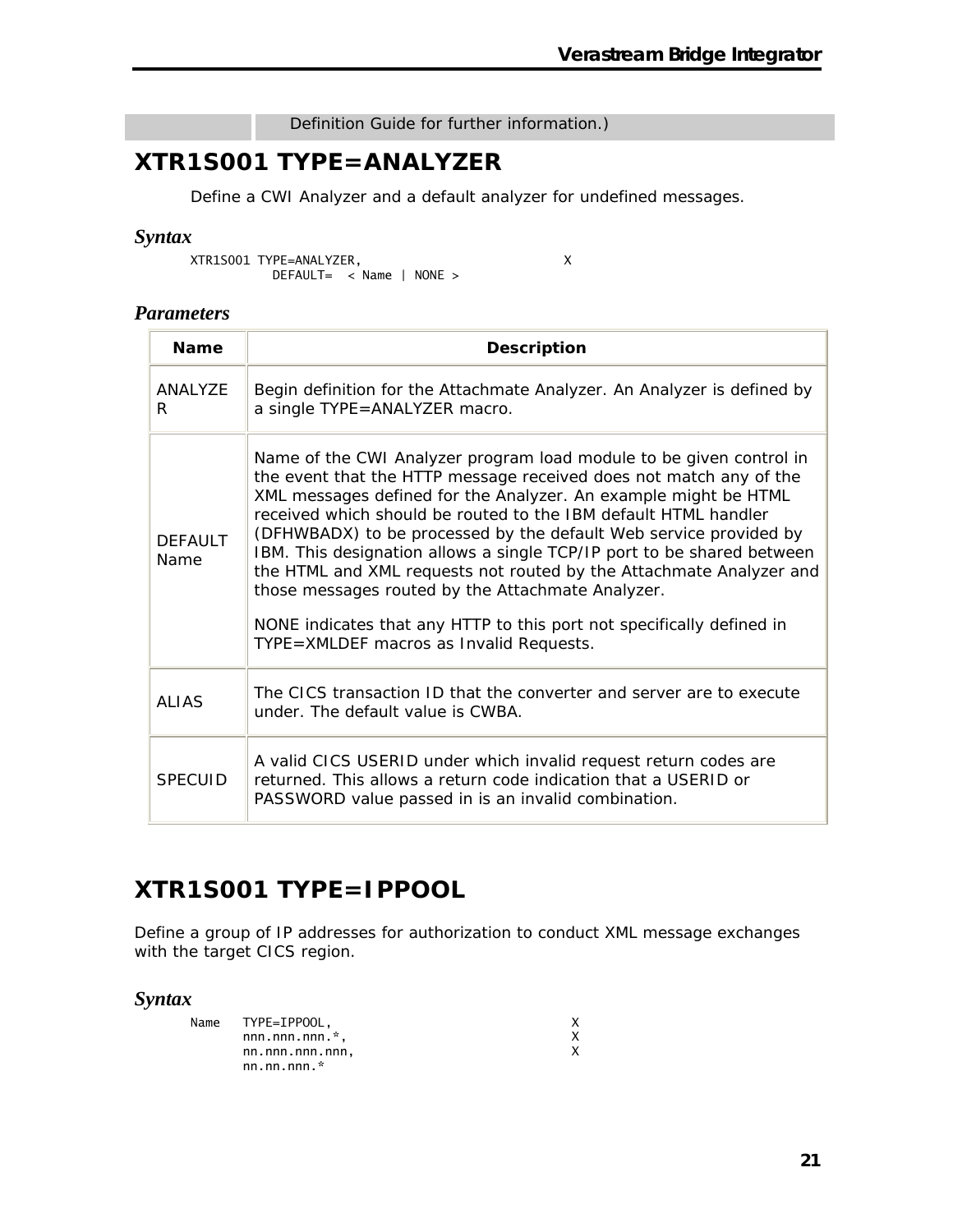#### Definition Guide for further information.)

## **XTR1S001 TYPE=ANALYZER**

Define a CWI Analyzer and a default analyzer for undefined messages.

#### *Syntax*

XTR1S001 TYPE=ANALYZER, X DEFAULT= < Name | NONE >

#### *Parameters*

| <b>Name</b>            | <b>Description</b>                                                                                                                                                                                                                                                                                                                                                                                                                                                                                                                                                                                                                                                             |
|------------------------|--------------------------------------------------------------------------------------------------------------------------------------------------------------------------------------------------------------------------------------------------------------------------------------------------------------------------------------------------------------------------------------------------------------------------------------------------------------------------------------------------------------------------------------------------------------------------------------------------------------------------------------------------------------------------------|
| ANAI Y7F<br>R          | Begin definition for the Attachmate Analyzer. An Analyzer is defined by<br>a single TYPE=ANALYZER macro.                                                                                                                                                                                                                                                                                                                                                                                                                                                                                                                                                                       |
| <b>DEFAULT</b><br>Name | Name of the CWI Analyzer program load module to be given control in<br>the event that the HTTP message received does not match any of the<br>XML messages defined for the Analyzer. An example might be HTML<br>received which should be routed to the IBM default HTML handler<br>(DFHWBADX) to be processed by the default Web service provided by<br>IBM. This designation allows a single TCP/IP port to be shared between<br>the HTML and XML requests not routed by the Attachmate Analyzer and<br>those messages routed by the Attachmate Analyzer.<br>NONE indicates that any HTTP to this port not specifically defined in<br>TYPE=XMLDEF macros as Invalid Requests. |
| ALIAS                  | The CICS transaction ID that the converter and server are to execute<br>under. The default value is CWBA.                                                                                                                                                                                                                                                                                                                                                                                                                                                                                                                                                                      |
| <b>SPECUID</b>         | A valid CICS USERID under which invalid request return codes are<br>returned. This allows a return code indication that a USERID or<br>PASSWORD value passed in is an invalid combination.                                                                                                                                                                                                                                                                                                                                                                                                                                                                                     |

## **XTR1S001 TYPE=IPPOOL**

Define a group of IP addresses for authorization to conduct XML message exchanges with the target CICS region.

#### *Syntax*

| Name TYPE=IPPOOL.   |  |
|---------------------|--|
| $nnn.nnn.nnn.*$     |  |
| nn.nnn.nnn.nnn,     |  |
| nn.nn.nnn $\dot{r}$ |  |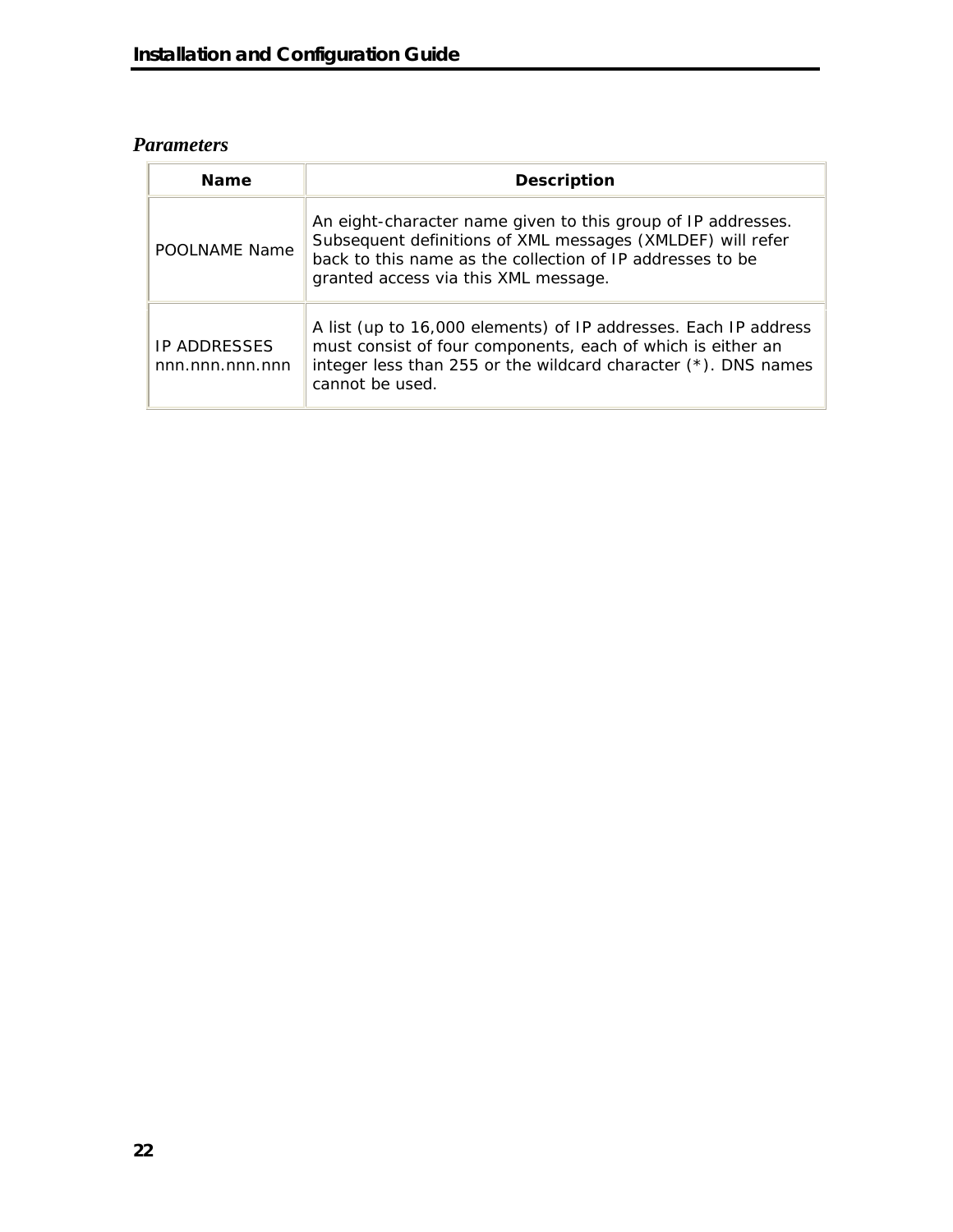### *Parameters*

| <b>Name</b>                            | <b>Description</b>                                                                                                                                                                                                              |  |
|----------------------------------------|---------------------------------------------------------------------------------------------------------------------------------------------------------------------------------------------------------------------------------|--|
| POOLNAME Name                          | An eight-character name given to this group of IP addresses.<br>Subsequent definitions of XML messages (XMLDEF) will refer<br>back to this name as the collection of IP addresses to be<br>granted access via this XML message. |  |
| <b>IP ADDRESSES</b><br>nnn.nnn.nnn.nnn | A list (up to 16,000 elements) of IP addresses. Each IP address<br>must consist of four components, each of which is either an<br>integer less than 255 or the wildcard character $(*)$ . DNS names<br>cannot be used.          |  |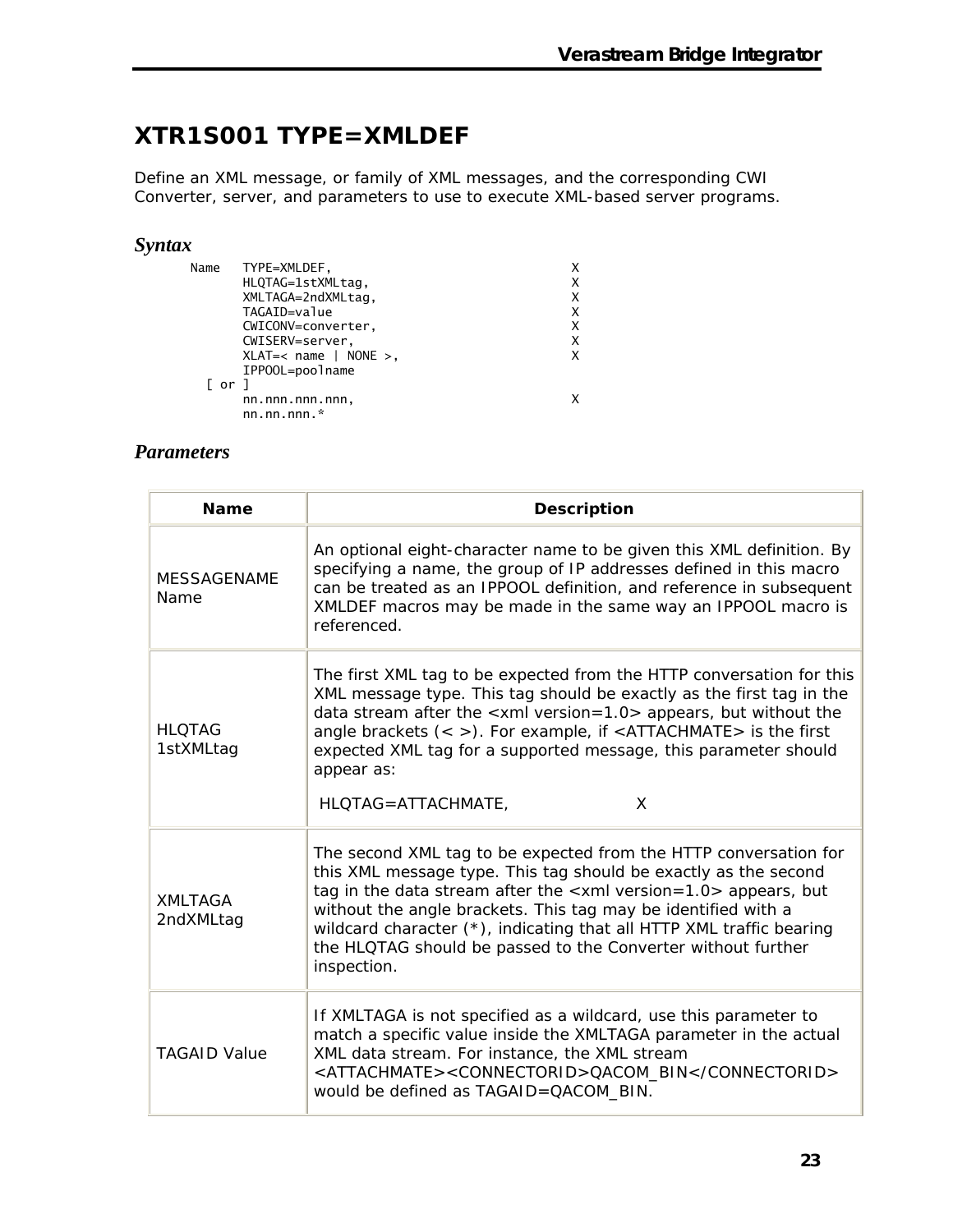## **XTR1S001 TYPE=XMLDEF**

Define an XML message, or family of XML messages, and the corresponding CWI Converter, server, and parameters to use to execute XML-based server programs.

#### *Syntax*

| Name | TYPE=XMLDEF,            |   |
|------|-------------------------|---|
|      | HLQTAG=1stXMLtag,       | Χ |
|      | XMLTAGA=2ndXMLtag,      | x |
|      | TAGAID=value            | х |
|      | CWICONV=converter,      | X |
|      | CWISERV=server,         | X |
|      | $XLAT=<$ name   NONE >, | x |
|      | IPP00L=poolname         |   |
| ⊺ or |                         |   |
|      | nn.nnn.nnn.nnn,         |   |
|      | nn.nn.nnn. $*$          |   |
|      |                         |   |

#### *Parameters*

| <b>Name</b>                 | <b>Description</b>                                                                                                                                                                                                                                                                                                                                                                                                                        |  |  |  |
|-----------------------------|-------------------------------------------------------------------------------------------------------------------------------------------------------------------------------------------------------------------------------------------------------------------------------------------------------------------------------------------------------------------------------------------------------------------------------------------|--|--|--|
| <b>MESSAGENAME</b><br>Name  | An optional eight-character name to be given this XML definition. By<br>specifying a name, the group of IP addresses defined in this macro<br>can be treated as an IPPOOL definition, and reference in subsequent<br>XMLDEF macros may be made in the same way an IPPOOL macro is<br>referenced.                                                                                                                                          |  |  |  |
| <b>HLOTAG</b><br>1stXMLtag  | The first XML tag to be expected from the HTTP conversation for this<br>XML message type. This tag should be exactly as the first tag in the<br>data stream after the $\le$ xml version=1.0 > appears, but without the<br>angle brackets $(<$ >). For example, if $<$ ATTACHMATE > is the first<br>expected XML tag for a supported message, this parameter should<br>appear as:<br>HLQTAG=ATTACHMATE,<br>X                               |  |  |  |
| <b>XMLTAGA</b><br>2ndXMLtag | The second XML tag to be expected from the HTTP conversation for<br>this XML message type. This tag should be exactly as the second<br>tag in the data stream after the $\langle x$ ml version=1.0 > appears, but<br>without the angle brackets. This tag may be identified with a<br>wildcard character (*), indicating that all HTTP XML traffic bearing<br>the HLQTAG should be passed to the Converter without further<br>inspection. |  |  |  |
| <b>TAGAID Value</b>         | If XMLTAGA is not specified as a wildcard, use this parameter to<br>match a specific value inside the XMLTAGA parameter in the actual<br>XML data stream. For instance, the XML stream<br><attachmate><connectorid>QACOM_BIN</connectorid><br/>would be defined as TAGAID=QACOM_BIN.</attachmate>                                                                                                                                         |  |  |  |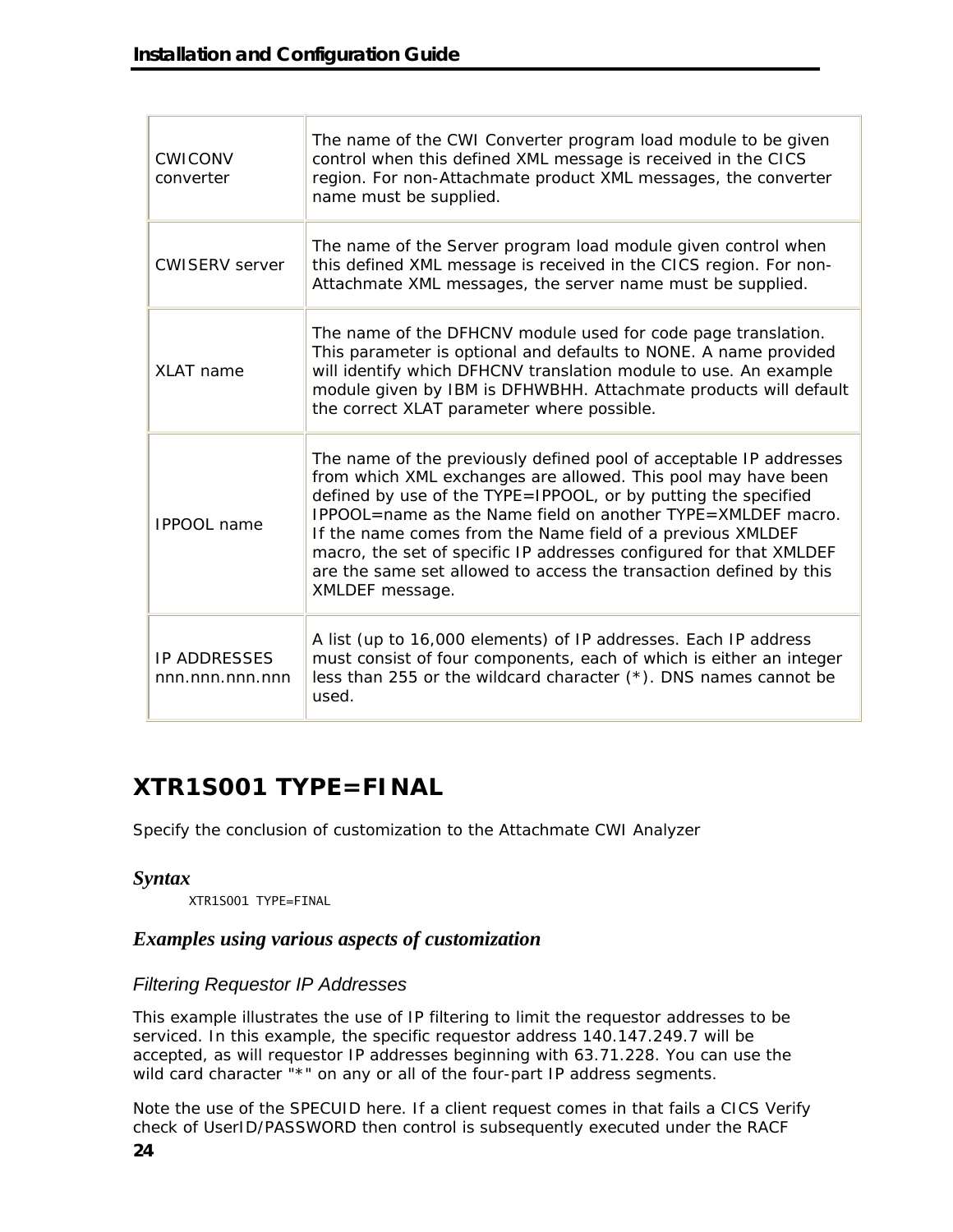| <b>CWICONV</b><br>converter            | The name of the CWI Converter program load module to be given<br>control when this defined XML message is received in the CICS<br>region. For non-Attachmate product XML messages, the converter<br>name must be supplied.                                                                                                                                                                                                                                                                        |
|----------------------------------------|---------------------------------------------------------------------------------------------------------------------------------------------------------------------------------------------------------------------------------------------------------------------------------------------------------------------------------------------------------------------------------------------------------------------------------------------------------------------------------------------------|
| <b>CWISERV</b> server                  | The name of the Server program load module given control when<br>this defined XML message is received in the CICS region. For non-<br>Attachmate XML messages, the server name must be supplied.                                                                                                                                                                                                                                                                                                  |
| XLAT name                              | The name of the DFHCNV module used for code page translation.<br>This parameter is optional and defaults to NONE. A name provided<br>will identify which DFHCNV translation module to use. An example<br>module given by IBM is DFHWBHH. Attachmate products will default<br>the correct XLAT parameter where possible.                                                                                                                                                                           |
| <b>IPPOOL</b> name                     | The name of the previously defined pool of acceptable IP addresses<br>from which XML exchanges are allowed. This pool may have been<br>defined by use of the TYPE=IPPOOL, or by putting the specified<br>IPPOOL=name as the Name field on another TYPE=XMLDEF macro.<br>If the name comes from the Name field of a previous XMLDEF<br>macro, the set of specific IP addresses configured for that XMLDEF<br>are the same set allowed to access the transaction defined by this<br>XMLDEF message. |
| <b>IP ADDRESSES</b><br>nnn.nnn.nnn.nnn | A list (up to 16,000 elements) of IP addresses. Each IP address<br>must consist of four components, each of which is either an integer<br>less than 255 or the wildcard character $(*)$ . DNS names cannot be<br>used.                                                                                                                                                                                                                                                                            |

# **XTR1S001 TYPE=FINAL**

Specify the conclusion of customization to the Attachmate CWI Analyzer

#### *Syntax*

XTR1S001 TYPE=FINAL

#### *Examples using various aspects of customization*

#### *Filtering Requestor IP Addresses*

This example illustrates the use of IP filtering to limit the requestor addresses to be serviced. In this example, the specific requestor address 140.147.249.7 will be accepted, as will requestor IP addresses beginning with 63.71.228. You can use the wild card character "\*" on any or all of the four-part IP address segments.

Note the use of the SPECUID here. If a client request comes in that fails a CICS Verify check of UserID/PASSWORD then control is subsequently executed under the RACF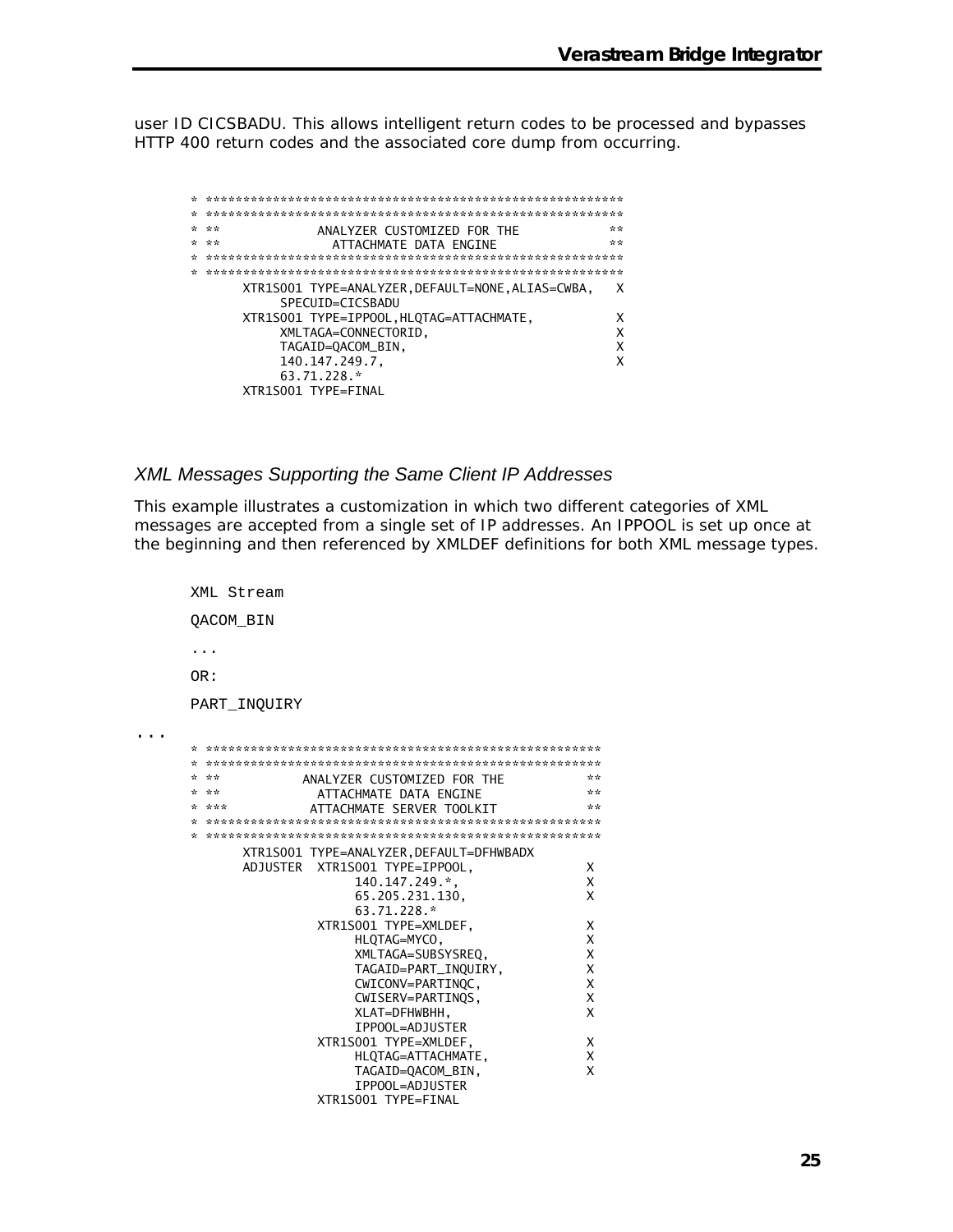user ID CICSBADU. This allows intelligent return codes to be processed and bypasses HTTP 400 return codes and the associated core dump from occurring.

| ÷. | **<br>ANALYZER CUSTOMIZED FOR THE                                   | ** |
|----|---------------------------------------------------------------------|----|
|    | **<br>ATTACHMATE DATA ENGINE                                        | ** |
|    |                                                                     |    |
|    |                                                                     |    |
|    | XTR1S001 TYPE=ANALYZER.DEFAULT=NONE.ALIAS=CWBA.<br>SPECUTD=CTCSBADU | x  |
|    | XTR1S001 TYPE=IPPOOL, HLQTAG=ATTACHMATE,                            |    |
|    | XMLTAGA=CONNECTORID,                                                | x  |
|    | TAGAID=QACOM_BIN,                                                   |    |
|    | 140.147.249.7,                                                      |    |
|    | $63.71.228$ *                                                       |    |
|    | XTR1S001 TYPE=FINAL                                                 |    |

#### *XML Messages Supporting the Same Client IP Addresses*

This example illustrates a customization in which two different categories of XML messages are accepted from a single set of IP addresses. An IPPOOL is set up once at the beginning and then referenced by XMLDEF definitions for both XML message types.

```
XML Stream 
      QACOM_BIN 
      ... 
      OR: 
      PART_INQUIRY 
... * ***************************************************** 
      * ***************************************************** 
      * ** ANALYZER CUSTOMIZED FOR THE ** ** ANALYZER CUSTOMIZED FOR THE ** **
      * ** ATTACHMATE DATA ENGINE ** 
      * *** ATTACHMATE SERVER TOOLKIT
      * ***************************************************** 
      * ***************************************************** 
             XTR1S001 TYPE=ANALYZER,DEFAULT=DFHWBADX 
             ADJUSTER XTR1S001 TYPE=IPPOOL, X 
                          140.147.249.*, X 
                          65.205.231.130, X 
                          63.71.228.* 
                     XTR1S001 TYPE=XMLDEF, X 
                         HLQTAG=MYCO, X<br>XMLTAGA=SUBSYSREQ, XX
                         XMLTAGA=SUBSYSREQ,
                          TAGAID=PART_INQUIRY, X 
                          CWICONV=PARTINQC, X 
                          CWISERV=PARTINQS, X 
                          XLAT=DFHWBHH, X 
                          IPPOOL=ADJUSTER 
                      XTR1S001 TYPE=XMLDEF, X 
                          HLQTAG=ATTACHMATE, X 
                          TAGAID=QACOM_BIN, X 
                          IPPOOL=ADJUSTER 
                      XTR1S001 TYPE=FINAL
```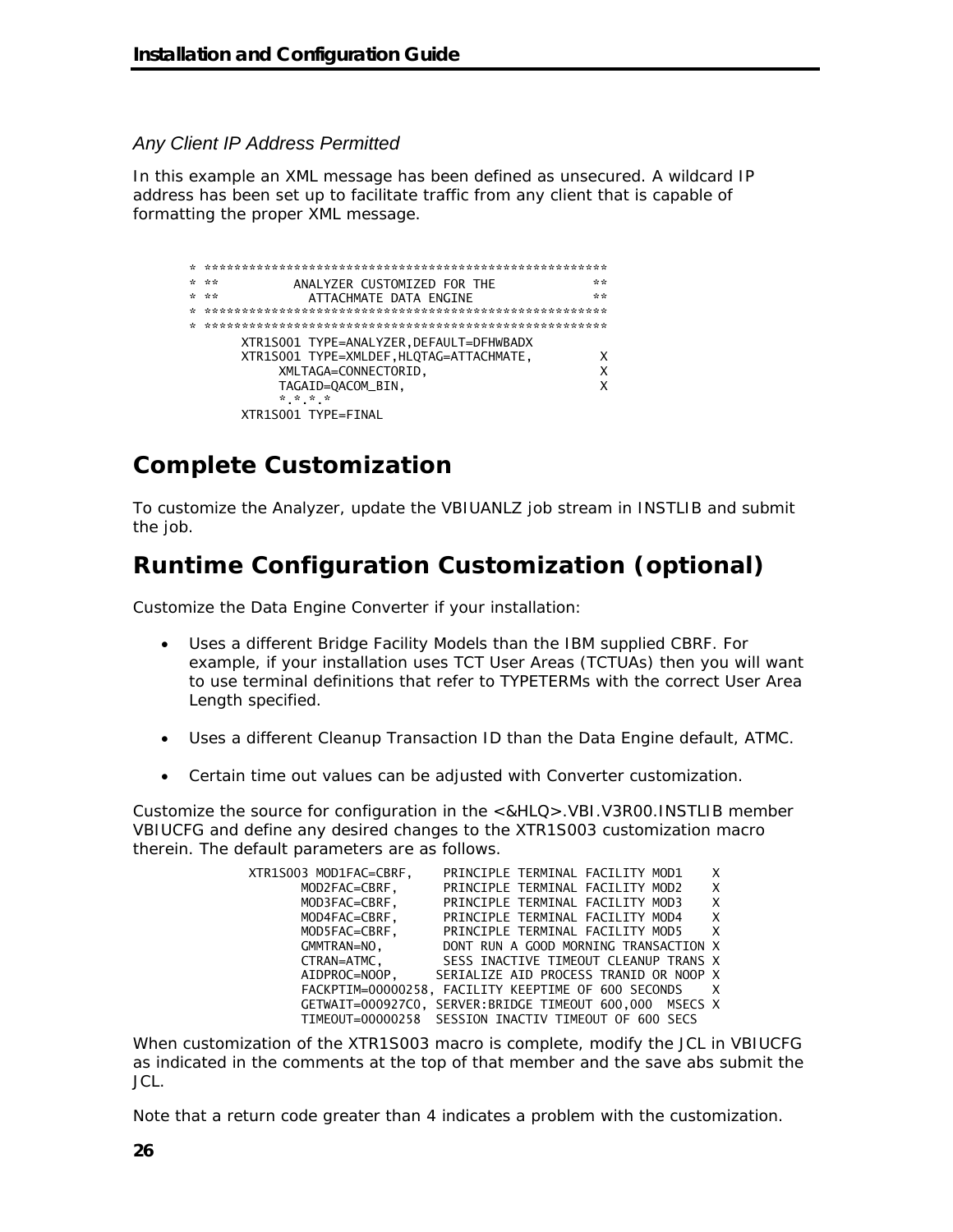#### *Any Client IP Address Permitted*

In this example an XML message has been defined as unsecured. A wildcard IP address has been set up to facilitate traffic from any client that is capable of formatting the proper XML message.

| بالرضاح فالمحاصل فالرقاب فالمتراث فالمعاون فالمتراث فالمعاون فالمتحاصر فالمتحرج فالمراس فالمتحاصل فالمتحاصل فالمتحاضر فالمتحاض فالمتح والمتحرك فالمتح والمتحرك فالمتح والمتحرك فالمتح والمتح والمتحرك فالمتح والمتح والمتح وال |  |
|--------------------------------------------------------------------------------------------------------------------------------------------------------------------------------------------------------------------------------|--|
| ANALYZER CUSTOMIZED FOR THE<br>* **<br>**                                                                                                                                                                                      |  |
| ATTACHMATE DATA ENGINE<br>* **<br>**                                                                                                                                                                                           |  |
|                                                                                                                                                                                                                                |  |
|                                                                                                                                                                                                                                |  |
| XTR1S001 TYPE=ANALYZER, DEFAULT=DFHWBADX                                                                                                                                                                                       |  |
| XTR1S001 TYPE=XMLDEF, HLQTAG=ATTACHMATE,                                                                                                                                                                                       |  |
| XMLTAGA=CONNECTORID,<br>x                                                                                                                                                                                                      |  |
| TAGAID=QACOM_BIN,                                                                                                                                                                                                              |  |
| * * * *                                                                                                                                                                                                                        |  |
| XTR1S001 TYPE=FINAL                                                                                                                                                                                                            |  |

## **Complete Customization**

To customize the Analyzer, update the VBIUANLZ job stream in INSTLIB and submit the job.

# **Runtime Configuration Customization (optional)**

Customize the Data Engine Converter if your installation:

- Uses a different Bridge Facility Models than the IBM supplied CBRF. For example, if your installation uses TCT User Areas (TCTUAs) then you will want to use terminal definitions that refer to TYPETERMs with the correct User Area Length specified.
- Uses a different Cleanup Transaction ID than the Data Engine default, ATMC.
- Certain time out values can be adjusted with Converter customization.

Customize the source for configuration in the <&HLQ>.VBI.V3R00.INSTLIB member VBIUCFG and define any desired changes to the XTR1S003 customization macro therein. The default parameters are as follows.

| XTR1S003 MOD1FAC=CBRF, | PRINCIPLE TERMINAL FACILITY MOD1<br>X                         |  |
|------------------------|---------------------------------------------------------------|--|
| MOD2FAC=CBRF,          | X<br>PRINCIPLE TERMINAL FACILITY MOD2                         |  |
| MOD3FAC=CBRF,          | PRINCIPLE TERMINAL FACILITY MOD3<br>X                         |  |
| MOD4FAC=CBRF,          | $\boldsymbol{\mathsf{X}}$<br>PRINCIPLE TERMINAL FACILITY MOD4 |  |
| MOD5FAC=CBRF,          | PRINCIPLE TERMINAL FACILITY MOD5<br>$\mathsf{X}$              |  |
| GMMTRAN=NO.            | DONT RUN A GOOD MORNING TRANSACTION X                         |  |
| CTRAN=ATMC.            | SESS INACTIVE TIMEOUT CLEANUP TRANS X                         |  |
|                        | AIDPROC=NOOP, SERIALIZE AID PROCESS TRANID OR NOOP X          |  |
|                        | FACKPTIM=00000258, FACILITY KEEPTIME OF 600 SECONDS X         |  |
|                        | GETWAIT=000927C0. SERVER:BRIDGE TIMEOUT 600.000 MSECS X       |  |
|                        | TIMEOUT=00000258 SESSION INACTIV TIMEOUT OF 600 SECS          |  |

When customization of the XTR1S003 macro is complete, modify the JCL in VBIUCFG as indicated in the comments at the top of that member and the save abs submit the JCL.

Note that a return code greater than 4 indicates a problem with the customization.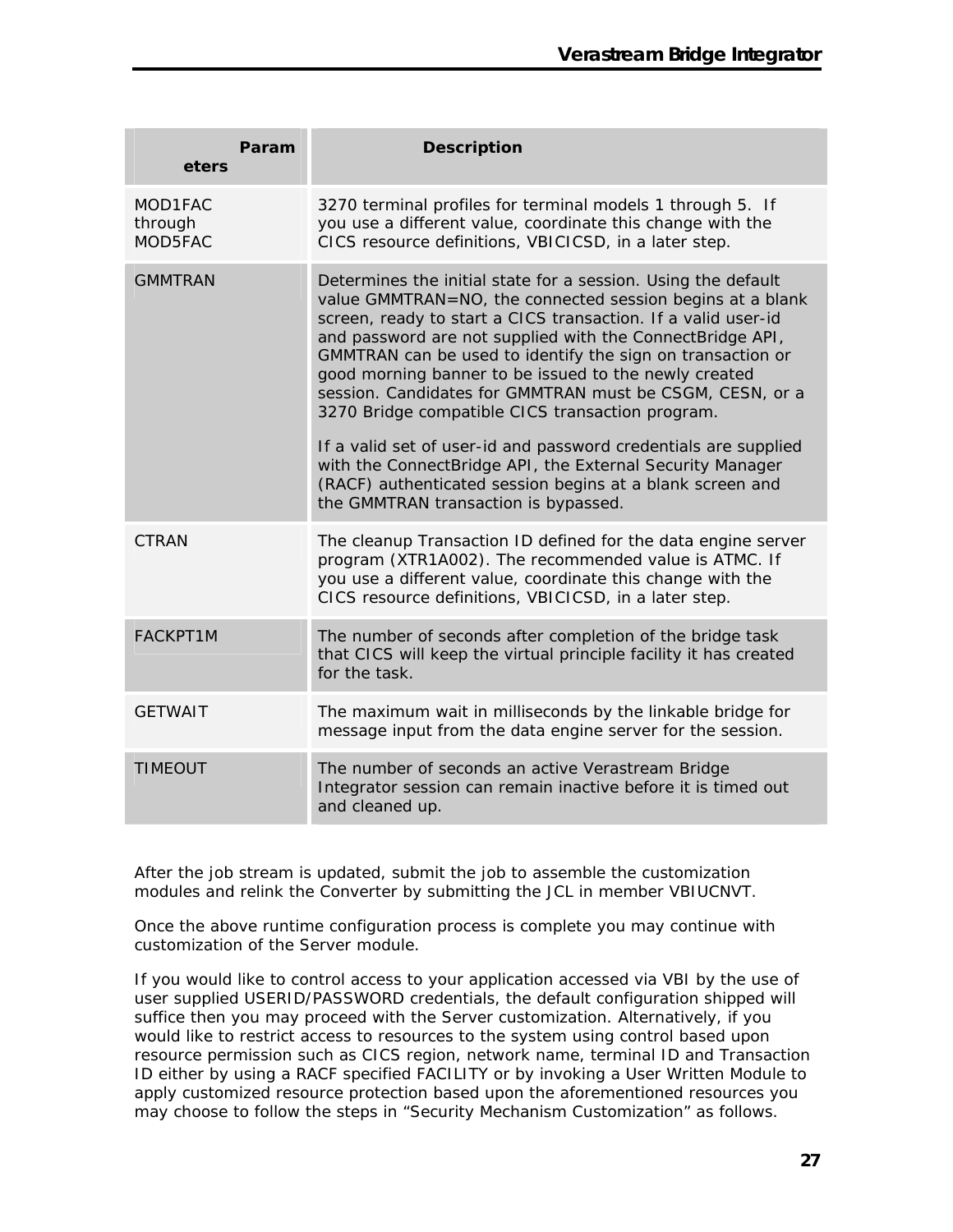| Param<br>eters                | <b>Description</b>                                                                                                                                                                                                                                                                                                                                                                                                                                                                                                                                                                                                                                                                                                                   |
|-------------------------------|--------------------------------------------------------------------------------------------------------------------------------------------------------------------------------------------------------------------------------------------------------------------------------------------------------------------------------------------------------------------------------------------------------------------------------------------------------------------------------------------------------------------------------------------------------------------------------------------------------------------------------------------------------------------------------------------------------------------------------------|
| MOD1FAC<br>through<br>MOD5FAC | 3270 terminal profiles for terminal models 1 through 5. If<br>you use a different value, coordinate this change with the<br>CICS resource definitions, VBICICSD, in a later step.                                                                                                                                                                                                                                                                                                                                                                                                                                                                                                                                                    |
| <b>GMMTRAN</b>                | Determines the initial state for a session. Using the default<br>value GMMTRAN=NO, the connected session begins at a blank<br>screen, ready to start a CICS transaction. If a valid user-id<br>and password are not supplied with the ConnectBridge API,<br>GMMTRAN can be used to identify the sign on transaction or<br>good morning banner to be issued to the newly created<br>session. Candidates for GMMTRAN must be CSGM, CESN, or a<br>3270 Bridge compatible CICS transaction program.<br>If a valid set of user-id and password credentials are supplied<br>with the ConnectBridge API, the External Security Manager<br>(RACF) authenticated session begins at a blank screen and<br>the GMMTRAN transaction is bypassed. |
| CTRAN                         | The cleanup Transaction ID defined for the data engine server<br>program (XTR1A002). The recommended value is ATMC. If<br>you use a different value, coordinate this change with the<br>CICS resource definitions, VBICICSD, in a later step.                                                                                                                                                                                                                                                                                                                                                                                                                                                                                        |
| <b>FACKPT1M</b>               | The number of seconds after completion of the bridge task<br>that CICS will keep the virtual principle facility it has created<br>for the task.                                                                                                                                                                                                                                                                                                                                                                                                                                                                                                                                                                                      |
| <b>GETWAIT</b>                | The maximum wait in milliseconds by the linkable bridge for<br>message input from the data engine server for the session.                                                                                                                                                                                                                                                                                                                                                                                                                                                                                                                                                                                                            |
| <b>TIMEOUT</b>                | The number of seconds an active Verastream Bridge<br>Integrator session can remain inactive before it is timed out<br>and cleaned up.                                                                                                                                                                                                                                                                                                                                                                                                                                                                                                                                                                                                |

After the job stream is updated, submit the job to assemble the customization modules and relink the Converter by submitting the JCL in member VBIUCNVT.

Once the above runtime configuration process is complete you may continue with customization of the Server module.

If you would like to control access to your application accessed via VBI by the use of user supplied USERID/PASSWORD credentials, the default configuration shipped will suffice then you may proceed with the Server customization. Alternatively, if you would like to restrict access to resources to the system using control based upon resource permission such as CICS region, network name, terminal ID and Transaction ID either by using a RACF specified FACILITY or by invoking a User Written Module to apply customized resource protection based upon the aforementioned resources you may choose to follow the steps in "Security Mechanism Customization" as follows.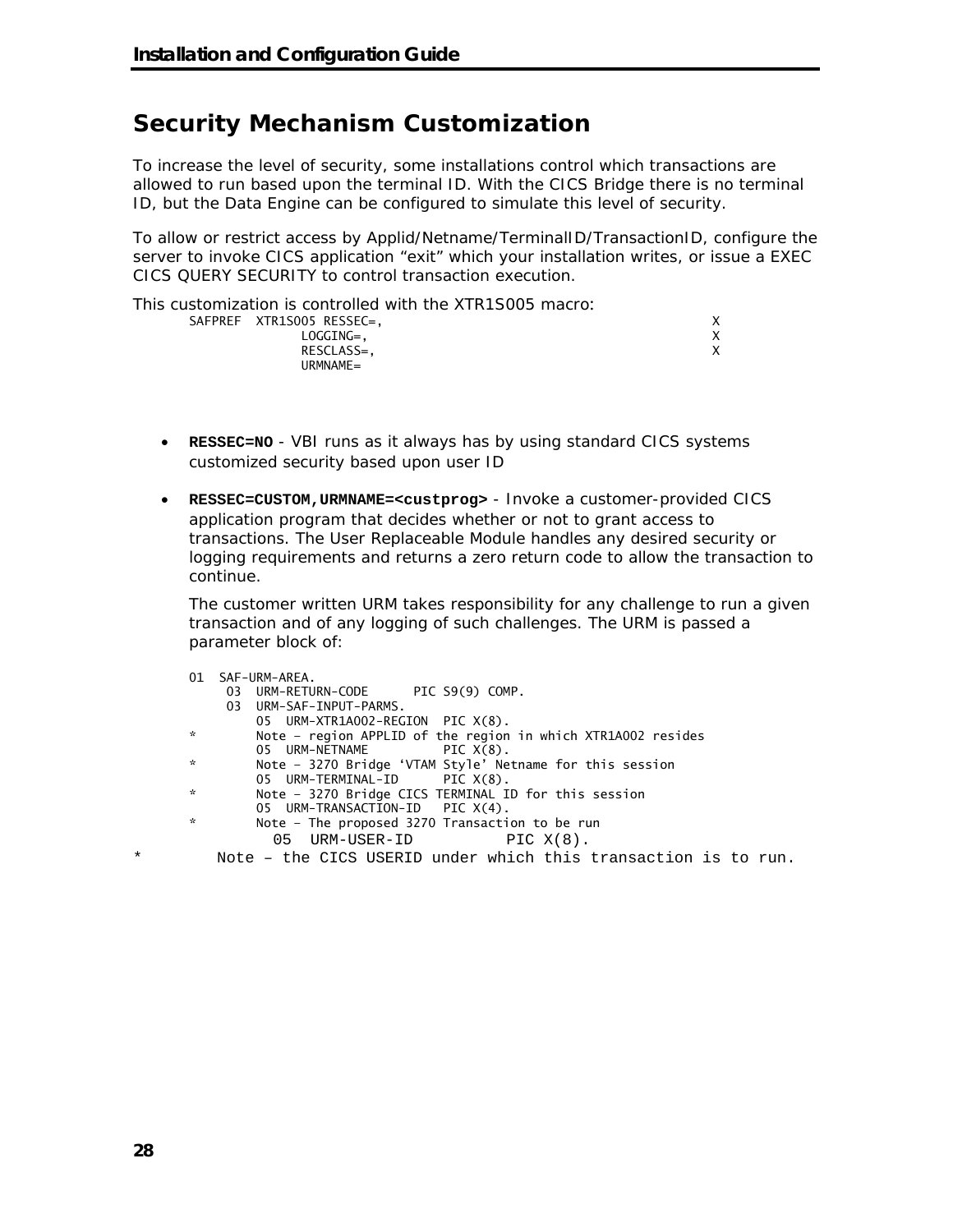## **Security Mechanism Customization**

To increase the level of security, some installations control which transactions are allowed to run based upon the terminal ID. With the CICS Bridge there is no terminal ID, but the Data Engine can be configured to simulate this level of security.

To allow or restrict access by Applid/Netname/TerminalID/TransactionID, configure the server to invoke CICS application "exit" which your installation writes, or issue a EXEC CICS QUERY SECURITY to control transaction execution.

This customization is controlled with the XTR1S005 macro:

| SAFPREF XTR1S005 RESSEC=, |  |
|---------------------------|--|
| LOGGING=.                 |  |
| RESCLASS=.                |  |
| URMNAME=                  |  |

- **RESSEC=NO** VBI runs as it always has by using standard CICS systems customized security based upon user ID
- **RESSEC=CUSTOM,URMNAME=<custprog>** Invoke a customer-provided CICS application program that decides whether or not to grant access to transactions. The User Replaceable Module handles any desired security or logging requirements and returns a zero return code to allow the transaction to continue.

The customer written URM takes responsibility for any challenge to run a given transaction and of any logging of such challenges. The URM is passed a parameter block of:

01 SAF-URM-AREA. 03 URM-RETURN-CODE PIC S9(9) COMP. 03 URM-SAF-INPUT-PARMS. 05 URM-XTR1A002-REGION PIC X(8). Note - region APPLID of the region in which XTR1A002 resides 05 URM-NETNAME PIC X(8). \* Note – 3270 Bridge 'VTAM Style' Netname for this session 05 URM-TERMINAL-ID<br>Part and the method of the Motor 3270 Bridge C Note - 3270 Bridge CICS TERMINAL ID for this session 05 URM-TRANSACTION-ID PIC X(4).<br>Note - The proposed 3270 Transaction Note - The proposed 3270 Transaction to be run 05 URM-USER-ID PIC X(8). \* Note – the CICS USERID under which this transaction is to run.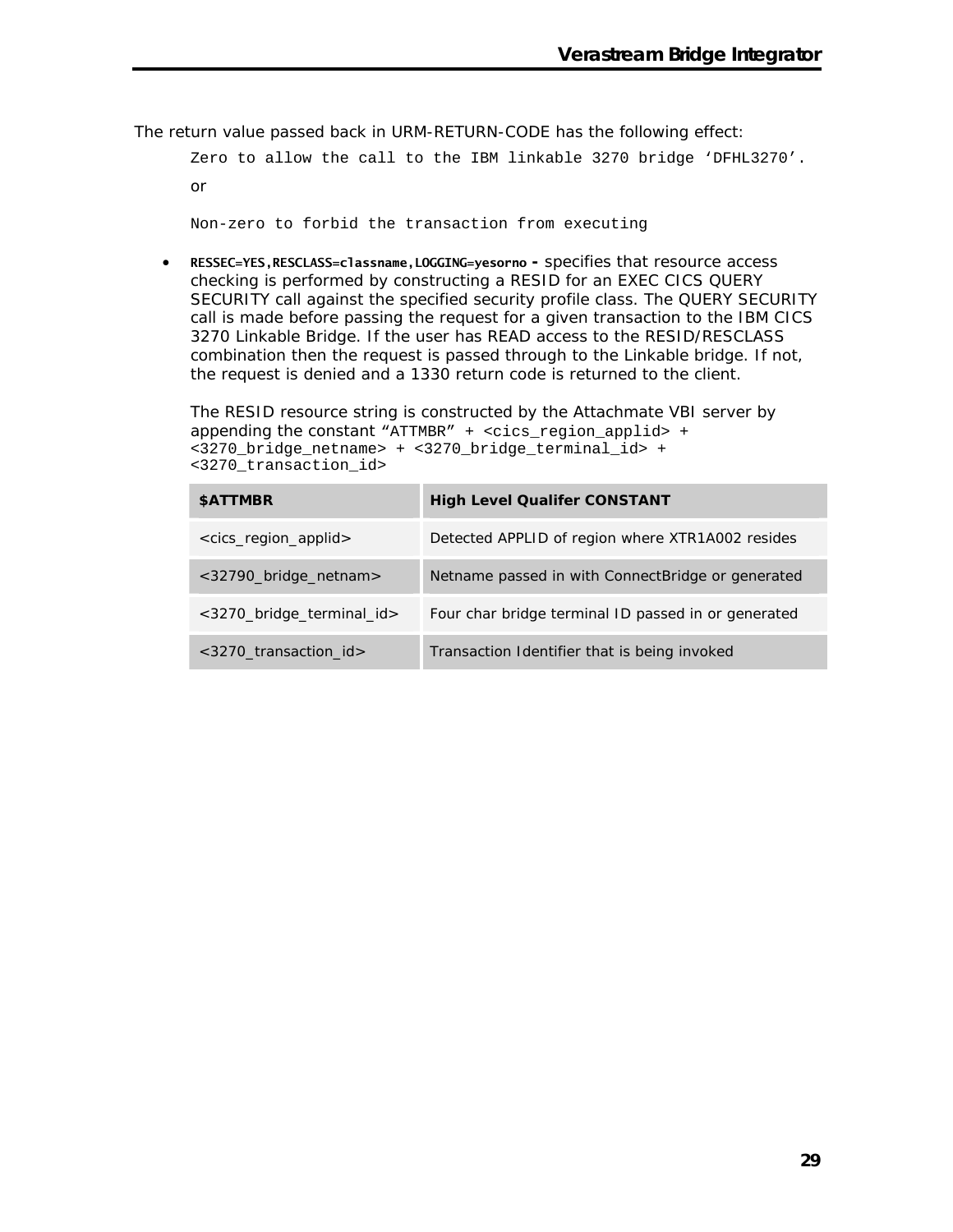The return value passed back in URM-RETURN-CODE has the following effect:

Zero to allow the call to the IBM linkable 3270 bridge 'DFHL3270'. or

Non-zero to forbid the transaction from executing

• **RESSEC=YES,RESCLASS=classname,LOGGING=yesorno -** specifies that resource access checking is performed by constructing a RESID for an EXEC CICS QUERY SECURITY call against the specified security profile class. The QUERY SECURITY call is made before passing the request for a given transaction to the IBM CICS 3270 Linkable Bridge. If the user has READ access to the RESID/RESCLASS combination then the request is passed through to the Linkable bridge. If not, the request is denied and a 1330 return code is returned to the client.

The RESID resource string is constructed by the Attachmate VBI server by appending the constant "ATTMBR" +  $\leq$ cics region applid> + <3270\_bridge\_netname> + <3270\_bridge\_terminal\_id> + <3270\_transaction\_id>

| <b>SATTMBR</b>                            | <b>High Level Qualifer CONSTANT</b>                 |
|-------------------------------------------|-----------------------------------------------------|
| <cics_region_applid></cics_region_applid> | Detected APPLID of region where XTR1A002 resides    |
| <32790_bridge_netnam>                     | Netname passed in with Connect Bridge or generated  |
| <3270_bridge_terminal_id>                 | Four char bridge terminal ID passed in or generated |
| $<$ 3270 transaction id>                  | Transaction Identifier that is being invoked        |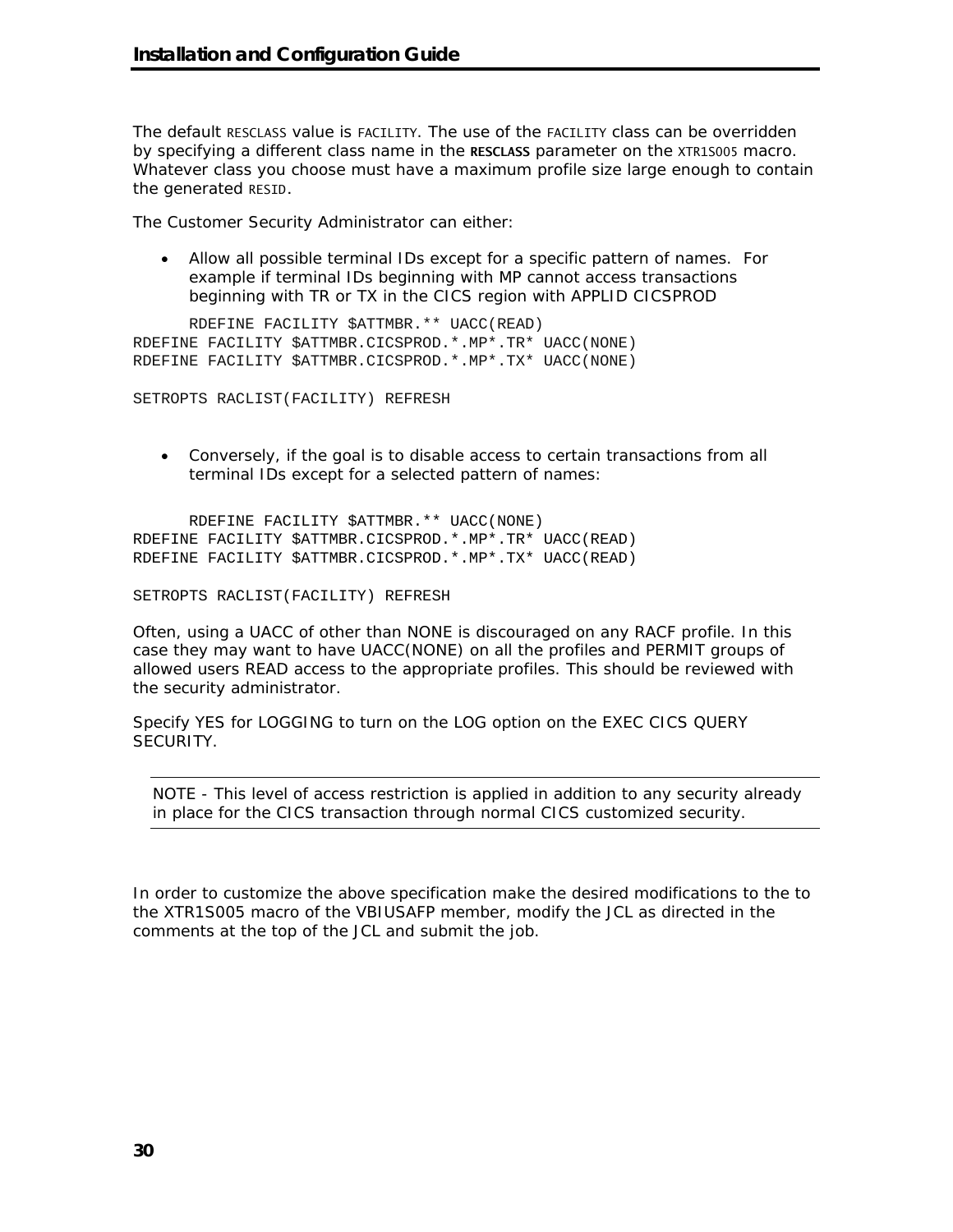The default RESCLASS value is FACILITY. The use of the FACILITY class can be overridden by specifying a different class name in the **RESCLASS** parameter on the XTR1S005 macro. Whatever class you choose must have a maximum profile size large enough to contain the generated RESID.

The Customer Security Administrator can either:

• Allow all possible terminal IDs except for a specific pattern of names. For example if terminal IDs beginning with MP cannot access transactions beginning with TR or TX in the CICS region with APPLID CICSPROD

RDEFINE FACILITY \$ATTMBR.\*\* UACC(READ) RDEFINE FACILITY \$ATTMBR.CICSPROD.\*.MP\*.TR\* UACC(NONE) RDEFINE FACILITY \$ATTMBR.CICSPROD.\*.MP\*.TX\* UACC(NONE)

SETROPTS RACLIST(FACILITY) REFRESH

• Conversely, if the goal is to disable access to certain transactions from all terminal IDs except for a selected pattern of names:

RDEFINE FACILITY \$ATTMBR.\*\* UACC(NONE) RDEFINE FACILITY \$ATTMBR.CICSPROD.\*.MP\*.TR\* UACC(READ) RDEFINE FACILITY \$ATTMBR.CICSPROD.\*.MP\*.TX\* UACC(READ)

SETROPTS RACLIST(FACILITY) REFRESH

Often, using a UACC of other than NONE is discouraged on any RACF profile. In this case they may want to have UACC(NONE) on all the profiles and PERMIT groups of allowed users READ access to the appropriate profiles. This should be reviewed with the security administrator.

Specify YES for LOGGING to turn on the LOG option on the EXEC CICS QUERY SECURITY.

NOTE - This level of access restriction is applied in addition to any security already in place for the CICS transaction through normal CICS customized security.

In order to customize the above specification make the desired modifications to the to the XTR1S005 macro of the VBIUSAFP member, modify the JCL as directed in the comments at the top of the JCL and submit the job.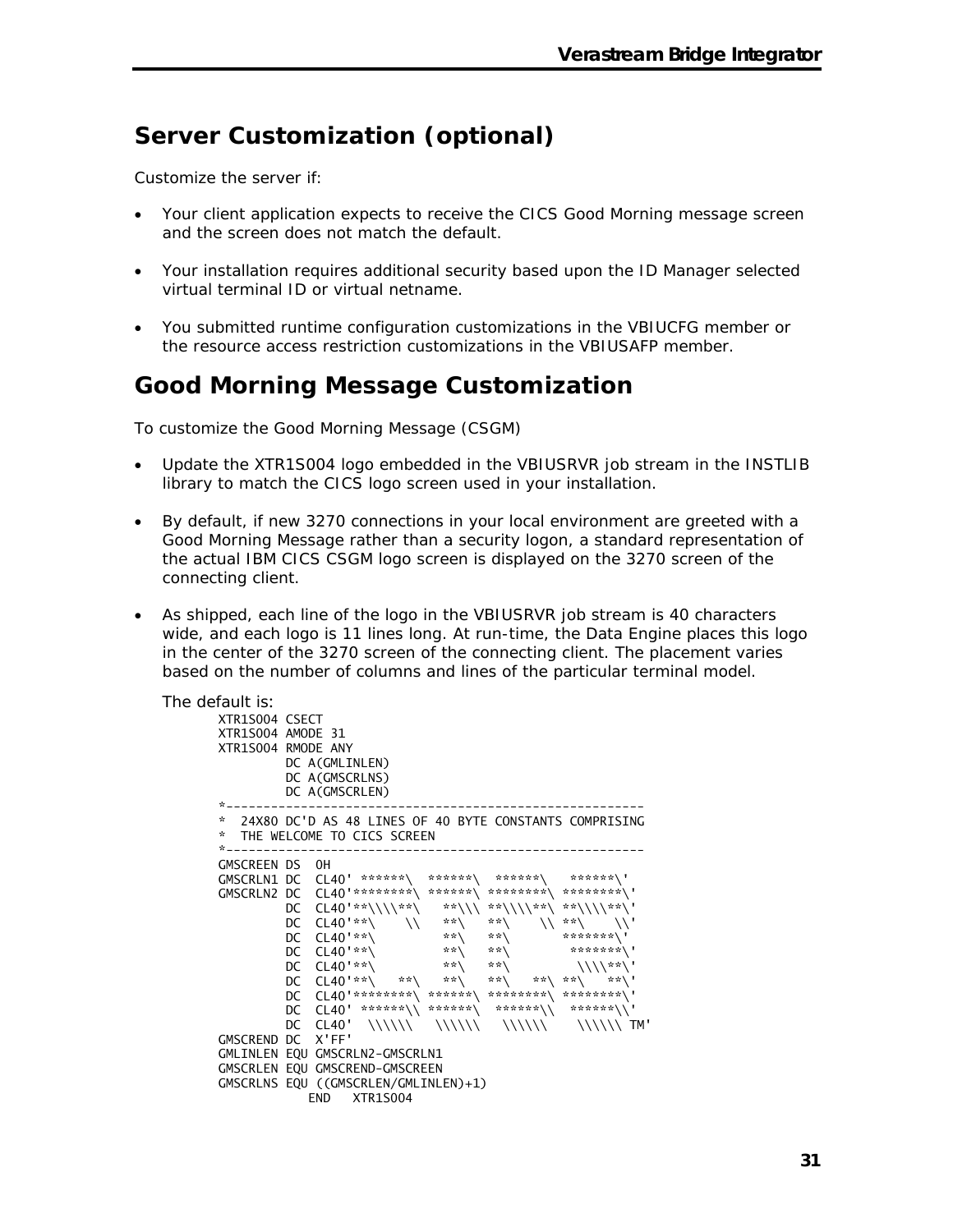## **Server Customization (optional)**

Customize the server if:

- Your client application expects to receive the CICS Good Morning message screen and the screen does not match the default.
- Your installation requires additional security based upon the ID Manager selected virtual terminal ID or virtual netname.
- You submitted runtime configuration customizations in the VBIUCFG member or the resource access restriction customizations in the VBIUSAFP member.

## **Good Morning Message Customization**

To customize the Good Morning Message (CSGM)

- Update the XTR1S004 logo embedded in the VBIUSRVR job stream in the INSTLIB library to match the CICS logo screen used in your installation.
- By default, if new 3270 connections in your local environment are greeted with a Good Morning Message rather than a security logon, a standard representation of the actual IBM CICS CSGM logo screen is displayed on the 3270 screen of the connecting client.
- As shipped, each line of the logo in the VBIUSRVR job stream is 40 characters wide, and each logo is 11 lines long. At run-time, the Data Engine places this logo in the center of the 3270 screen of the connecting client. The placement varies based on the number of columns and lines of the particular terminal model.

The default is: XTR1S004 CSECT XTR1S004 AMODE 31 XTR1S004 RMODE ANY DC A(GMLINLEN) DC A(GMSCRLNS) DC A(GMSCRLEN) \*-------------------------------------------------------- \* 24X80 DC'D AS 48 LINES OF 40 BYTE CONSTANTS COMPRISING \* THE WELCOME TO CICS SCREEN \*-------------------------------------------------------- GMSCREEN DS 0H GMSCRLN1 DC CL40' \*\*\*\*\*\*\ \*\*\*\*\*\*\ \*\*\*\*\*\*\ \*\*\*\*\*\*\' GMSCRLN2 DC CL40'\*\*\*\*\*\*\*\*\ \*\*\*\*\*\*\ \*\*\*\*\*\*\*\*\ \*\*\*\*\*\*\*\*\' DC CL40'\*\*\\\\\*\*\ \*\*\\\ \*\*\\\\\*\*\ \*\*\\\\\*\*\' DC CL40'\*\*\ \\ \*\*\ \*\*\ \\ \*\*\ \\' DC CL40'\*\*\ \*\*\ \*\*\ \*\*\*\*\*\*\*\' DC CL40'\*\*\ \*\*\ \*\*\ \*\*\*\*\*\*\*\' DC CL40'\*\*\ \*\*\ \*\*\ \\\\\*\*\' DC CL40'\*\*\ \*\*\ \*\*\ \*\*\ \*\*\ \*\*\ \*\*\' DC CL40'\*\*\*\*\*\*\*\*\ \*\*\*\*\*\*\ \*\*\*\*\*\*\*\*\ \*\*\*\*\*\*\*\*\' DC CL40' \*\*\*\*\*\*\\ \*\*\*\*\*\*\ \*\*\*\*\*\*\\ \*\*\*\*\*\*\\' DC CL40' \\\\\\ \\\\\\ \\\\\\ \\\\\\ TM' GMSCREND DC X'FF' GMLINLEN EQU GMSCRLN2-GMSCRLN1 GMSCRLEN EQU GMSCREND-GMSCREEN GMSCRLNS EQU ((GMSCRLEN/GMLINLEN)+1) END XTR1S004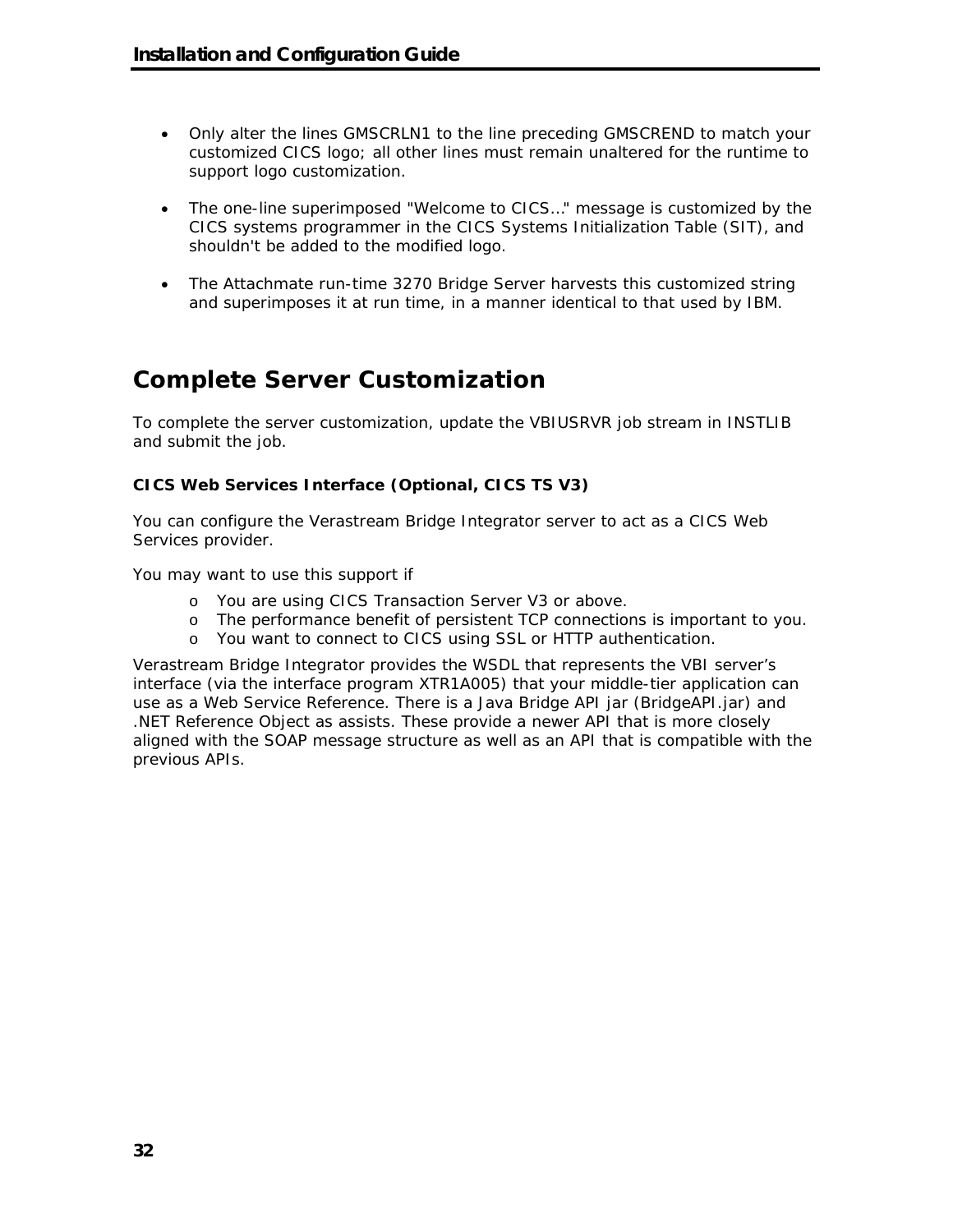- Only alter the lines GMSCRLN1 to the line preceding GMSCREND to match your customized CICS logo; all other lines must remain unaltered for the runtime to support logo customization.
- The one-line superimposed "Welcome to CICS…" message is customized by the CICS systems programmer in the CICS Systems Initialization Table (SIT), and shouldn't be added to the modified logo.
- The Attachmate run-time 3270 Bridge Server harvests this customized string and superimposes it at run time, in a manner identical to that used by IBM.

## **Complete Server Customization**

To complete the server customization, update the VBIUSRVR job stream in INSTLIB and submit the job.

#### **CICS Web Services Interface (Optional, CICS TS V3)**

You can configure the Verastream Bridge Integrator server to act as a CICS Web Services provider.

You may want to use this support if

- o You are using CICS Transaction Server V3 or above.
- o The performance benefit of persistent TCP connections is important to you.
- o You want to connect to CICS using SSL or HTTP authentication.

Verastream Bridge Integrator provides the WSDL that represents the VBI server's interface (via the interface program XTR1A005) that your middle-tier application can use as a Web Service Reference. There is a Java Bridge API jar (BridgeAPI.jar) and .NET Reference Object as assists. These provide a newer API that is more closely aligned with the SOAP message structure as well as an API that is compatible with the previous APIs.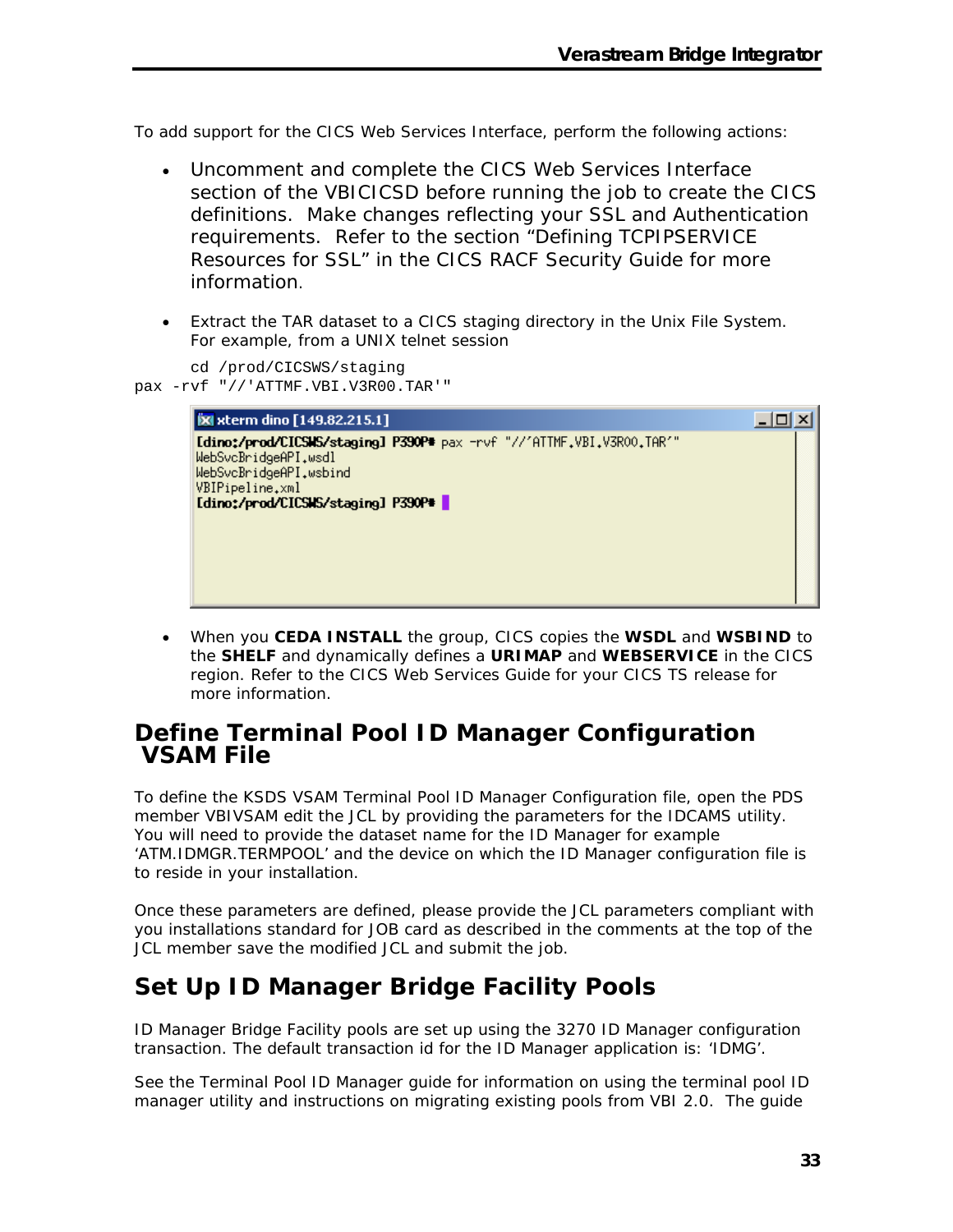To add support for the CICS Web Services Interface, perform the following actions:

- Uncomment and complete the CICS Web Services Interface section of the VBICICSD before running the job to create the CICS definitions. Make changes reflecting your SSL and Authentication requirements. Refer to the section "Defining TCPIPSERVICE Resources for SSL" in the CICS RACF Security Guide for more information.
- Extract the TAR dataset to a CICS staging directory in the Unix File System. For example, from a UNIX telnet session

```
cd /prod/CICSWS/staging 
pax -rvf "//'ATTMF.VBI.V3R00.TAR'" 
        [X] xterm dino [149.82.215.1]
                                                                                     <u> - 미지</u>
        Idino:/prod/CICSWS/staging1 P390P* pax -rvf "//'ATTMF.VBI.V3R00.TAR'"
        WebSvcBridgeAPI.wsdl
        WebSvcBridgeAPI.wsbind
        VBIPipeline.xml
        [dino:/prod/CICSIS/staging] P390P*
```
• When you **CEDA INSTALL** the group, CICS copies the **WSDL** and **WSBIND** to the **SHELF** and dynamically defines a **URIMAP** and **WEBSERVICE** in the CICS region. Refer to the *CICS Web Services Guide* for your CICS TS release for more information.

### **Define Terminal Pool ID Manager Configuration VSAM File**

To define the KSDS VSAM Terminal Pool ID Manager Configuration file, open the PDS member VBIVSAM edit the JCL by providing the parameters for the IDCAMS utility. You will need to provide the dataset name for the ID Manager for example 'ATM.IDMGR.TERMPOOL' and the device on which the ID Manager configuration file is to reside in your installation.

Once these parameters are defined, please provide the JCL parameters compliant with you installations standard for JOB card as described in the comments at the top of the JCL member save the modified JCL and submit the job.

## **Set Up ID Manager Bridge Facility Pools**

ID Manager Bridge Facility pools are set up using the 3270 ID Manager configuration transaction. The default transaction id for the ID Manager application is: 'IDMG'.

See the Terminal Pool ID Manager guide for information on using the terminal pool ID manager utility and instructions on migrating existing pools from VBI 2.0. The guide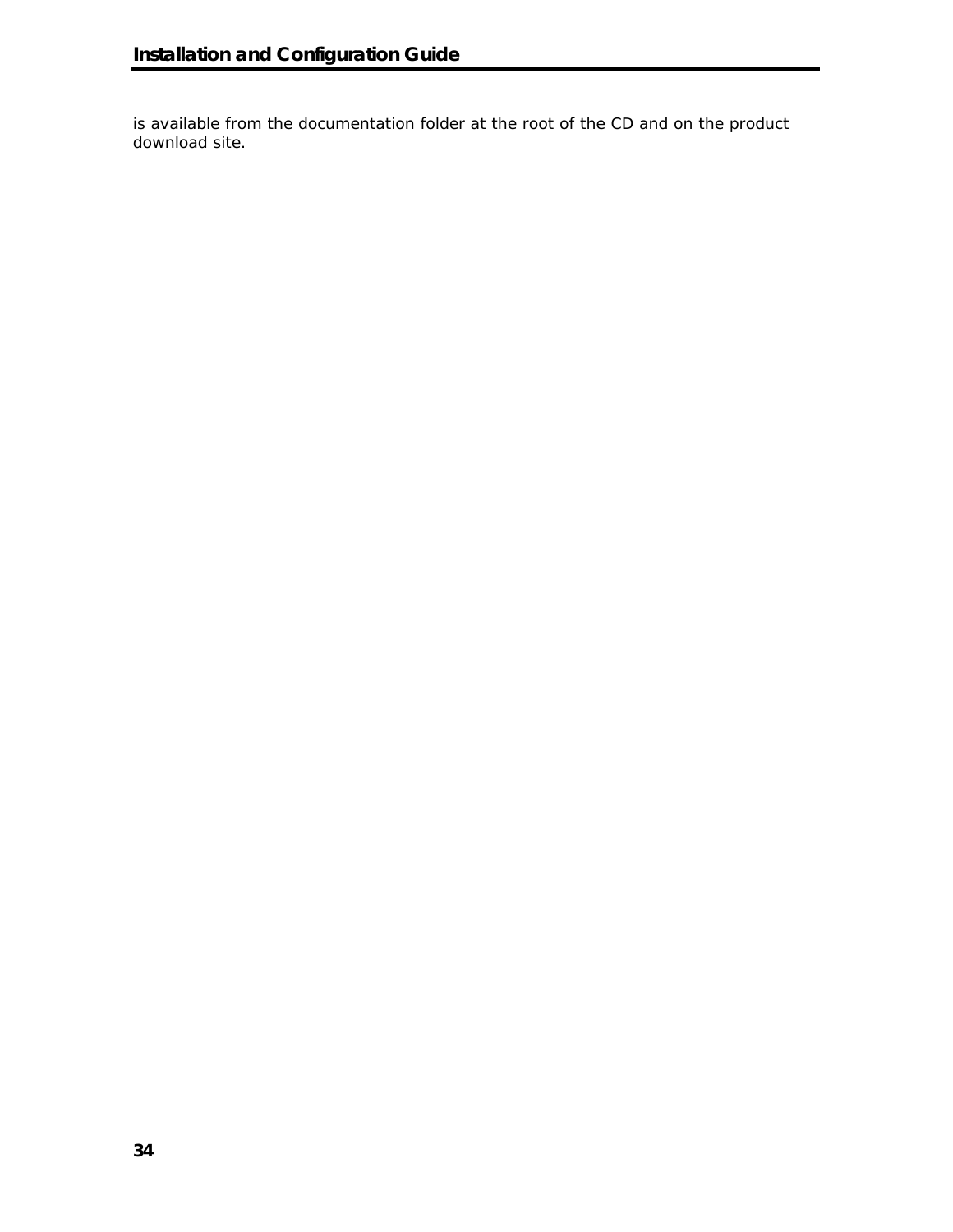is available from the documentation folder at the root of the CD and on the product download site.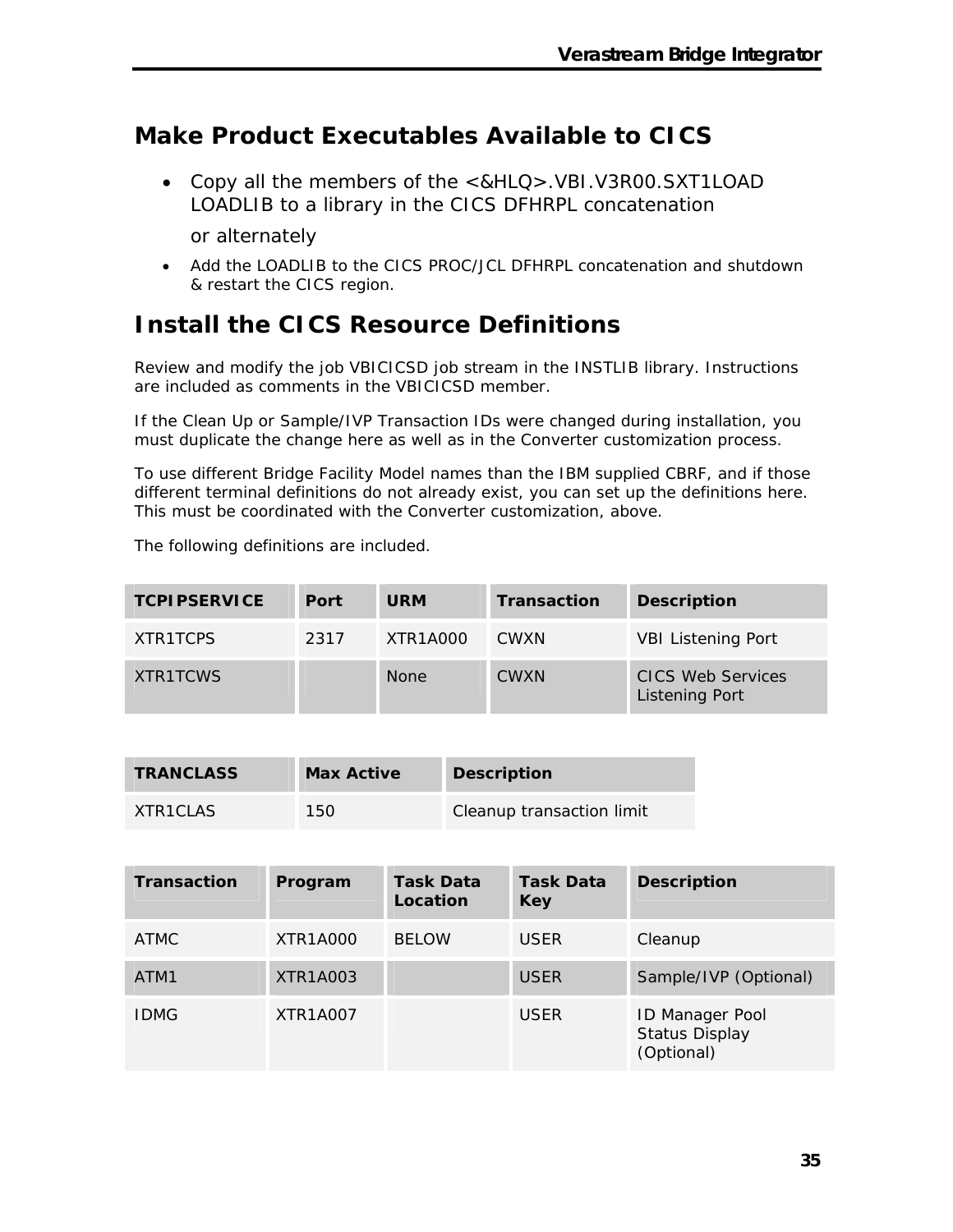# **Make Product Executables Available to CICS**

• Copy all the members of the <&HLQ>.VBI.V3R00.SXT1LOAD LOADLIB to a library in the CICS DFHRPL concatenation

or alternately

• Add the LOADLIB to the CICS PROC/JCL DFHRPL concatenation and shutdown & restart the CICS region.

# **Install the CICS Resource Definitions**

Review and modify the job VBICICSD job stream in the INSTLIB library. Instructions are included as comments in the VBICICSD member.

If the Clean Up or Sample/IVP Transaction IDs were changed during installation, you must duplicate the change here as well as in the Converter customization process.

To use different Bridge Facility Model names than the IBM supplied CBRF, and if those different terminal definitions do not already exist, you can set up the definitions here. This must be coordinated with the Converter customization, above.

The following definitions are included.

| <b>TCPIPSERVICE</b> | Port | <b>URM</b>  | <b>Transaction</b> | <b>Description</b>                                |
|---------------------|------|-------------|--------------------|---------------------------------------------------|
| XTR1TCPS            | 2317 | XTR1A000    | <b>CWXN</b>        | <b>VBI Listening Port</b>                         |
| XTR1TCWS            |      | <b>None</b> | <b>CWXN</b>        | <b>CICS Web Services</b><br><b>Listening Port</b> |

| <b>TRANCLASS</b> | <b>Max Active</b> | <b>Description</b>        |
|------------------|-------------------|---------------------------|
| XTR1CLAS         | 150               | Cleanup transaction limit |

| <b>Transaction</b> | Program         | Task Data<br>Location | <b>Task Data</b><br><b>Key</b> | <b>Description</b>                                            |
|--------------------|-----------------|-----------------------|--------------------------------|---------------------------------------------------------------|
| <b>ATMC</b>        | XTR1A000        | <b>BELOW</b>          | <b>USER</b>                    | Cleanup                                                       |
| ATM1               | XTR1A003        |                       | <b>USER</b>                    | Sample/IVP (Optional)                                         |
| <b>IDMG</b>        | <b>XTR1A007</b> |                       | <b>USER</b>                    | <b>ID Manager Pool</b><br><b>Status Display</b><br>(Optional) |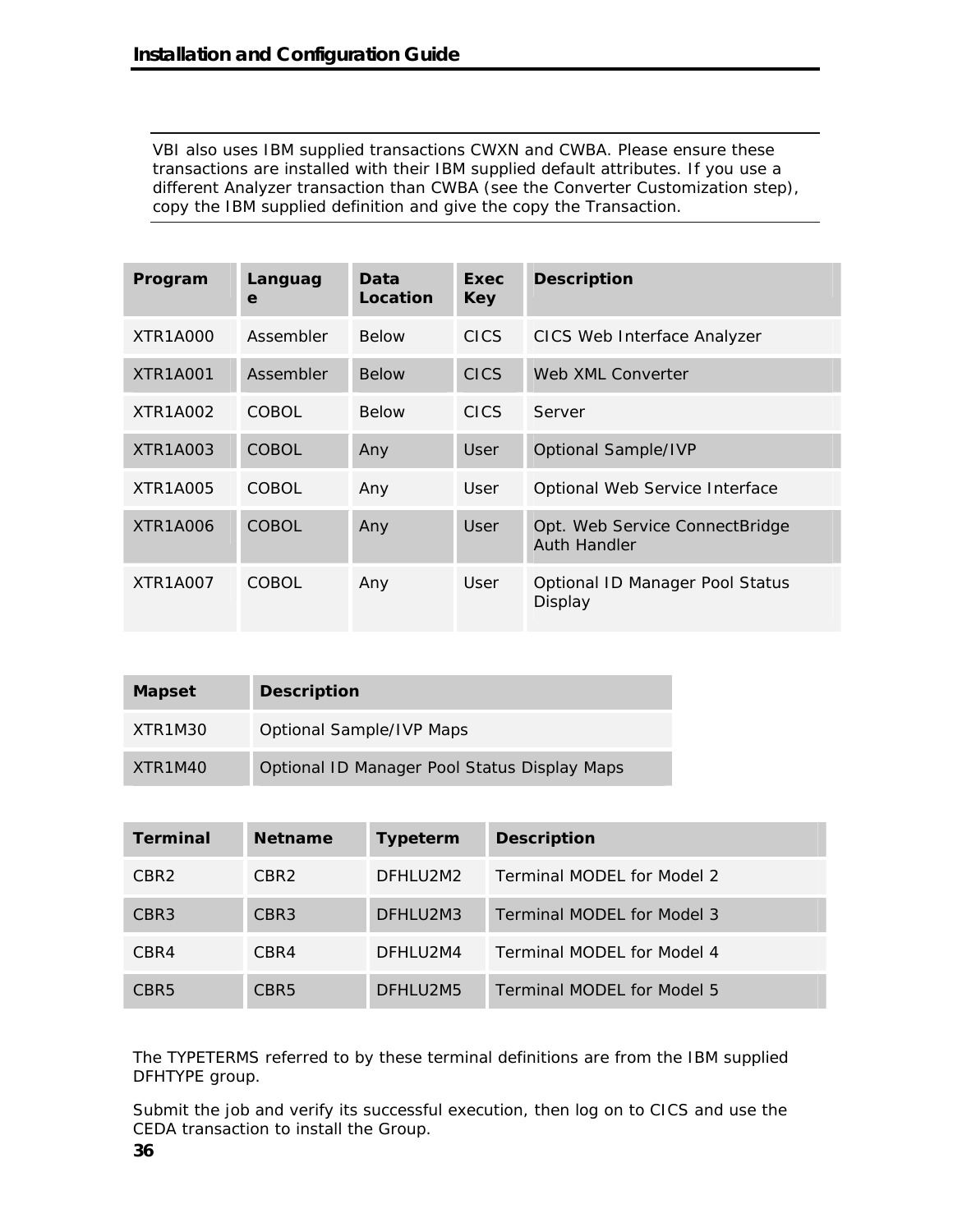VBI also uses IBM supplied transactions CWXN and CWBA. Please ensure these transactions are installed with their IBM supplied default attributes. If you use a different Analyzer transaction than CWBA (see the Converter Customization step), copy the IBM supplied definition and give the copy the Transaction.

| Program         | Languag<br>e | Data<br>Location | Exec<br><b>Key</b> | <b>Description</b>                                    |
|-----------------|--------------|------------------|--------------------|-------------------------------------------------------|
| XTR1A000        | Assembler    | <b>Below</b>     | <b>CICS</b>        | CICS Web Interface Analyzer                           |
| <b>XTR1A001</b> | Assembler    | <b>Below</b>     | <b>CICS</b>        | Web XML Converter                                     |
| XTR1A002        | COBOL        | <b>Below</b>     | <b>CICS</b>        | Server                                                |
| XTR1A003        | COBOL        | Any              | User               | <b>Optional Sample/IVP</b>                            |
| XTR1A005        | COBOL        | Any              | User               | Optional Web Service Interface                        |
| <b>XTR1A006</b> | COBOL:       | Any              | User               | Opt. Web Service ConnectBridge<br><b>Auth Handler</b> |
| <b>XTR1A007</b> | COBOL        | Any              | User               | Optional ID Manager Pool Status<br>Display            |

| <b>Mapset</b> | <b>Description</b>                           |
|---------------|----------------------------------------------|
| XTR1M30       | <b>Optional Sample/IVP Maps</b>              |
| XTR1M40       | Optional ID Manager Pool Status Display Maps |

| <b>Terminal</b>  | <b>Netname</b>   | <b>Typeterm</b> | <b>Description</b>         |
|------------------|------------------|-----------------|----------------------------|
| CBR <sub>2</sub> | CBR <sub>2</sub> | DFHLU2M2        | Terminal MODEL for Model 2 |
| CBR <sub>3</sub> | CBR <sub>3</sub> | DFHLU2M3        | Terminal MODEL for Model 3 |
| CBR4             | CBR4             | DFHLU2M4        | Terminal MODEL for Model 4 |
| CBR <sub>5</sub> | CBR <sub>5</sub> | DFHLU2M5        | Terminal MODEL for Model 5 |

The TYPETERMS referred to by these terminal definitions are from the IBM supplied DFHTYPE group.

Submit the job and verify its successful execution, then log on to CICS and use the CEDA transaction to install the Group.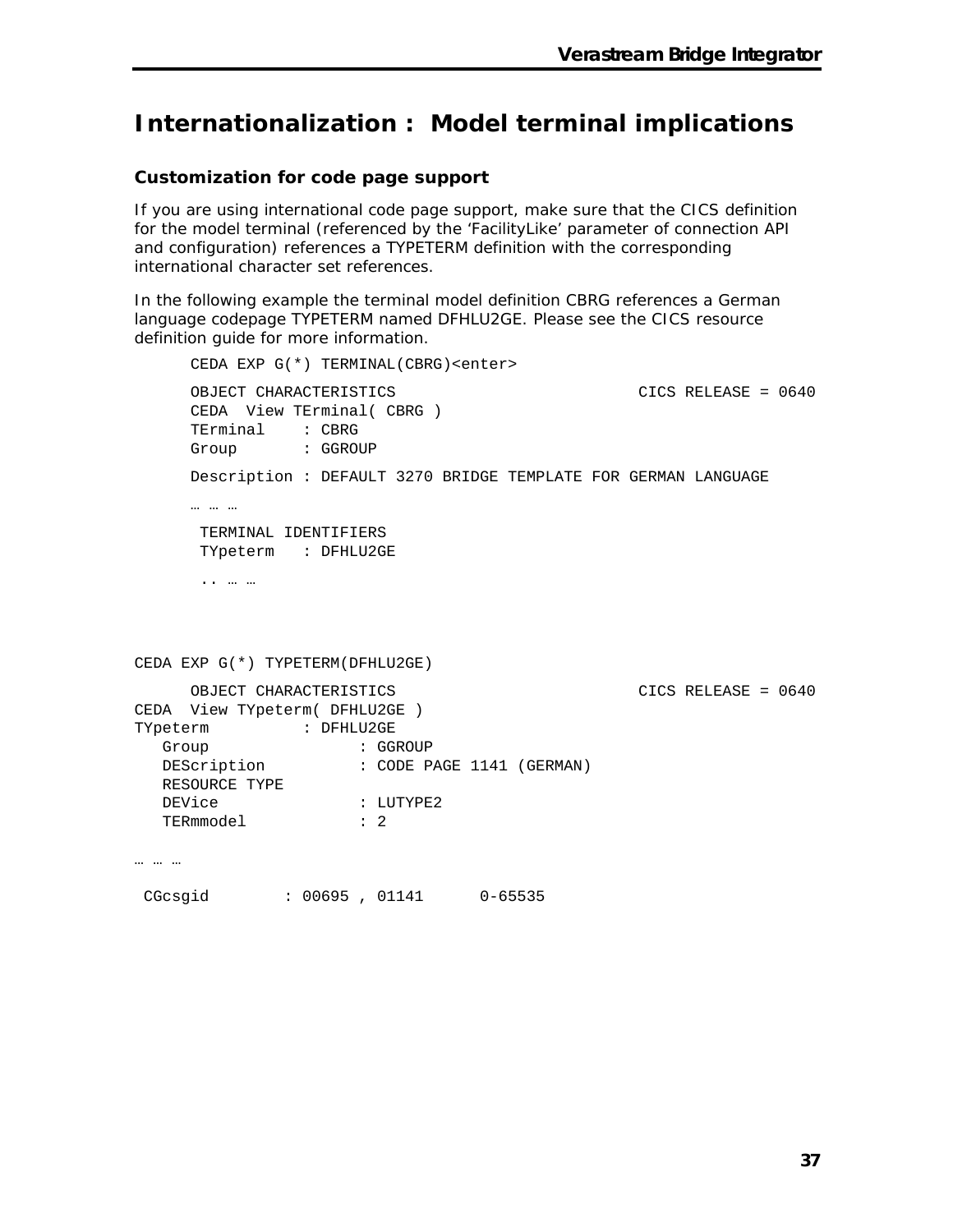## **Internationalization : Model terminal implications**

#### **Customization for code page support**

If you are using international code page support, make sure that the CICS definition for the model terminal (referenced by the 'FacilityLike' parameter of connection API and configuration) references a TYPETERM definition with the corresponding international character set references.

In the following example the terminal model definition CBRG references a German language codepage TYPETERM named DFHLU2GE. Please see the CICS resource definition guide for more information.

```
CEDA EXP G(*) TERMINAL(CBRG)<enter> 
    OBJECT CHARACTERISTICS CICS RELEASE = 0640 
     CEDA View TErminal( CBRG ) 
     TErminal : CBRG 
     Group : GGROUP 
    Description : DEFAULT 3270 BRIDGE TEMPLATE FOR GERMAN LANGUAGE 
     … … … 
      TERMINAL IDENTIFIERS 
      TYpeterm : DFHLU2GE 
       .. … … 
CEDA EXP G(*) TYPETERM(DFHLU2GE) 
    OBJECT CHARACTERISTICS CICS RELEASE = 0640
CEDA View TYpeterm( DFHLU2GE ) 
TYpeterm : DFHLU2GE 
Group : GGROUP
  DEScription : CODE PAGE 1141 (GERMAN)
   RESOURCE TYPE 
  DEVice : LUTYPE2
   TERmmodel : 2 
… … …
```
CGcsgid : 00695 , 01141 0-65535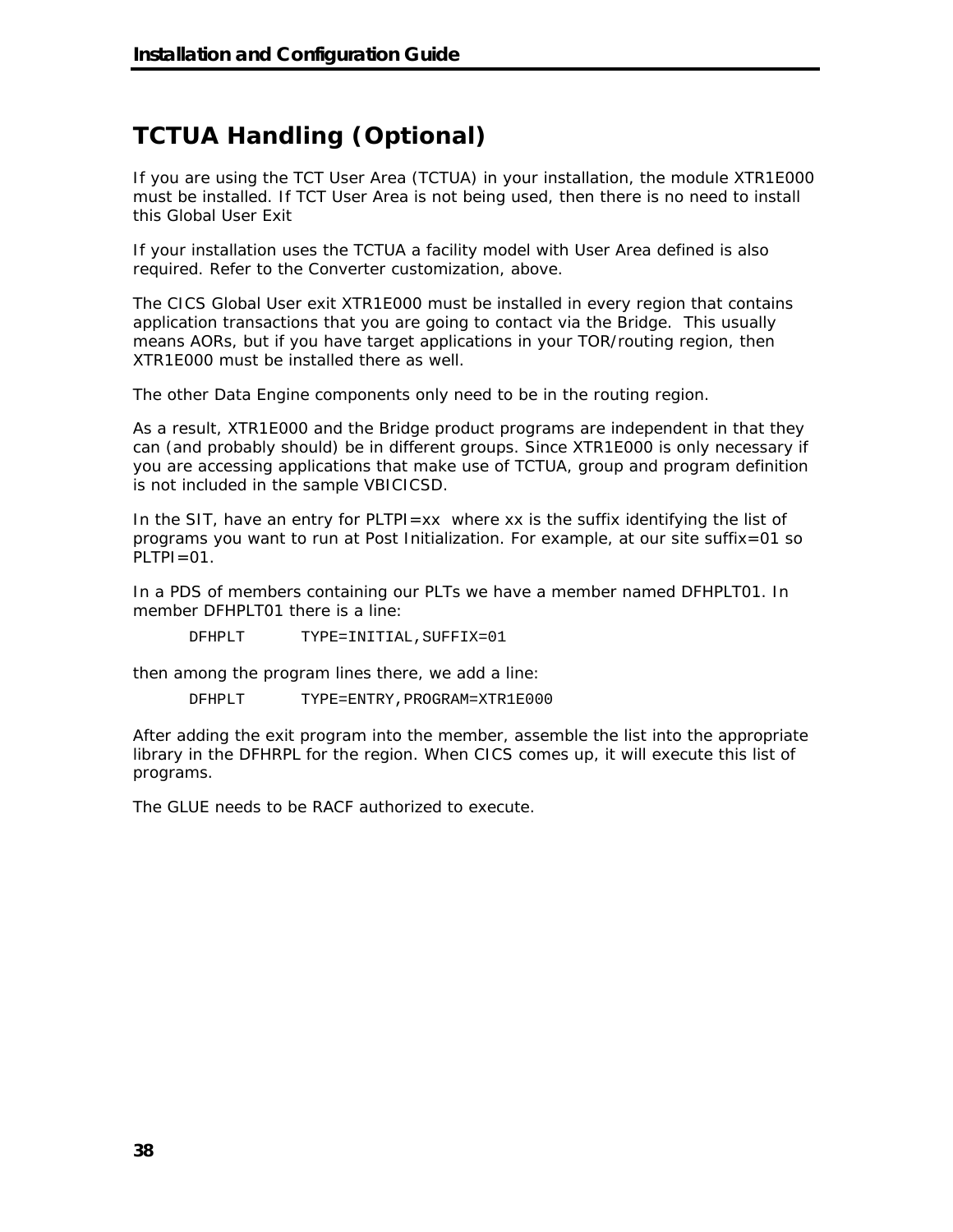# **TCTUA Handling (Optional)**

If you are using the TCT User Area (TCTUA) in your installation, the module XTR1E000 must be installed. If TCT User Area is not being used, then there is no need to install this Global User Exit

If your installation uses the TCTUA a facility model with User Area defined is also required. Refer to the Converter customization, above.

The CICS Global User exit XTR1E000 must be installed in every region that contains application transactions that you are going to contact via the Bridge. This usually means AORs, but if you have target applications in your TOR/routing region, then XTR1E000 must be installed there as well.

The other Data Engine components only need to be in the routing region.

As a result, XTR1E000 and the Bridge product programs are independent in that they can (and probably should) be in different groups. Since XTR1E000 is only necessary if you are accessing applications that make use of TCTUA, group and program definition is not included in the sample VBICICSD.

In the SIT, have an entry for PLTPI=xx where xx is the suffix identifying the list of programs you want to run at Post Initialization. For example, at our site suffix=01 so  $PLTPI=01$ .

In a PDS of members containing our PLTs we have a member named DFHPLT01. In member DFHPLT01 there is a line:

DFHPLT TYPE=INITIAL,SUFFIX=01

then among the program lines there, we add a line:

DFHPLT TYPE=ENTRY,PROGRAM=XTR1E000

After adding the exit program into the member, assemble the list into the appropriate library in the DFHRPL for the region. When CICS comes up, it will execute this list of programs.

The GLUE needs to be RACF authorized to execute.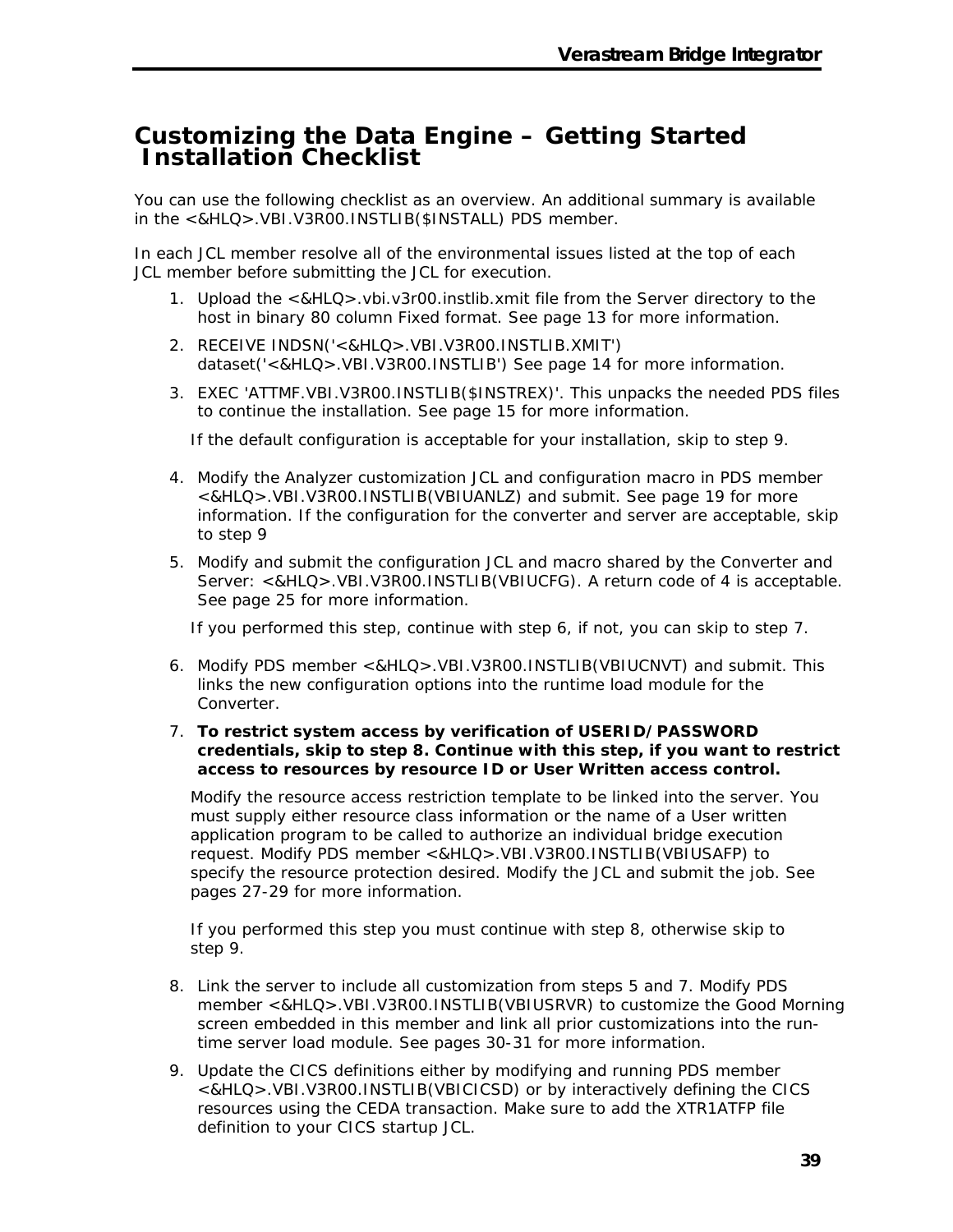### **Customizing the Data Engine – Getting Started Installation Checklist**

You can use the following checklist as an overview. An additional summary is available in the <&HLQ>.VBI.V3R00.INSTLIB(\$INSTALL) PDS member.

In each JCL member resolve all of the environmental issues listed at the top of each JCL member before submitting the JCL for execution.

- 1. Upload the <&HLQ>.vbi.v3r00.instlib.xmit file from the Server directory to the host in binary 80 column Fixed format. See page 13 for more information.
- 2. RECEIVE INDSN('<&HLQ>.VBI.V3R00.INSTLIB.XMIT') dataset('<&HLQ>.VBI.V3R00.INSTLIB') See page 14 for more information.
- 3. EXEC 'ATTMF.VBI.V3R00.INSTLIB(\$INSTREX)'. This unpacks the needed PDS files to continue the installation. See page 15 for more information.

If the default configuration is acceptable for your installation, skip to step 9.

- 4. Modify the Analyzer customization JCL and configuration macro in PDS member <&HLQ>.VBI.V3R00.INSTLIB(VBIUANLZ) and submit. See page 19 for more information. If the configuration for the converter and server are acceptable, skip to step 9
- 5. Modify and submit the configuration JCL and macro shared by the Converter and Server: <&HLQ>.VBI.V3R00.INSTLIB(VBIUCFG). A return code of 4 is acceptable. See page 25 for more information.

If you performed this step, continue with step 6, if not, you can skip to step 7.

- 6. Modify PDS member <&HLQ>.VBI.V3R00.INSTLIB(VBIUCNVT) and submit. This links the new configuration options into the runtime load module for the Converter.
- 7. **To restrict system access by verification of USERID/PASSWORD credentials, skip to step 8. Continue with this step, if you want to restrict access to resources by resource ID or User Written access control.**

Modify the resource access restriction template to be linked into the server. You must supply either resource class information or the name of a User written application program to be called to authorize an individual bridge execution request. Modify PDS member <&HLQ>.VBI.V3R00.INSTLIB(VBIUSAFP) to specify the resource protection desired. Modify the JCL and submit the job. See pages 27-29 for more information.

If you performed this step you must continue with step 8, otherwise skip to step 9.

- 8. Link the server to include all customization from steps 5 and 7. Modify PDS member <&HLQ>.VBI.V3R00.INSTLIB(VBIUSRVR) to customize the Good Morning screen embedded in this member and link all prior customizations into the runtime server load module. See pages 30-31 for more information.
- 9. Update the CICS definitions either by modifying and running PDS member <&HLQ>.VBI.V3R00.INSTLIB(VBICICSD) or by interactively defining the CICS resources using the CEDA transaction. Make sure to add the XTR1ATFP file definition to your CICS startup JCL.